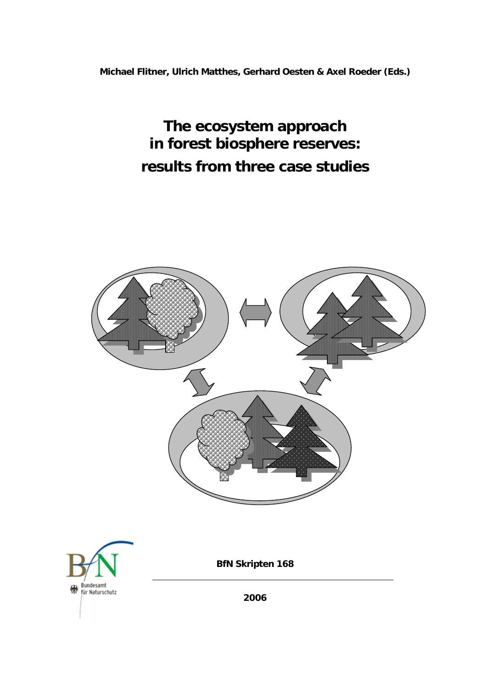**Michael Flitner, Ulrich Matthes, Gerhard Oesten & Axel Roeder (Eds.)** 

**The ecosystem approach in forest biosphere reserves: results from three case studies**

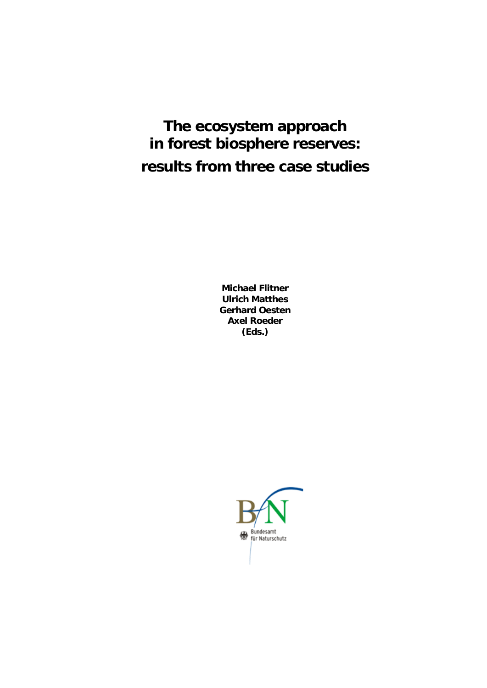# **The ecosystem approach in forest biosphere reserves: results from three case studies**

**Michael Flitner Ulrich Matthes Gerhard Oesten Axel Roeder (Eds.)** 

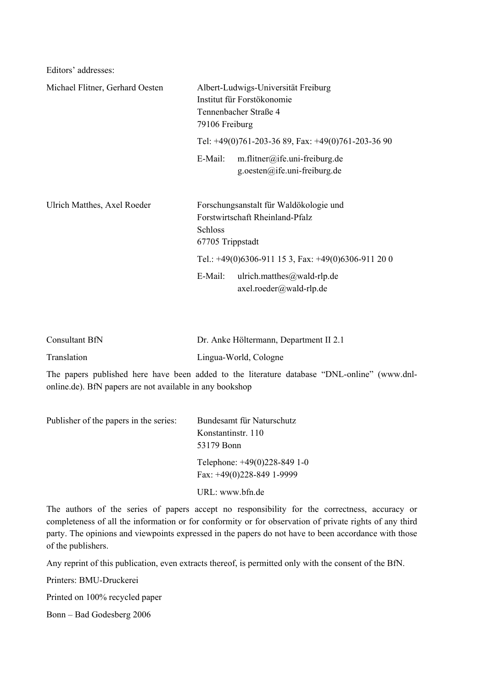Editors' addresses:

| Michael Flitner, Gerhard Oesten | Albert-Ludwigs-Universität Freiburg<br>Institut für Forstökonomie<br>Tennenbacher Straße 4<br>79106 Freiburg    |  |
|---------------------------------|-----------------------------------------------------------------------------------------------------------------|--|
|                                 | Tel: $+49(0)761-203-3689$ , Fax: $+49(0)761-203-3690$                                                           |  |
|                                 | m.flitner@ife.uni-freiburg.de<br>E-Mail:<br>g.oesten@ife.uni-freiburg.de                                        |  |
| Ulrich Matthes, Axel Roeder     | Forschungsanstalt für Waldökologie und<br>Forstwirtschaft Rheinland-Pfalz<br><b>Schloss</b><br>67705 Trippstadt |  |
|                                 | Tel.: $+49(0)6306-911153$ , Fax: $+49(0)6306-911200$                                                            |  |
|                                 | ulrich.matthes@wald-rlp.de<br>E-Mail:<br>$axel.readwald-rlp.de$                                                 |  |

| Consultant BfN | Dr. Anke Höltermann, Department II 2.1 |
|----------------|----------------------------------------|
| Translation    | Lingua-World, Cologne                  |

The papers published here have been added to the literature database "DNL-online" (www.dnlonline.de). BfN papers are not available in any bookshop

| Publisher of the papers in the series: | Bundesamt für Naturschutz                                    |  |
|----------------------------------------|--------------------------------------------------------------|--|
|                                        | Konstantinstr. 110                                           |  |
|                                        | 53179 Bonn                                                   |  |
|                                        | Telephone: $+49(0)228-8491-0$<br>Fax: $+49(0)228-849$ 1-9999 |  |
|                                        | URL: www.bfn.de                                              |  |

The authors of the series of papers accept no responsibility for the correctness, accuracy or completeness of all the information or for conformity or for observation of private rights of any third party. The opinions and viewpoints expressed in the papers do not have to been accordance with those of the publishers.

Any reprint of this publication, even extracts thereof, is permitted only with the consent of the BfN.

Printers: BMU-Druckerei

Printed on 100% recycled paper

Bonn – Bad Godesberg 2006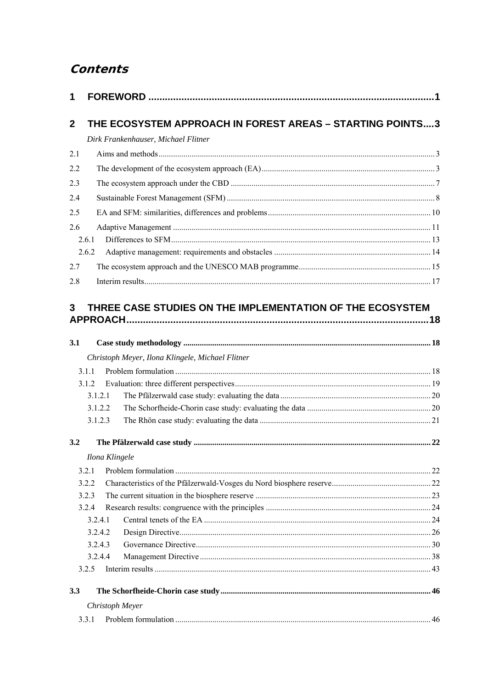# **Contents**

| 1           |                                                           |  |
|-------------|-----------------------------------------------------------|--|
| $\mathbf 2$ | THE ECOSYSTEM APPROACH IN FOREST AREAS - STARTING POINTS3 |  |
|             | Dirk Frankenhauser, Michael Flitner                       |  |
| 2.1         |                                                           |  |
|             |                                                           |  |
| 2.2         |                                                           |  |
| 2.3         |                                                           |  |
| 2.4         |                                                           |  |
| 2.5         |                                                           |  |
| 2.6         |                                                           |  |
|             | 2.6.1                                                     |  |
|             | 2.6.2                                                     |  |
| 2.7         |                                                           |  |
| 2.8         |                                                           |  |
| 3           | THREE CASE STUDIES ON THE IMPLEMENTATION OF THE ECOSYSTEM |  |
|             |                                                           |  |
| 3.1         |                                                           |  |
|             | Christoph Meyer, Ilona Klingele, Michael Flitner          |  |
|             | 3.1.1                                                     |  |
|             | 3.1.2                                                     |  |
|             | 3.1.2.1                                                   |  |
|             | 3.1.2.2                                                   |  |
|             | 3.1.2.3                                                   |  |
| 3.2         |                                                           |  |
|             | Ilona Klingele                                            |  |
| 3.2.1       |                                                           |  |
|             | 3.2.2                                                     |  |
|             | 3.2.3                                                     |  |
|             | 3.2.4                                                     |  |
|             | 3.2.4.1                                                   |  |
|             | 3.2.4.2                                                   |  |
|             | 3.2.4.3                                                   |  |
|             | 3.2.4.4                                                   |  |
|             | 3.2.5                                                     |  |
| 3.3         |                                                           |  |
|             | Christoph Meyer                                           |  |
|             | 3.3.1                                                     |  |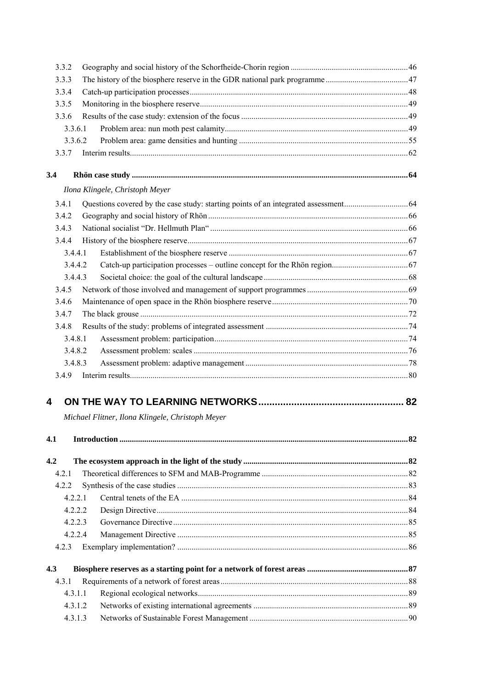| 3.3.2 |                                                  |  |
|-------|--------------------------------------------------|--|
| 3.3.3 |                                                  |  |
| 3.3.4 |                                                  |  |
| 3.3.5 |                                                  |  |
| 3.3.6 |                                                  |  |
|       | 3.3.6.1                                          |  |
|       | 3.3.6.2                                          |  |
| 3.3.7 |                                                  |  |
| 3.4   |                                                  |  |
|       | Ilona Klingele, Christoph Meyer                  |  |
| 3.4.1 |                                                  |  |
| 3.4.2 |                                                  |  |
| 3.4.3 |                                                  |  |
| 3.4.4 |                                                  |  |
|       | 3.4.4.1                                          |  |
|       | 3.4.4.2                                          |  |
|       | 3.4.4.3                                          |  |
| 3.4.5 |                                                  |  |
| 3.4.6 |                                                  |  |
| 3.4.7 |                                                  |  |
| 3.4.8 |                                                  |  |
|       | 3.4.8.1                                          |  |
|       | 3.4.8.2                                          |  |
|       | 3.4.8.3                                          |  |
| 3.4.9 |                                                  |  |
|       |                                                  |  |
| 4     |                                                  |  |
|       | Michael Flitner, Ilona Klingele, Christoph Meyer |  |
|       |                                                  |  |
| 4.1   |                                                  |  |
| 4.2   |                                                  |  |
| 4.2.1 |                                                  |  |
| 4.2.2 |                                                  |  |
|       | 4.2.2.1                                          |  |
|       | 4.2.2.2                                          |  |
|       | 4.2.2.3                                          |  |
|       | 4.2.2.4                                          |  |
| 4.2.3 |                                                  |  |
| 4.3   |                                                  |  |
| 4.3.1 |                                                  |  |
|       | 4.3.1.1                                          |  |
|       | 4.3.1.2                                          |  |
|       | 4.3.1.3                                          |  |
|       |                                                  |  |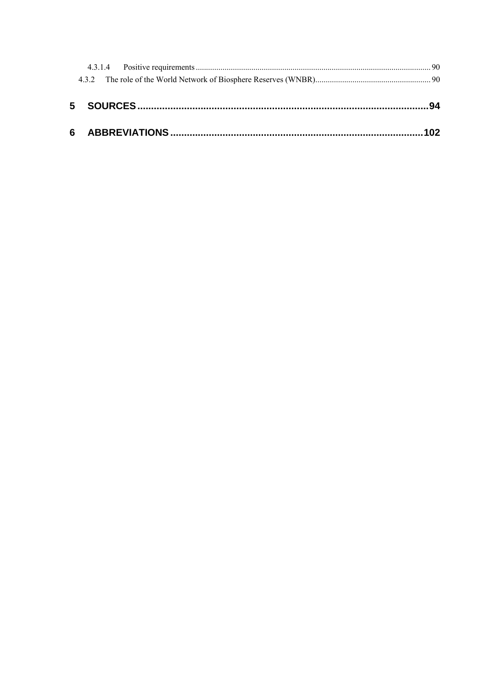| 6  ABBREVIATIONS ……………………………………………………………………………………102 |  |
|------------------------------------------------------|--|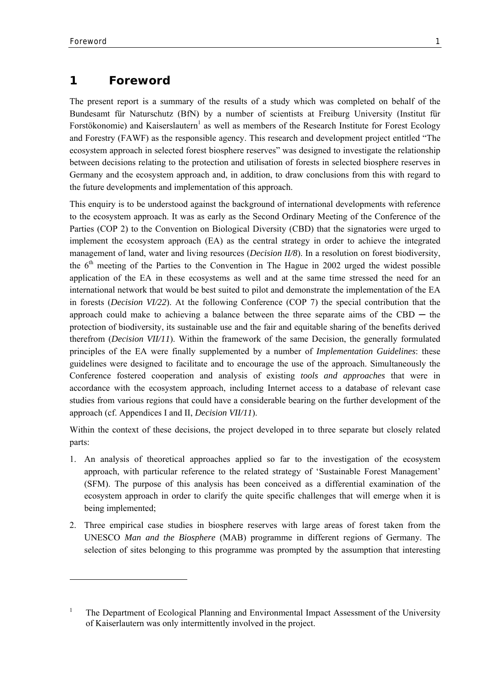-

# **1 Foreword**

The present report is a summary of the results of a study which was completed on behalf of the Bundesamt für Naturschutz (BfN) by a number of scientists at Freiburg University (Institut für Forstökonomie) and Kaiserslautern<sup>1</sup> as well as members of the Research Institute for Forest Ecology and Forestry (FAWF) as the responsible agency. This research and development project entitled "The ecosystem approach in selected forest biosphere reserves" was designed to investigate the relationship between decisions relating to the protection and utilisation of forests in selected biosphere reserves in Germany and the ecosystem approach and, in addition, to draw conclusions from this with regard to the future developments and implementation of this approach.

This enquiry is to be understood against the background of international developments with reference to the ecosystem approach. It was as early as the Second Ordinary Meeting of the Conference of the Parties (COP 2) to the Convention on Biological Diversity (CBD) that the signatories were urged to implement the ecosystem approach (EA) as the central strategy in order to achieve the integrated management of land, water and living resources (*Decision II/8*). In a resolution on forest biodiversity, the  $6<sup>th</sup>$  meeting of the Parties to the Convention in The Hague in 2002 urged the widest possible application of the EA in these ecosystems as well and at the same time stressed the need for an international network that would be best suited to pilot and demonstrate the implementation of the EA in forests (*Decision VI/22*). At the following Conference (COP 7) the special contribution that the approach could make to achieving a balance between the three separate aims of the CBD  $-$  the protection of biodiversity, its sustainable use and the fair and equitable sharing of the benefits derived therefrom (*Decision VII/11*). Within the framework of the same Decision, the generally formulated principles of the EA were finally supplemented by a number of *Implementation Guidelines*: these guidelines were designed to facilitate and to encourage the use of the approach. Simultaneously the Conference fostered cooperation and analysis of existing *tools and approaches* that were in accordance with the ecosystem approach, including Internet access to a database of relevant case studies from various regions that could have a considerable bearing on the further development of the approach (cf. Appendices I and II, *Decision VII/11*).

Within the context of these decisions, the project developed in to three separate but closely related parts:

- 1. An analysis of theoretical approaches applied so far to the investigation of the ecosystem approach, with particular reference to the related strategy of 'Sustainable Forest Management' (SFM). The purpose of this analysis has been conceived as a differential examination of the ecosystem approach in order to clarify the quite specific challenges that will emerge when it is being implemented;
- 2. Three empirical case studies in biosphere reserves with large areas of forest taken from the UNESCO *Man and the Biosphere* (MAB) programme in different regions of Germany. The selection of sites belonging to this programme was prompted by the assumption that interesting

<sup>1</sup> The Department of Ecological Planning and Environmental Impact Assessment of the University of Kaiserlautern was only intermittently involved in the project.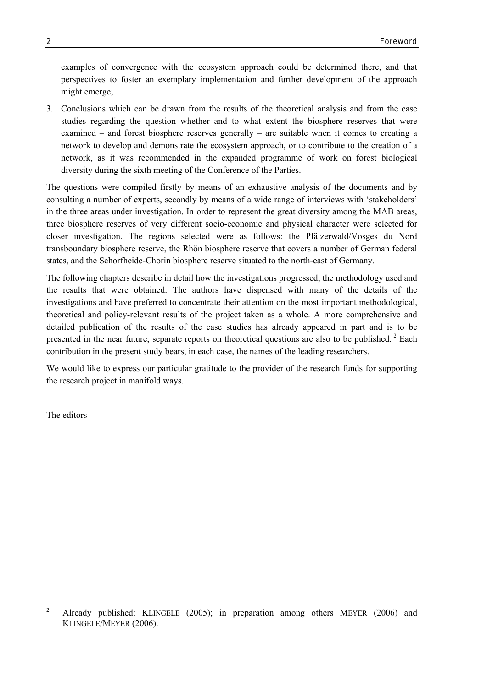examples of convergence with the ecosystem approach could be determined there, and that perspectives to foster an exemplary implementation and further development of the approach might emerge;

3. Conclusions which can be drawn from the results of the theoretical analysis and from the case studies regarding the question whether and to what extent the biosphere reserves that were examined – and forest biosphere reserves generally – are suitable when it comes to creating a network to develop and demonstrate the ecosystem approach, or to contribute to the creation of a network, as it was recommended in the expanded programme of work on forest biological diversity during the sixth meeting of the Conference of the Parties.

The questions were compiled firstly by means of an exhaustive analysis of the documents and by consulting a number of experts, secondly by means of a wide range of interviews with 'stakeholders' in the three areas under investigation. In order to represent the great diversity among the MAB areas, three biosphere reserves of very different socio-economic and physical character were selected for closer investigation. The regions selected were as follows: the Pfälzerwald/Vosges du Nord transboundary biosphere reserve, the Rhön biosphere reserve that covers a number of German federal states, and the Schorfheide-Chorin biosphere reserve situated to the north-east of Germany.

The following chapters describe in detail how the investigations progressed, the methodology used and the results that were obtained. The authors have dispensed with many of the details of the investigations and have preferred to concentrate their attention on the most important methodological, theoretical and policy-relevant results of the project taken as a whole. A more comprehensive and detailed publication of the results of the case studies has already appeared in part and is to be presented in the near future; separate reports on theoretical questions are also to be published.  $2$  Each contribution in the present study bears, in each case, the names of the leading researchers.

We would like to express our particular gratitude to the provider of the research funds for supporting the research project in manifold ways.

The editors

l

<sup>2</sup> Already published: KLINGELE (2005); in preparation among others MEYER (2006) and KLINGELE/MEYER (2006).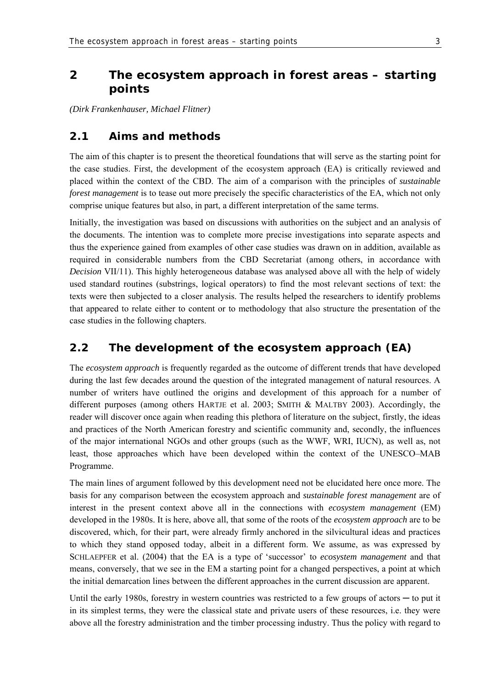# **2 The ecosystem approach in forest areas – starting points**

*(Dirk Frankenhauser, Michael Flitner)* 

# **2.1 Aims and methods**

The aim of this chapter is to present the theoretical foundations that will serve as the starting point for the case studies. First, the development of the ecosystem approach (EA) is critically reviewed and placed within the context of the CBD. The aim of a comparison with the principles of *sustainable forest management* is to tease out more precisely the specific characteristics of the EA, which not only comprise unique features but also, in part, a different interpretation of the same terms.

Initially, the investigation was based on discussions with authorities on the subject and an analysis of the documents. The intention was to complete more precise investigations into separate aspects and thus the experience gained from examples of other case studies was drawn on in addition, available as required in considerable numbers from the CBD Secretariat (among others, in accordance with *Decision* VII/11). This highly heterogeneous database was analysed above all with the help of widely used standard routines (substrings, logical operators) to find the most relevant sections of text: the texts were then subjected to a closer analysis. The results helped the researchers to identify problems that appeared to relate either to content or to methodology that also structure the presentation of the case studies in the following chapters.

# **2.2 The development of the ecosystem approach (EA)**

The *ecosystem approach* is frequently regarded as the outcome of different trends that have developed during the last few decades around the question of the integrated management of natural resources. A number of writers have outlined the origins and development of this approach for a number of different purposes (among others HARTJE et al. 2003; SMITH & MALTBY 2003). Accordingly, the reader will discover once again when reading this plethora of literature on the subject, firstly, the ideas and practices of the North American forestry and scientific community and, secondly, the influences of the major international NGOs and other groups (such as the WWF, WRI, IUCN), as well as, not least, those approaches which have been developed within the context of the UNESCO–MAB Programme.

The main lines of argument followed by this development need not be elucidated here once more. The basis for any comparison between the ecosystem approach and *sustainable forest management* are of interest in the present context above all in the connections with *ecosystem management* (EM) developed in the 1980s. It is here, above all, that some of the roots of the *ecosystem approach* are to be discovered, which, for their part, were already firmly anchored in the silvicultural ideas and practices to which they stand opposed today, albeit in a different form. We assume, as was expressed by SCHLAEPFER et al. (2004) that the EA is a type of 'successor' to *ecosystem management* and that means, conversely, that we see in the EM a starting point for a changed perspectives, a point at which the initial demarcation lines between the different approaches in the current discussion are apparent.

Until the early 1980s, forestry in western countries was restricted to a few groups of actors  $-$  to put it in its simplest terms, they were the classical state and private users of these resources, i.e. they were above all the forestry administration and the timber processing industry. Thus the policy with regard to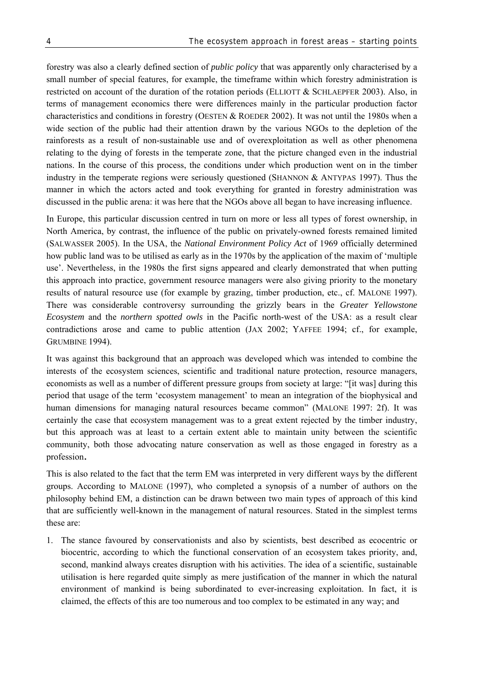forestry was also a clearly defined section of *public policy* that was apparently only characterised by a small number of special features, for example, the timeframe within which forestry administration is restricted on account of the duration of the rotation periods (ELLIOTT & SCHLAEPFER 2003). Also, in terms of management economics there were differences mainly in the particular production factor characteristics and conditions in forestry (OESTEN & ROEDER 2002). It was not until the 1980s when a wide section of the public had their attention drawn by the various NGOs to the depletion of the rainforests as a result of non-sustainable use and of overexploitation as well as other phenomena relating to the dying of forests in the temperate zone, that the picture changed even in the industrial nations. In the course of this process, the conditions under which production went on in the timber industry in the temperate regions were seriously questioned (SHANNON  $&$  ANTYPAS 1997). Thus the manner in which the actors acted and took everything for granted in forestry administration was discussed in the public arena: it was here that the NGOs above all began to have increasing influence.

In Europe, this particular discussion centred in turn on more or less all types of forest ownership, in North America, by contrast, the influence of the public on privately-owned forests remained limited (SALWASSER 2005). In the USA, the *National Environment Policy Act* of 1969 officially determined how public land was to be utilised as early as in the 1970s by the application of the maxim of 'multiple use'. Nevertheless, in the 1980s the first signs appeared and clearly demonstrated that when putting this approach into practice, government resource managers were also giving priority to the monetary results of natural resource use (for example by grazing, timber production, etc., cf. MALONE 1997). There was considerable controversy surrounding the grizzly bears in the *Greater Yellowstone Ecosystem* and the *northern spotted owls* in the Pacific north-west of the USA: as a result clear contradictions arose and came to public attention (JAX 2002; YAFFEE 1994; cf., for example, GRUMBINE 1994).

It was against this background that an approach was developed which was intended to combine the interests of the ecosystem sciences, scientific and traditional nature protection, resource managers, economists as well as a number of different pressure groups from society at large: "[it was] during this period that usage of the term 'ecosystem management' to mean an integration of the biophysical and human dimensions for managing natural resources became common" (MALONE 1997: 2f). It was certainly the case that ecosystem management was to a great extent rejected by the timber industry, but this approach was at least to a certain extent able to maintain unity between the scientific community, both those advocating nature conservation as well as those engaged in forestry as a profession.

This is also related to the fact that the term EM was interpreted in very different ways by the different groups. According to MALONE (1997), who completed a synopsis of a number of authors on the philosophy behind EM, a distinction can be drawn between two main types of approach of this kind that are sufficiently well-known in the management of natural resources. Stated in the simplest terms these are:

1. The stance favoured by conservationists and also by scientists, best described as ecocentric or biocentric, according to which the functional conservation of an ecosystem takes priority, and, second, mankind always creates disruption with his activities. The idea of a scientific, sustainable utilisation is here regarded quite simply as mere justification of the manner in which the natural environment of mankind is being subordinated to ever-increasing exploitation. In fact, it is claimed, the effects of this are too numerous and too complex to be estimated in any way; and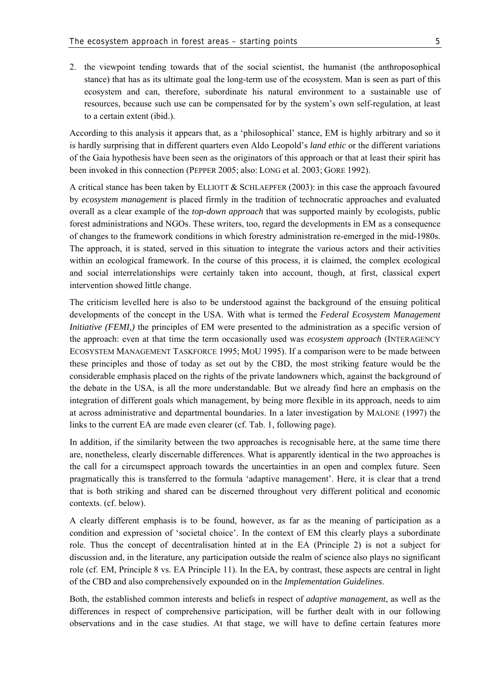2. the viewpoint tending towards that of the social scientist, the humanist (the anthroposophical stance) that has as its ultimate goal the long-term use of the ecosystem. Man is seen as part of this ecosystem and can, therefore, subordinate his natural environment to a sustainable use of resources, because such use can be compensated for by the system's own self-regulation, at least to a certain extent (ibid.).

According to this analysis it appears that, as a 'philosophical' stance, EM is highly arbitrary and so it is hardly surprising that in different quarters even Aldo Leopold's *land ethic* or the different variations of the Gaia hypothesis have been seen as the originators of this approach or that at least their spirit has been invoked in this connection (PEPPER 2005; also: LONG et al. 2003; GORE 1992).

A critical stance has been taken by ELLIOTT & SCHLAEPFER (2003): in this case the approach favoured by *ecosystem management* is placed firmly in the tradition of technocratic approaches and evaluated overall as a clear example of the *top-down approach* that was supported mainly by ecologists, public forest administrations and NGOs. These writers, too, regard the developments in EM as a consequence of changes to the framework conditions in which forestry administration re-emerged in the mid-1980s. The approach, it is stated, served in this situation to integrate the various actors and their activities within an ecological framework. In the course of this process, it is claimed, the complex ecological and social interrelationships were certainly taken into account, though, at first, classical expert intervention showed little change.

The criticism levelled here is also to be understood against the background of the ensuing political developments of the concept in the USA. With what is termed the *Federal Ecosystem Management Initiative (FEMI,)* the principles of EM were presented to the administration as a specific version of the approach: even at that time the term occasionally used was *ecosystem approach* (INTERAGENCY ECOSYSTEM MANAGEMENT TASKFORCE 1995; MOU 1995). If a comparison were to be made between these principles and those of today as set out by the CBD, the most striking feature would be the considerable emphasis placed on the rights of the private landowners which, against the background of the debate in the USA, is all the more understandable. But we already find here an emphasis on the integration of different goals which management, by being more flexible in its approach, needs to aim at across administrative and departmental boundaries. In a later investigation by MALONE (1997) the links to the current EA are made even clearer (cf. Tab. 1, following page).

In addition, if the similarity between the two approaches is recognisable here, at the same time there are, nonetheless, clearly discernable differences. What is apparently identical in the two approaches is the call for a circumspect approach towards the uncertainties in an open and complex future. Seen pragmatically this is transferred to the formula 'adaptive management'. Here, it is clear that a trend that is both striking and shared can be discerned throughout very different political and economic contexts. (cf. below).

A clearly different emphasis is to be found, however, as far as the meaning of participation as a condition and expression of 'societal choice'. In the context of EM this clearly plays a subordinate role. Thus the concept of decentralisation hinted at in the EA (Principle 2) is not a subject for discussion and, in the literature, any participation outside the realm of science also plays no significant role (cf. EM, Principle 8 vs. EA Principle 11). In the EA, by contrast, these aspects are central in light of the CBD and also comprehensively expounded on in the *Implementation Guidelines*.

Both, the established common interests and beliefs in respect of *adaptive management*, as well as the differences in respect of comprehensive participation, will be further dealt with in our following observations and in the case studies. At that stage, we will have to define certain features more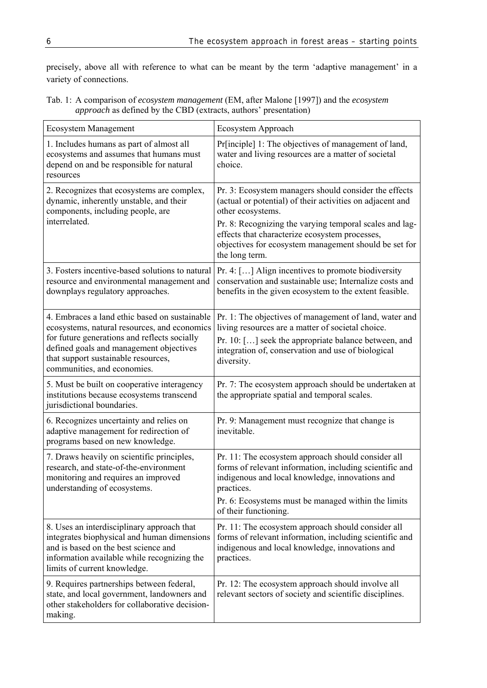precisely, above all with reference to what can be meant by the term 'adaptive management' in a variety of connections.

| Tab. 1: A comparison of <i>ecosystem management</i> (EM, after Malone [1997]) and the <i>ecosystem</i> |
|--------------------------------------------------------------------------------------------------------|
| <i>approach</i> as defined by the CBD (extracts, authors' presentation)                                |

| <b>Ecosystem Management</b>                                                                                                                                                                                                                                    | Ecosystem Approach                                                                                                                                                                                                                                                                                                              |
|----------------------------------------------------------------------------------------------------------------------------------------------------------------------------------------------------------------------------------------------------------------|---------------------------------------------------------------------------------------------------------------------------------------------------------------------------------------------------------------------------------------------------------------------------------------------------------------------------------|
| 1. Includes humans as part of almost all<br>ecosystems and assumes that humans must<br>depend on and be responsible for natural<br>resources                                                                                                                   | Pr[inciple] 1: The objectives of management of land,<br>water and living resources are a matter of societal<br>choice.                                                                                                                                                                                                          |
| 2. Recognizes that ecosystems are complex,<br>dynamic, inherently unstable, and their<br>components, including people, are<br>interrelated.                                                                                                                    | Pr. 3: Ecosystem managers should consider the effects<br>(actual or potential) of their activities on adjacent and<br>other ecosystems.<br>Pr. 8: Recognizing the varying temporal scales and lag-<br>effects that characterize ecosystem processes,<br>objectives for ecosystem management should be set for<br>the long term. |
| 3. Fosters incentive-based solutions to natural<br>resource and environmental management and<br>downplays regulatory approaches.                                                                                                                               | Pr. 4: $\left[ \ldots \right]$ Align incentives to promote biodiversity<br>conservation and sustainable use; Internalize costs and<br>benefits in the given ecosystem to the extent feasible.                                                                                                                                   |
| 4. Embraces a land ethic based on sustainable<br>ecosystems, natural resources, and economics<br>for future generations and reflects socially<br>defined goals and management objectives<br>that support sustainable resources,<br>communities, and economies. | Pr. 1: The objectives of management of land, water and<br>living resources are a matter of societal choice.<br>Pr. 10: [] seek the appropriate balance between, and<br>integration of, conservation and use of biological<br>diversity.                                                                                         |
| 5. Must be built on cooperative interagency<br>institutions because ecosystems transcend<br>jurisdictional boundaries.                                                                                                                                         | Pr. 7: The ecosystem approach should be undertaken at<br>the appropriate spatial and temporal scales.                                                                                                                                                                                                                           |
| 6. Recognizes uncertainty and relies on<br>adaptive management for redirection of<br>programs based on new knowledge.                                                                                                                                          | Pr. 9: Management must recognize that change is<br>inevitable.                                                                                                                                                                                                                                                                  |
| 7. Draws heavily on scientific principles,<br>research, and state-of-the-environment<br>monitoring and requires an improved<br>understanding of ecosystems.                                                                                                    | Pr. 11: The ecosystem approach should consider all<br>forms of relevant information, including scientific and<br>indigenous and local knowledge, innovations and<br>practices.<br>Pr. 6: Ecosystems must be managed within the limits<br>of their functioning.                                                                  |
| 8. Uses an interdisciplinary approach that<br>integrates biophysical and human dimensions<br>and is based on the best science and<br>information available while recognizing the<br>limits of current knowledge.                                               | Pr. 11: The ecosystem approach should consider all<br>forms of relevant information, including scientific and<br>indigenous and local knowledge, innovations and<br>practices.                                                                                                                                                  |
| 9. Requires partnerships between federal,<br>state, and local government, landowners and<br>other stakeholders for collaborative decision-<br>making.                                                                                                          | Pr. 12: The ecosystem approach should involve all<br>relevant sectors of society and scientific disciplines.                                                                                                                                                                                                                    |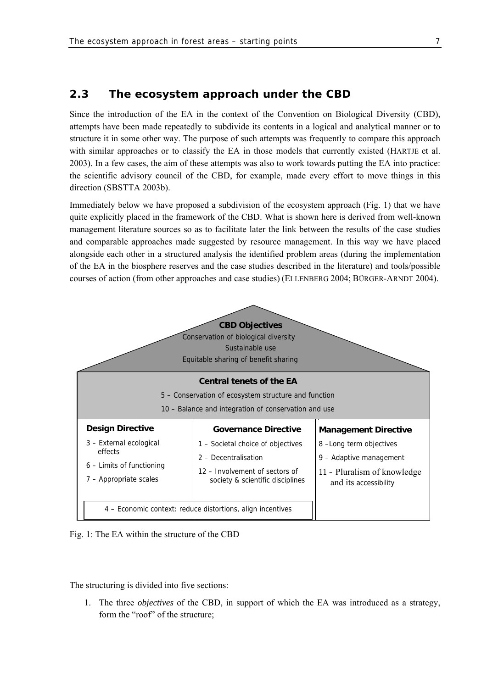# **2.3 The ecosystem approach under the CBD**

Since the introduction of the EA in the context of the Convention on Biological Diversity (CBD), attempts have been made repeatedly to subdivide its contents in a logical and analytical manner or to structure it in some other way. The purpose of such attempts was frequently to compare this approach with similar approaches or to classify the EA in those models that currently existed (HARTJE et al. 2003). In a few cases, the aim of these attempts was also to work towards putting the EA into practice: the scientific advisory council of the CBD, for example, made every effort to move things in this direction (SBSTTA 2003b).

Immediately below we have proposed a subdivision of the ecosystem approach (Fig. 1) that we have quite explicitly placed in the framework of the CBD. What is shown here is derived from well-known management literature sources so as to facilitate later the link between the results of the case studies and comparable approaches made suggested by resource management. In this way we have placed alongside each other in a structured analysis the identified problem areas (during the implementation of the EA in the biosphere reserves and the case studies described in the literature) and tools/possible courses of action (from other approaches and case studies) (ELLENBERG 2004; BÜRGER-ARNDT 2004).



Fig. 1: The EA within the structure of the CBD

The structuring is divided into five sections:

1. The three *objectives* of the CBD, in support of which the EA was introduced as a strategy, form the "roof" of the structure;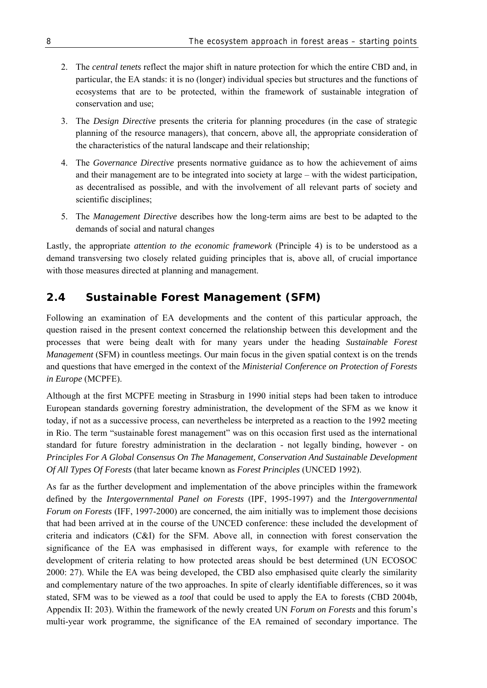- 2. The *central tenets* reflect the major shift in nature protection for which the entire CBD and, in particular, the EA stands: it is no (longer) individual species but structures and the functions of ecosystems that are to be protected, within the framework of sustainable integration of conservation and use;
- 3. The *Design Directive* presents the criteria for planning procedures (in the case of strategic planning of the resource managers), that concern, above all, the appropriate consideration of the characteristics of the natural landscape and their relationship;
- 4. The *Governance Directive* presents normative guidance as to how the achievement of aims and their management are to be integrated into society at large – with the widest participation, as decentralised as possible, and with the involvement of all relevant parts of society and scientific disciplines;
- 5. The *Management Directive* describes how the long-term aims are best to be adapted to the demands of social and natural changes

Lastly, the appropriate *attention to the economic framework* (Principle 4) is to be understood as a demand transversing two closely related guiding principles that is, above all, of crucial importance with those measures directed at planning and management.

# **2.4 Sustainable Forest Management (SFM)**

Following an examination of EA developments and the content of this particular approach, the question raised in the present context concerned the relationship between this development and the processes that were being dealt with for many years under the heading *Sustainable Forest Management* (SFM) in countless meetings. Our main focus in the given spatial context is on the trends and questions that have emerged in the context of the *Ministerial Conference on Protection of Forests in Europe* (MCPFE).

Although at the first MCPFE meeting in Strasburg in 1990 initial steps had been taken to introduce European standards governing forestry administration, the development of the SFM as we know it today, if not as a successive process, can nevertheless be interpreted as a reaction to the 1992 meeting in Rio. The term "sustainable forest management" was on this occasion first used as the international standard for future forestry administration in the declaration - not legally binding, however - on *Principles For A Global Consensus On The Management, Conservation And Sustainable Development Of All Types Of Forests* (that later became known as *Forest Principles* (UNCED 1992).

As far as the further development and implementation of the above principles within the framework defined by the *Intergovernmental Panel on Forests* (IPF, 1995-1997) and the *Intergovernmental Forum on Forests* (IFF, 1997-2000) are concerned, the aim initially was to implement those decisions that had been arrived at in the course of the UNCED conference: these included the development of criteria and indicators (C&I) for the SFM. Above all, in connection with forest conservation the significance of the EA was emphasised in different ways, for example with reference to the development of criteria relating to how protected areas should be best determined (UN ECOSOC 2000: 27). While the EA was being developed, the CBD also emphasised quite clearly the similarity and complementary nature of the two approaches. In spite of clearly identifiable differences, so it was stated, SFM was to be viewed as a *tool* that could be used to apply the EA to forests (CBD 2004b, Appendix II: 203). Within the framework of the newly created UN *Forum on Forests* and this forum's multi-year work programme, the significance of the EA remained of secondary importance. The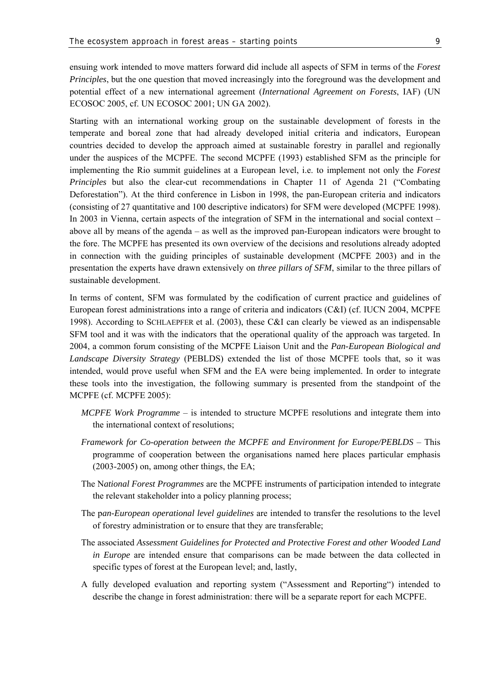ensuing work intended to move matters forward did include all aspects of SFM in terms of the *Forest Principles*, but the one question that moved increasingly into the foreground was the development and potential effect of a new international agreement (*International Agreement on Forests*, IAF) (UN ECOSOC 2005, cf. UN ECOSOC 2001; UN GA 2002).

Starting with an international working group on the sustainable development of forests in the temperate and boreal zone that had already developed initial criteria and indicators, European countries decided to develop the approach aimed at sustainable forestry in parallel and regionally under the auspices of the MCPFE. The second MCPFE (1993) established SFM as the principle for implementing the Rio summit guidelines at a European level, i.e. to implement not only the *Forest Principles* but also the clear-cut recommendations in Chapter 11 of Agenda 21 ("Combating Deforestation"). At the third conference in Lisbon in 1998, the pan-European criteria and indicators (consisting of 27 quantitative and 100 descriptive indicators) for SFM were developed (MCPFE 1998). In 2003 in Vienna, certain aspects of the integration of SFM in the international and social context – above all by means of the agenda – as well as the improved pan-European indicators were brought to the fore. The MCPFE has presented its own overview of the decisions and resolutions already adopted in connection with the guiding principles of sustainable development (MCPFE 2003) and in the presentation the experts have drawn extensively on *three pillars of SFM*, similar to the three pillars of sustainable development.

In terms of content, SFM was formulated by the codification of current practice and guidelines of European forest administrations into a range of criteria and indicators (C&I) (cf. IUCN 2004, MCPFE 1998). According to SCHLAEPFER et al. (2003), these C&I can clearly be viewed as an indispensable SFM tool and it was with the indicators that the operational quality of the approach was targeted. In 2004, a common forum consisting of the MCPFE Liaison Unit and the *Pan-European Biological and Landscape Diversity Strategy* (PEBLDS) extended the list of those MCPFE tools that, so it was intended, would prove useful when SFM and the EA were being implemented. In order to integrate these tools into the investigation, the following summary is presented from the standpoint of the MCPFE (cf. MCPFE 2005):

- *MCPFE Work Programme* is intended to structure MCPFE resolutions and integrate them into the international context of resolutions;
- *Framework for Co-operation between the MCPFE and Environment for Europe/PEBLDS* This programme of cooperation between the organisations named here places particular emphasis (2003-2005) on, among other things, the EA;
- The N*ational Forest Programmes* are the MCPFE instruments of participation intended to integrate the relevant stakeholder into a policy planning process;
- The p*an-European operational level guidelines* are intended to transfer the resolutions to the level of forestry administration or to ensure that they are transferable;
- The associated *Assessment Guidelines for Protected and Protective Forest and other Wooded Land in Europe* are intended ensure that comparisons can be made between the data collected in specific types of forest at the European level; and, lastly,
- A fully developed evaluation and reporting system ("Assessment and Reporting") intended to describe the change in forest administration: there will be a separate report for each MCPFE.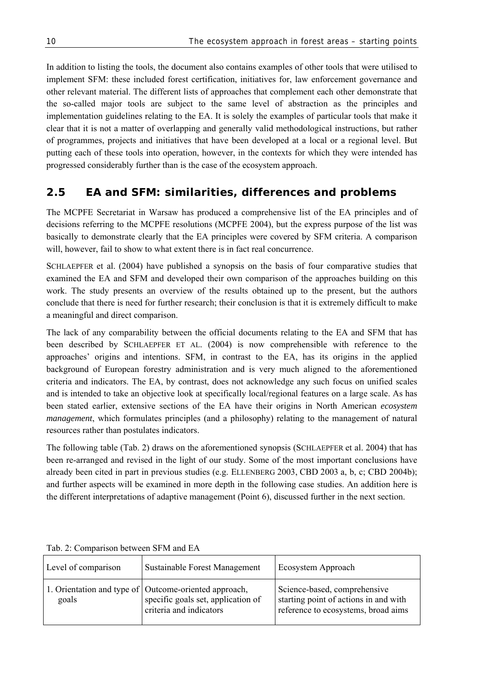In addition to listing the tools, the document also contains examples of other tools that were utilised to implement SFM: these included forest certification, initiatives for, law enforcement governance and other relevant material. The different lists of approaches that complement each other demonstrate that the so-called major tools are subject to the same level of abstraction as the principles and implementation guidelines relating to the EA. It is solely the examples of particular tools that make it clear that it is not a matter of overlapping and generally valid methodological instructions, but rather of programmes, projects and initiatives that have been developed at a local or a regional level. But putting each of these tools into operation, however, in the contexts for which they were intended has progressed considerably further than is the case of the ecosystem approach.

# **2.5 EA and SFM: similarities, differences and problems**

The MCPFE Secretariat in Warsaw has produced a comprehensive list of the EA principles and of decisions referring to the MCPFE resolutions (MCPFE 2004), but the express purpose of the list was basically to demonstrate clearly that the EA principles were covered by SFM criteria. A comparison will, however, fail to show to what extent there is in fact real concurrence.

SCHLAEPFER et al. (2004) have published a synopsis on the basis of four comparative studies that examined the EA and SFM and developed their own comparison of the approaches building on this work. The study presents an overview of the results obtained up to the present, but the authors conclude that there is need for further research; their conclusion is that it is extremely difficult to make a meaningful and direct comparison.

The lack of any comparability between the official documents relating to the EA and SFM that has been described by SCHLAEPFER ET AL. (2004) is now comprehensible with reference to the approaches' origins and intentions. SFM, in contrast to the EA, has its origins in the applied background of European forestry administration and is very much aligned to the aforementioned criteria and indicators. The EA, by contrast, does not acknowledge any such focus on unified scales and is intended to take an objective look at specifically local/regional features on a large scale. As has been stated earlier, extensive sections of the EA have their origins in North American *ecosystem management*, which formulates principles (and a philosophy) relating to the management of natural resources rather than postulates indicators.

The following table (Tab. 2) draws on the aforementioned synopsis (SCHLAEPFER et al. 2004) that has been re-arranged and revised in the light of our study. Some of the most important conclusions have already been cited in part in previous studies (e.g. ELLENBERG 2003, CBD 2003 a, b, c; CBD 2004b); and further aspects will be examined in more depth in the following case studies. An addition here is the different interpretations of adaptive management (Point 6), discussed further in the next section.

| Level of comparison | <b>Sustainable Forest Management</b>                                                                                     | Ecosystem Approach                                                                                           |
|---------------------|--------------------------------------------------------------------------------------------------------------------------|--------------------------------------------------------------------------------------------------------------|
| goals               | 1. Orientation and type of   Outcome-oriented approach,<br>specific goals set, application of<br>criteria and indicators | Science-based, comprehensive<br>starting point of actions in and with<br>reference to ecosystems, broad aims |

Tab. 2: Comparison between SFM and EA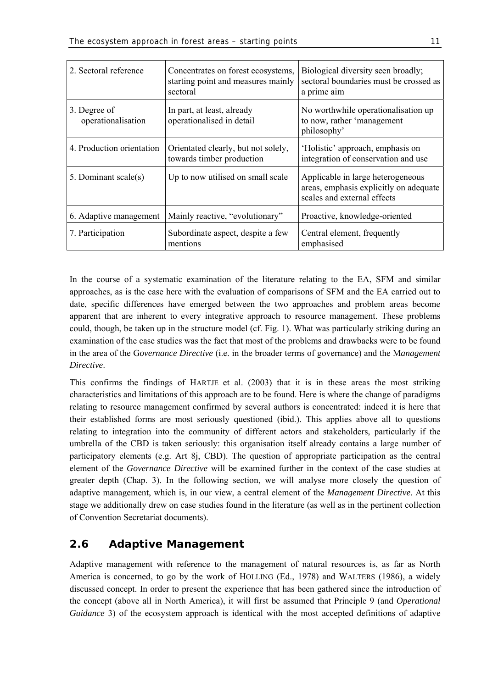| 2. Sectoral reference              | Concentrates on forest ecosystems,<br>starting point and measures mainly<br>sectoral | Biological diversity seen broadly;<br>sectoral boundaries must be crossed as<br>a prime aim                |
|------------------------------------|--------------------------------------------------------------------------------------|------------------------------------------------------------------------------------------------------------|
| 3. Degree of<br>operationalisation | In part, at least, already<br>operationalised in detail                              | No worthwhile operationalisation up<br>to now, rather 'management<br>philosophy'                           |
| 4. Production orientation          | Orientated clearly, but not solely,<br>towards timber production                     | 'Holistic' approach, emphasis on<br>integration of conservation and use                                    |
| 5. Dominant scale(s)               | Up to now utilised on small scale                                                    | Applicable in large heterogeneous<br>areas, emphasis explicitly on adequate<br>scales and external effects |
| 6. Adaptive management             | Mainly reactive, "evolutionary"                                                      | Proactive, knowledge-oriented                                                                              |
| 7. Participation                   | Subordinate aspect, despite a few<br>mentions                                        | Central element, frequently<br>emphasised                                                                  |

In the course of a systematic examination of the literature relating to the EA, SFM and similar approaches, as is the case here with the evaluation of comparisons of SFM and the EA carried out to date, specific differences have emerged between the two approaches and problem areas become apparent that are inherent to every integrative approach to resource management. These problems could, though, be taken up in the structure model (cf. Fig. 1). What was particularly striking during an examination of the case studies was the fact that most of the problems and drawbacks were to be found in the area of the G*overnance Directive* (i.e. in the broader terms of governance) and the M*anagement Directive*.

This confirms the findings of HARTJE et al. (2003) that it is in these areas the most striking characteristics and limitations of this approach are to be found. Here is where the change of paradigms relating to resource management confirmed by several authors is concentrated: indeed it is here that their established forms are most seriously questioned (ibid.). This applies above all to questions relating to integration into the community of different actors and stakeholders, particularly if the umbrella of the CBD is taken seriously: this organisation itself already contains a large number of participatory elements (e.g. Art 8j, CBD). The question of appropriate participation as the central element of the *Governance Directive* will be examined further in the context of the case studies at greater depth (Chap. 3). In the following section, we will analyse more closely the question of adaptive management, which is, in our view, a central element of the *Management Directive*. At this stage we additionally drew on case studies found in the literature (as well as in the pertinent collection of Convention Secretariat documents).

# **2.6 Adaptive Management**

Adaptive management with reference to the management of natural resources is, as far as North America is concerned, to go by the work of HOLLING (Ed., 1978) and WALTERS (1986), a widely discussed concept. In order to present the experience that has been gathered since the introduction of the concept (above all in North America), it will first be assumed that Principle 9 (and *Operational Guidance* 3) of the ecosystem approach is identical with the most accepted definitions of adaptive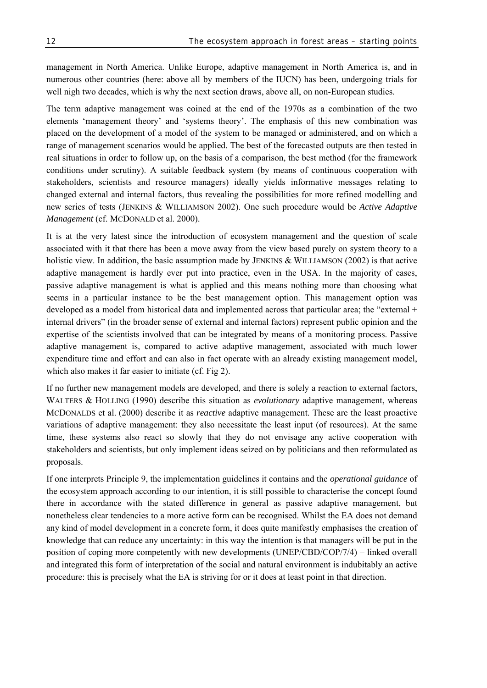management in North America. Unlike Europe, adaptive management in North America is, and in numerous other countries (here: above all by members of the IUCN) has been, undergoing trials for well nigh two decades, which is why the next section draws, above all, on non-European studies.

The term adaptive management was coined at the end of the 1970s as a combination of the two elements 'management theory' and 'systems theory'. The emphasis of this new combination was placed on the development of a model of the system to be managed or administered, and on which a range of management scenarios would be applied. The best of the forecasted outputs are then tested in real situations in order to follow up, on the basis of a comparison, the best method (for the framework conditions under scrutiny). A suitable feedback system (by means of continuous cooperation with stakeholders, scientists and resource managers) ideally yields informative messages relating to changed external and internal factors, thus revealing the possibilities for more refined modelling and new series of tests (JENKINS & WILLIAMSON 2002). One such procedure would be *Active Adaptive Management* (cf. MCDONALD et al. 2000).

It is at the very latest since the introduction of ecosystem management and the question of scale associated with it that there has been a move away from the view based purely on system theory to a holistic view. In addition, the basic assumption made by JENKINS & WILLIAMSON (2002) is that active adaptive management is hardly ever put into practice, even in the USA. In the majority of cases, passive adaptive management is what is applied and this means nothing more than choosing what seems in a particular instance to be the best management option. This management option was developed as a model from historical data and implemented across that particular area; the "external + internal drivers" (in the broader sense of external and internal factors) represent public opinion and the expertise of the scientists involved that can be integrated by means of a monitoring process. Passive adaptive management is, compared to active adaptive management, associated with much lower expenditure time and effort and can also in fact operate with an already existing management model, which also makes it far easier to initiate (cf. Fig 2).

If no further new management models are developed, and there is solely a reaction to external factors, WALTERS & HOLLING (1990) describe this situation as *evolutionary* adaptive management, whereas MCDONALDS et al. (2000) describe it as *reactive* adaptive management. These are the least proactive variations of adaptive management: they also necessitate the least input (of resources). At the same time, these systems also react so slowly that they do not envisage any active cooperation with stakeholders and scientists, but only implement ideas seized on by politicians and then reformulated as proposals.

If one interprets Principle 9, the implementation guidelines it contains and the *operational guidance* of the ecosystem approach according to our intention, it is still possible to characterise the concept found there in accordance with the stated difference in general as passive adaptive management, but nonetheless clear tendencies to a more active form can be recognised. Whilst the EA does not demand any kind of model development in a concrete form, it does quite manifestly emphasises the creation of knowledge that can reduce any uncertainty: in this way the intention is that managers will be put in the position of coping more competently with new developments (UNEP/CBD/COP/7/4) – linked overall and integrated this form of interpretation of the social and natural environment is indubitably an active procedure: this is precisely what the EA is striving for or it does at least point in that direction.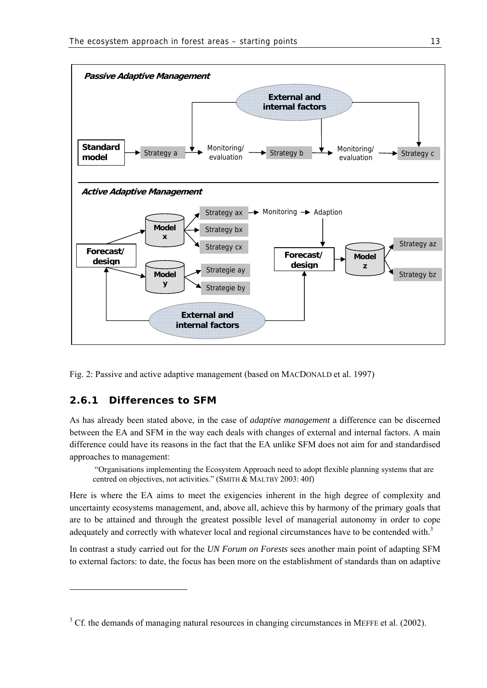

Fig. 2: Passive and active adaptive management (based on MACDONALD et al. 1997)

# **2.6.1 Differences to SFM**

-

As has already been stated above, in the case of *adaptive management* a difference can be discerned between the EA and SFM in the way each deals with changes of external and internal factors. A main difference could have its reasons in the fact that the EA unlike SFM does not aim for and standardised approaches to management:

 "Organisations implementing the Ecosystem Approach need to adopt flexible planning systems that are centred on objectives, not activities." (SMITH & MALTBY 2003: 40f)

Here is where the EA aims to meet the exigencies inherent in the high degree of complexity and uncertainty ecosystems management, and, above all, achieve this by harmony of the primary goals that are to be attained and through the greatest possible level of managerial autonomy in order to cope adequately and correctly with whatever local and regional circumstances have to be contended with.<sup>3</sup>

In contrast a study carried out for the *UN Forum on Forests* sees another main point of adapting SFM to external factors: to date, the focus has been more on the establishment of standards than on adaptive

 $3$  Cf. the demands of managing natural resources in changing circumstances in MEFFE et al. (2002).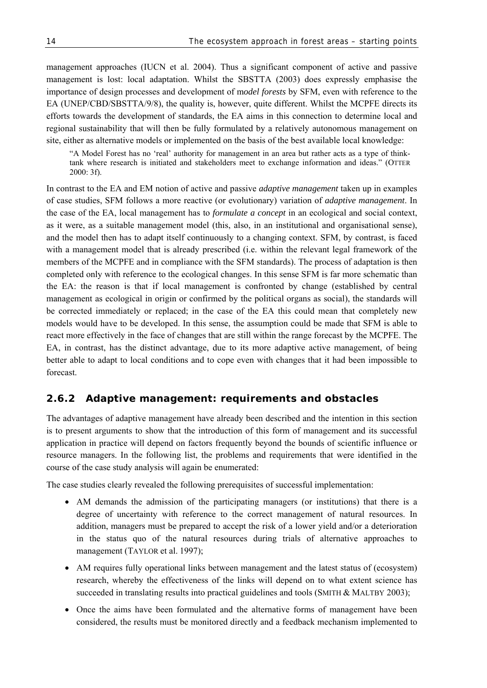management approaches (IUCN et al. 2004). Thus a significant component of active and passive management is lost: local adaptation. Whilst the SBSTTA (2003) does expressly emphasise the importance of design processes and development of m*odel forests* by SFM, even with reference to the EA (UNEP/CBD/SBSTTA/9/8), the quality is, however, quite different. Whilst the MCPFE directs its efforts towards the development of standards, the EA aims in this connection to determine local and regional sustainability that will then be fully formulated by a relatively autonomous management on site, either as alternative models or implemented on the basis of the best available local knowledge:

"A Model Forest has no 'real' authority for management in an area but rather acts as a type of thinktank where research is initiated and stakeholders meet to exchange information and ideas." (OTTER 2000: 3f).

In contrast to the EA and EM notion of active and passive *adaptive management* taken up in examples of case studies, SFM follows a more reactive (or evolutionary) variation of *adaptive management*. In the case of the EA, local management has to *formulate a concept* in an ecological and social context, as it were, as a suitable management model (this, also, in an institutional and organisational sense), and the model then has to adapt itself continuously to a changing context. SFM, by contrast, is faced with a management model that is already prescribed (i.e. within the relevant legal framework of the members of the MCPFE and in compliance with the SFM standards). The process of adaptation is then completed only with reference to the ecological changes. In this sense SFM is far more schematic than the EA: the reason is that if local management is confronted by change (established by central management as ecological in origin or confirmed by the political organs as social), the standards will be corrected immediately or replaced; in the case of the EA this could mean that completely new models would have to be developed. In this sense, the assumption could be made that SFM is able to react more effectively in the face of changes that are still within the range forecast by the MCPFE. The EA, in contrast, has the distinct advantage, due to its more adaptive active management, of being better able to adapt to local conditions and to cope even with changes that it had been impossible to forecast.

# **2.6.2 Adaptive management: requirements and obstacles**

The advantages of adaptive management have already been described and the intention in this section is to present arguments to show that the introduction of this form of management and its successful application in practice will depend on factors frequently beyond the bounds of scientific influence or resource managers. In the following list, the problems and requirements that were identified in the course of the case study analysis will again be enumerated:

The case studies clearly revealed the following prerequisites of successful implementation:

- AM demands the admission of the participating managers (or institutions) that there is a degree of uncertainty with reference to the correct management of natural resources. In addition, managers must be prepared to accept the risk of a lower yield and/or a deterioration in the status quo of the natural resources during trials of alternative approaches to management (TAYLOR et al. 1997);
- AM requires fully operational links between management and the latest status of (ecosystem) research, whereby the effectiveness of the links will depend on to what extent science has succeeded in translating results into practical guidelines and tools (SMITH & MALTBY 2003);
- Once the aims have been formulated and the alternative forms of management have been considered, the results must be monitored directly and a feedback mechanism implemented to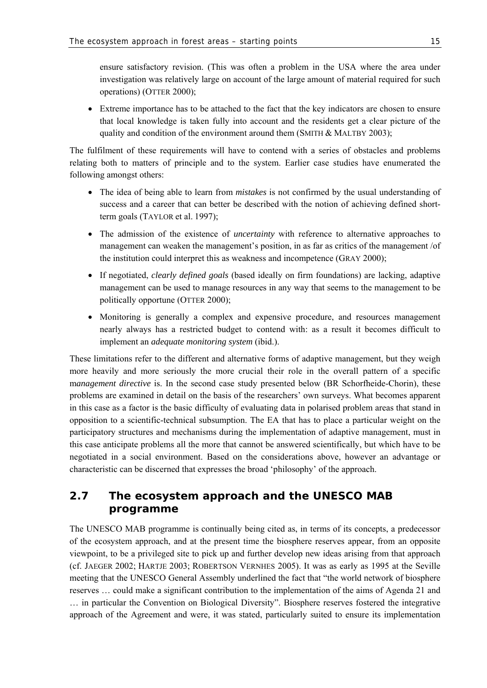ensure satisfactory revision. (This was often a problem in the USA where the area under investigation was relatively large on account of the large amount of material required for such operations) (OTTER 2000);

• Extreme importance has to be attached to the fact that the key indicators are chosen to ensure that local knowledge is taken fully into account and the residents get a clear picture of the quality and condition of the environment around them (SMITH  $&$  MALTBY 2003);

The fulfilment of these requirements will have to contend with a series of obstacles and problems relating both to matters of principle and to the system. Earlier case studies have enumerated the following amongst others:

- The idea of being able to learn from *mistakes* is not confirmed by the usual understanding of success and a career that can better be described with the notion of achieving defined shortterm goals (TAYLOR et al. 1997);
- The admission of the existence of *uncertainty* with reference to alternative approaches to management can weaken the management's position, in as far as critics of the management /of the institution could interpret this as weakness and incompetence (GRAY 2000);
- If negotiated, *clearly defined goals* (based ideally on firm foundations) are lacking, adaptive management can be used to manage resources in any way that seems to the management to be politically opportune (OTTER 2000);
- Monitoring is generally a complex and expensive procedure, and resources management nearly always has a restricted budget to contend with: as a result it becomes difficult to implement an *adequate monitoring system* (ibid.).

These limitations refer to the different and alternative forms of adaptive management, but they weigh more heavily and more seriously the more crucial their role in the overall pattern of a specific m*anagement directive* is. In the second case study presented below (BR Schorfheide-Chorin), these problems are examined in detail on the basis of the researchers' own surveys. What becomes apparent in this case as a factor is the basic difficulty of evaluating data in polarised problem areas that stand in opposition to a scientific-technical subsumption. The EA that has to place a particular weight on the participatory structures and mechanisms during the implementation of adaptive management, must in this case anticipate problems all the more that cannot be answered scientifically, but which have to be negotiated in a social environment. Based on the considerations above, however an advantage or characteristic can be discerned that expresses the broad 'philosophy' of the approach.

# **2.7 The ecosystem approach and the UNESCO MAB programme**

The UNESCO MAB programme is continually being cited as, in terms of its concepts, a predecessor of the ecosystem approach, and at the present time the biosphere reserves appear, from an opposite viewpoint, to be a privileged site to pick up and further develop new ideas arising from that approach (cf. JAEGER 2002; HARTJE 2003; ROBERTSON VERNHES 2005). It was as early as 1995 at the Seville meeting that the UNESCO General Assembly underlined the fact that "the world network of biosphere reserves … could make a significant contribution to the implementation of the aims of Agenda 21 and … in particular the Convention on Biological Diversity". Biosphere reserves fostered the integrative approach of the Agreement and were, it was stated, particularly suited to ensure its implementation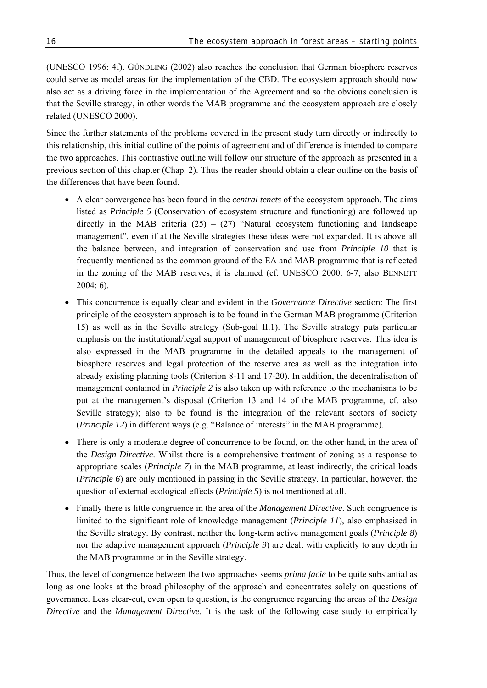(UNESCO 1996: 4f). GÜNDLING (2002) also reaches the conclusion that German biosphere reserves could serve as model areas for the implementation of the CBD. The ecosystem approach should now also act as a driving force in the implementation of the Agreement and so the obvious conclusion is that the Seville strategy, in other words the MAB programme and the ecosystem approach are closely related (UNESCO 2000).

Since the further statements of the problems covered in the present study turn directly or indirectly to this relationship, this initial outline of the points of agreement and of difference is intended to compare the two approaches. This contrastive outline will follow our structure of the approach as presented in a previous section of this chapter (Chap. 2). Thus the reader should obtain a clear outline on the basis of the differences that have been found.

- A clear convergence has been found in the *central tenets* of the ecosystem approach. The aims listed as *Principle 5* (Conservation of ecosystem structure and functioning) are followed up directly in the MAB criteria  $(25) - (27)$  "Natural ecosystem functioning and landscape management", even if at the Seville strategies these ideas were not expanded. It is above all the balance between, and integration of conservation and use from *Principle 10* that is frequently mentioned as the common ground of the EA and MAB programme that is reflected in the zoning of the MAB reserves, it is claimed (cf. UNESCO 2000: 6-7; also BENNETT  $2004 \cdot 6$
- This concurrence is equally clear and evident in the *Governance Directive* section: The first principle of the ecosystem approach is to be found in the German MAB programme (Criterion 15) as well as in the Seville strategy (Sub-goal II.1). The Seville strategy puts particular emphasis on the institutional/legal support of management of biosphere reserves. This idea is also expressed in the MAB programme in the detailed appeals to the management of biosphere reserves and legal protection of the reserve area as well as the integration into already existing planning tools (Criterion 8-11 and 17-20). In addition, the decentralisation of management contained in *Principle 2* is also taken up with reference to the mechanisms to be put at the management's disposal (Criterion 13 and 14 of the MAB programme, cf. also Seville strategy); also to be found is the integration of the relevant sectors of society (*Principle 12*) in different ways (e.g. "Balance of interests" in the MAB programme).
- There is only a moderate degree of concurrence to be found, on the other hand, in the area of the *Design Directive*. Whilst there is a comprehensive treatment of zoning as a response to appropriate scales (*Principle 7*) in the MAB programme, at least indirectly, the critical loads (*Principle 6*) are only mentioned in passing in the Seville strategy. In particular, however, the question of external ecological effects (*Principle 5*) is not mentioned at all.
- Finally there is little congruence in the area of the *Management Directive*. Such congruence is limited to the significant role of knowledge management (*Principle 11*), also emphasised in the Seville strategy. By contrast, neither the long-term active management goals (*Principle 8*) nor the adaptive management approach (*Principle 9*) are dealt with explicitly to any depth in the MAB programme or in the Seville strategy.

Thus, the level of congruence between the two approaches seems *prima facie* to be quite substantial as long as one looks at the broad philosophy of the approach and concentrates solely on questions of governance. Less clear-cut, even open to question, is the congruence regarding the areas of the *Design Directive* and the *Management Directive*. It is the task of the following case study to empirically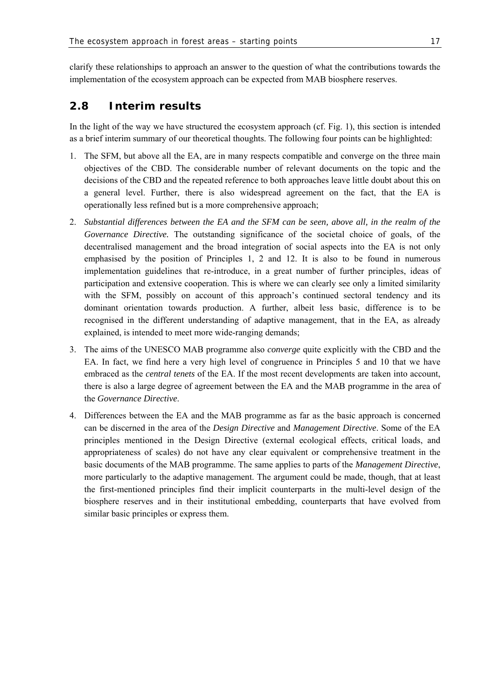clarify these relationships to approach an answer to the question of what the contributions towards the implementation of the ecosystem approach can be expected from MAB biosphere reserves.

# **2.8 Interim results**

In the light of the way we have structured the ecosystem approach (cf. Fig. 1), this section is intended as a brief interim summary of our theoretical thoughts. The following four points can be highlighted:

- 1. The SFM, but above all the EA, are in many respects compatible and converge on the three main objectives of the CBD. The considerable number of relevant documents on the topic and the decisions of the CBD and the repeated reference to both approaches leave little doubt about this on a general level. Further, there is also widespread agreement on the fact, that the EA is operationally less refined but is a more comprehensive approach;
- 2. *Substantial differences between the EA and the SFM can be seen, above all, in the realm of the Governance Directive.* The outstanding significance of the societal choice of goals, of the decentralised management and the broad integration of social aspects into the EA is not only emphasised by the position of Principles 1, 2 and 12. It is also to be found in numerous implementation guidelines that re-introduce, in a great number of further principles, ideas of participation and extensive cooperation. This is where we can clearly see only a limited similarity with the SFM, possibly on account of this approach's continued sectoral tendency and its dominant orientation towards production. A further, albeit less basic, difference is to be recognised in the different understanding of adaptive management, that in the EA, as already explained, is intended to meet more wide-ranging demands;
- 3. The aims of the UNESCO MAB programme also *converge* quite explicitly with the CBD and the EA. In fact, we find here a very high level of congruence in Principles 5 and 10 that we have embraced as the *central tenets* of the EA. If the most recent developments are taken into account, there is also a large degree of agreement between the EA and the MAB programme in the area of the *Governance Directive*.
- 4. Differences between the EA and the MAB programme as far as the basic approach is concerned can be discerned in the area of the *Design Directive* and *Management Directive*. Some of the EA principles mentioned in the Design Directive (external ecological effects, critical loads, and appropriateness of scales) do not have any clear equivalent or comprehensive treatment in the basic documents of the MAB programme. The same applies to parts of the *Management Directive*, more particularly to the adaptive management. The argument could be made, though, that at least the first-mentioned principles find their implicit counterparts in the multi-level design of the biosphere reserves and in their institutional embedding, counterparts that have evolved from similar basic principles or express them.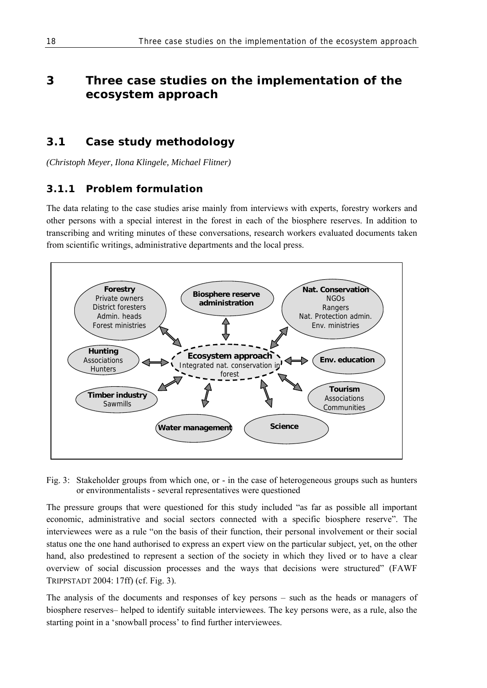# **3 Three case studies on the implementation of the ecosystem approach**

# **3.1 Case study methodology**

*(Christoph Meyer, Ilona Klingele, Michael Flitner)* 

# **3.1.1 Problem formulation**

The data relating to the case studies arise mainly from interviews with experts, forestry workers and other persons with a special interest in the forest in each of the biosphere reserves. In addition to transcribing and writing minutes of these conversations, research workers evaluated documents taken from scientific writings, administrative departments and the local press.



Fig. 3: Stakeholder groups from which one, or - in the case of heterogeneous groups such as hunters or environmentalists - several representatives were questioned

The pressure groups that were questioned for this study included "as far as possible all important economic, administrative and social sectors connected with a specific biosphere reserve". The interviewees were as a rule "on the basis of their function, their personal involvement or their social status one the one hand authorised to express an expert view on the particular subject, yet, on the other hand, also predestined to represent a section of the society in which they lived or to have a clear overview of social discussion processes and the ways that decisions were structured" (FAWF TRIPPSTADT 2004: 17ff) (cf. Fig. 3).

The analysis of the documents and responses of key persons – such as the heads or managers of biosphere reserves– helped to identify suitable interviewees. The key persons were, as a rule, also the starting point in a 'snowball process' to find further interviewees.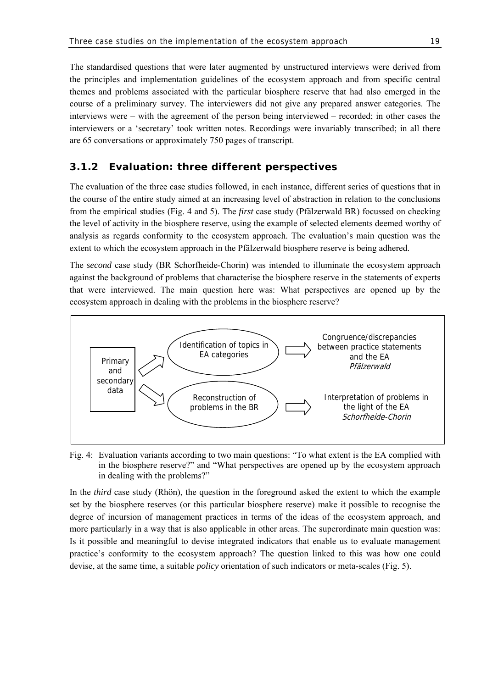The standardised questions that were later augmented by unstructured interviews were derived from the principles and implementation guidelines of the ecosystem approach and from specific central themes and problems associated with the particular biosphere reserve that had also emerged in the course of a preliminary survey. The interviewers did not give any prepared answer categories. The interviews were – with the agreement of the person being interviewed – recorded; in other cases the interviewers or a 'secretary' took written notes. Recordings were invariably transcribed; in all there are 65 conversations or approximately 750 pages of transcript.

### **3.1.2 Evaluation: three different perspectives**

The evaluation of the three case studies followed, in each instance, different series of questions that in the course of the entire study aimed at an increasing level of abstraction in relation to the conclusions from the empirical studies (Fig. 4 and 5). The *first* case study (Pfälzerwald BR) focussed on checking the level of activity in the biosphere reserve, using the example of selected elements deemed worthy of analysis as regards conformity to the ecosystem approach. The evaluation's main question was the extent to which the ecosystem approach in the Pfälzerwald biosphere reserve is being adhered.

The *second* case study (BR Schorfheide-Chorin) was intended to illuminate the ecosystem approach against the background of problems that characterise the biosphere reserve in the statements of experts that were interviewed. The main question here was: What perspectives are opened up by the ecosystem approach in dealing with the problems in the biosphere reserve?



Fig. 4: Evaluation variants according to two main questions: "To what extent is the EA complied with in the biosphere reserve?" and "What perspectives are opened up by the ecosystem approach in dealing with the problems?"

In the *third* case study (Rhön), the question in the foreground asked the extent to which the example set by the biosphere reserves (or this particular biosphere reserve) make it possible to recognise the degree of incursion of management practices in terms of the ideas of the ecosystem approach, and more particularly in a way that is also applicable in other areas. The superordinate main question was: Is it possible and meaningful to devise integrated indicators that enable us to evaluate management practice's conformity to the ecosystem approach? The question linked to this was how one could devise, at the same time, a suitable *policy* orientation of such indicators or meta-scales (Fig. 5).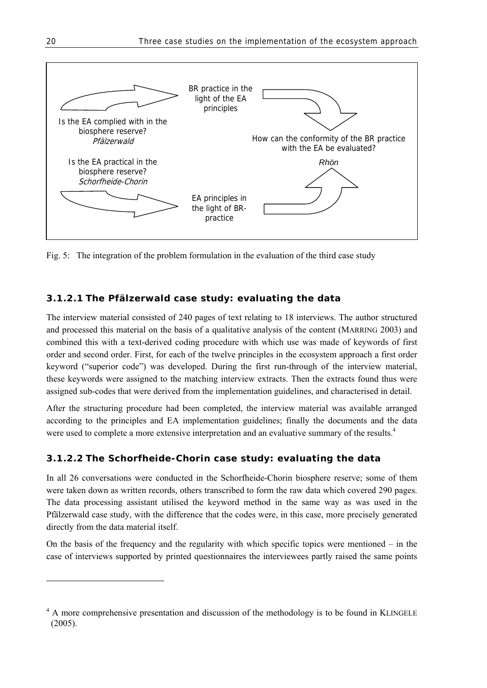

Fig. 5: The integration of the problem formulation in the evaluation of the third case study

### **3.1.2.1 The Pfälzerwald case study: evaluating the data**

The interview material consisted of 240 pages of text relating to 18 interviews. The author structured and processed this material on the basis of a qualitative analysis of the content (MARRING 2003) and combined this with a text-derived coding procedure with which use was made of keywords of first order and second order. First, for each of the twelve principles in the ecosystem approach a first order keyword ("superior code") was developed. During the first run-through of the interview material, these keywords were assigned to the matching interview extracts. Then the extracts found thus were assigned sub-codes that were derived from the implementation guidelines, and characterised in detail.

After the structuring procedure had been completed, the interview material was available arranged according to the principles and EA implementation guidelines; finally the documents and the data were used to complete a more extensive interpretation and an evaluative summary of the results.<sup>4</sup>

# **3.1.2.2 The Schorfheide-Chorin case study: evaluating the data**

In all 26 conversations were conducted in the Schorfheide-Chorin biosphere reserve; some of them were taken down as written records, others transcribed to form the raw data which covered 290 pages. The data processing assistant utilised the keyword method in the same way as was used in the Pfälzerwald case study, with the difference that the codes were, in this case, more precisely generated directly from the data material itself.

On the basis of the frequency and the regularity with which specific topics were mentioned  $-$  in the case of interviews supported by printed questionnaires the interviewees partly raised the same points

l

<sup>&</sup>lt;sup>4</sup> A more comprehensive presentation and discussion of the methodology is to be found in KLINGELE (2005).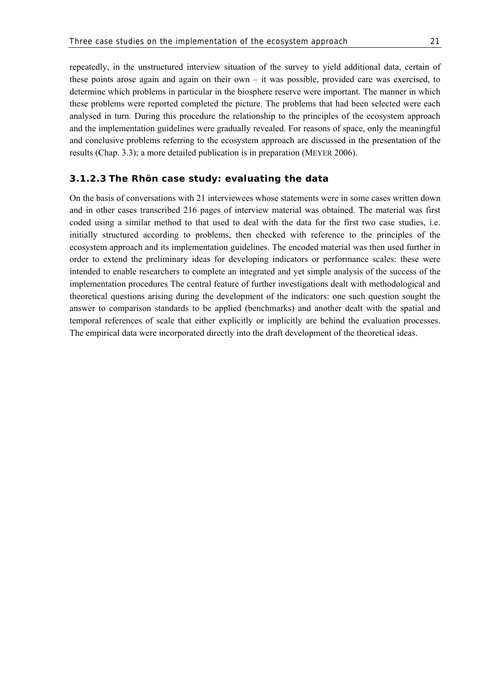repeatedly, in the unstructured interview situation of the survey to yield additional data, certain of these points arose again and again on their own – it was possible, provided care was exercised, to determine which problems in particular in the biosphere reserve were important. The manner in which these problems were reported completed the picture. The problems that had been selected were each analysed in turn. During this procedure the relationship to the principles of the ecosystem approach and the implementation guidelines were gradually revealed. For reasons of space, only the meaningful and conclusive problems referring to the ecosystem approach are discussed in the presentation of the results (Chap. 3.3); a more detailed publication is in preparation (MEYER 2006).

#### **3.1.2.3 The Rhön case study: evaluating the data**

On the basis of conversations with 21 interviewees whose statements were in some cases written down and in other cases transcribed 216 pages of interview material was obtained. The material was first coded using a similar method to that used to deal with the data for the first two case studies, i.e. initially structured according to problems, then checked with reference to the principles of the ecosystem approach and its implementation guidelines. The encoded material was then used further in order to extend the preliminary ideas for developing indicators or performance scales: these were intended to enable researchers to complete an integrated and yet simple analysis of the success of the implementation procedures The central feature of further investigations dealt with methodological and theoretical questions arising during the development of the indicators: one such question sought the answer to comparison standards to be applied (benchmarks) and another dealt with the spatial and temporal references of scale that either explicitly or implicitly are behind the evaluation processes. The empirical data were incorporated directly into the draft development of the theoretical ideas.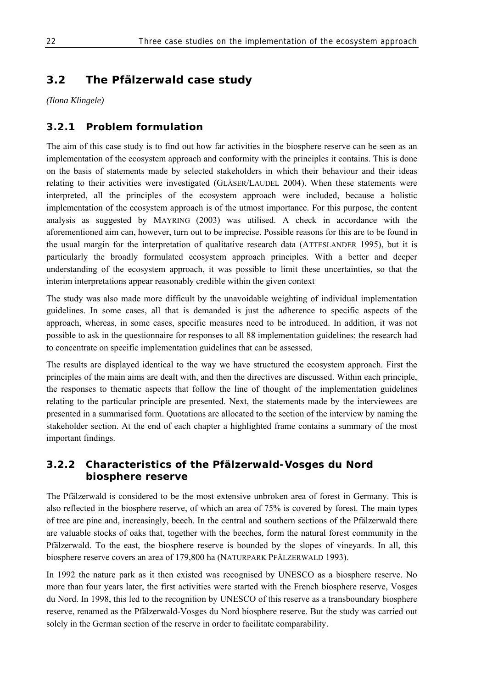# **3.2 The Pfälzerwald case study**

*(Ilona Klingele)* 

# **3.2.1 Problem formulation**

The aim of this case study is to find out how far activities in the biosphere reserve can be seen as an implementation of the ecosystem approach and conformity with the principles it contains. This is done on the basis of statements made by selected stakeholders in which their behaviour and their ideas relating to their activities were investigated (GLÄSER/LAUDEL 2004). When these statements were interpreted, all the principles of the ecosystem approach were included, because a holistic implementation of the ecosystem approach is of the utmost importance. For this purpose, the content analysis as suggested by MAYRING (2003) was utilised. A check in accordance with the aforementioned aim can, however, turn out to be imprecise. Possible reasons for this are to be found in the usual margin for the interpretation of qualitative research data (ATTESLANDER 1995), but it is particularly the broadly formulated ecosystem approach principles. With a better and deeper understanding of the ecosystem approach, it was possible to limit these uncertainties, so that the interim interpretations appear reasonably credible within the given context

The study was also made more difficult by the unavoidable weighting of individual implementation guidelines. In some cases, all that is demanded is just the adherence to specific aspects of the approach, whereas, in some cases, specific measures need to be introduced. In addition, it was not possible to ask in the questionnaire for responses to all 88 implementation guidelines: the research had to concentrate on specific implementation guidelines that can be assessed.

The results are displayed identical to the way we have structured the ecosystem approach. First the principles of the main aims are dealt with, and then the directives are discussed. Within each principle, the responses to thematic aspects that follow the line of thought of the implementation guidelines relating to the particular principle are presented. Next, the statements made by the interviewees are presented in a summarised form. Quotations are allocated to the section of the interview by naming the stakeholder section. At the end of each chapter a highlighted frame contains a summary of the most important findings.

# **3.2.2 Characteristics of the Pfälzerwald-Vosges du Nord biosphere reserve**

The Pfälzerwald is considered to be the most extensive unbroken area of forest in Germany. This is also reflected in the biosphere reserve, of which an area of 75% is covered by forest. The main types of tree are pine and, increasingly, beech. In the central and southern sections of the Pfälzerwald there are valuable stocks of oaks that, together with the beeches, form the natural forest community in the Pfälzerwald. To the east, the biosphere reserve is bounded by the slopes of vineyards. In all, this biosphere reserve covers an area of 179,800 ha (NATURPARK PFÄLZERWALD 1993).

In 1992 the nature park as it then existed was recognised by UNESCO as a biosphere reserve. No more than four years later, the first activities were started with the French biosphere reserve, Vosges du Nord. In 1998, this led to the recognition by UNESCO of this reserve as a transboundary biosphere reserve, renamed as the Pfälzerwald-Vosges du Nord biosphere reserve. But the study was carried out solely in the German section of the reserve in order to facilitate comparability.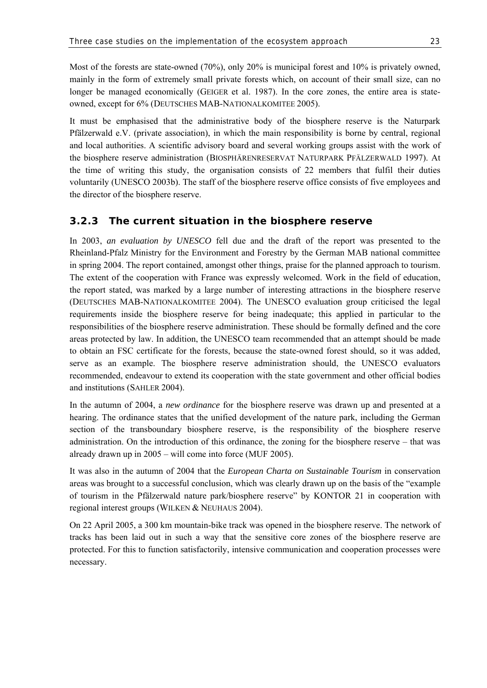Most of the forests are state-owned (70%), only 20% is municipal forest and 10% is privately owned, mainly in the form of extremely small private forests which, on account of their small size, can no longer be managed economically (GEIGER et al. 1987). In the core zones, the entire area is stateowned, except for 6% (DEUTSCHES MAB-NATIONALKOMITEE 2005).

It must be emphasised that the administrative body of the biosphere reserve is the Naturpark Pfälzerwald e.V. (private association), in which the main responsibility is borne by central, regional and local authorities. A scientific advisory board and several working groups assist with the work of the biosphere reserve administration (BIOSPHÄRENRESERVAT NATURPARK PFÄLZERWALD 1997). At the time of writing this study, the organisation consists of 22 members that fulfil their duties voluntarily (UNESCO 2003b). The staff of the biosphere reserve office consists of five employees and the director of the biosphere reserve.

### **3.2.3 The current situation in the biosphere reserve**

In 2003, *an evaluation by UNESCO* fell due and the draft of the report was presented to the Rheinland-Pfalz Ministry for the Environment and Forestry by the German MAB national committee in spring 2004. The report contained, amongst other things, praise for the planned approach to tourism. The extent of the cooperation with France was expressly welcomed. Work in the field of education, the report stated, was marked by a large number of interesting attractions in the biosphere reserve (DEUTSCHES MAB-NATIONALKOMITEE 2004). The UNESCO evaluation group criticised the legal requirements inside the biosphere reserve for being inadequate; this applied in particular to the responsibilities of the biosphere reserve administration. These should be formally defined and the core areas protected by law. In addition, the UNESCO team recommended that an attempt should be made to obtain an FSC certificate for the forests, because the state-owned forest should, so it was added, serve as an example. The biosphere reserve administration should, the UNESCO evaluators recommended, endeavour to extend its cooperation with the state government and other official bodies and institutions (SAHLER 2004).

In the autumn of 2004, a *new ordinance* for the biosphere reserve was drawn up and presented at a hearing. The ordinance states that the unified development of the nature park, including the German section of the transboundary biosphere reserve, is the responsibility of the biosphere reserve administration. On the introduction of this ordinance, the zoning for the biosphere reserve – that was already drawn up in 2005 – will come into force (MUF 2005).

It was also in the autumn of 2004 that the *European Charta on Sustainable Tourism* in conservation areas was brought to a successful conclusion, which was clearly drawn up on the basis of the "example of tourism in the Pfälzerwald nature park/biosphere reserve" by KONTOR 21 in cooperation with regional interest groups (WILKEN & NEUHAUS 2004).

On 22 April 2005, a 300 km mountain-bike track was opened in the biosphere reserve. The network of tracks has been laid out in such a way that the sensitive core zones of the biosphere reserve are protected. For this to function satisfactorily, intensive communication and cooperation processes were necessary.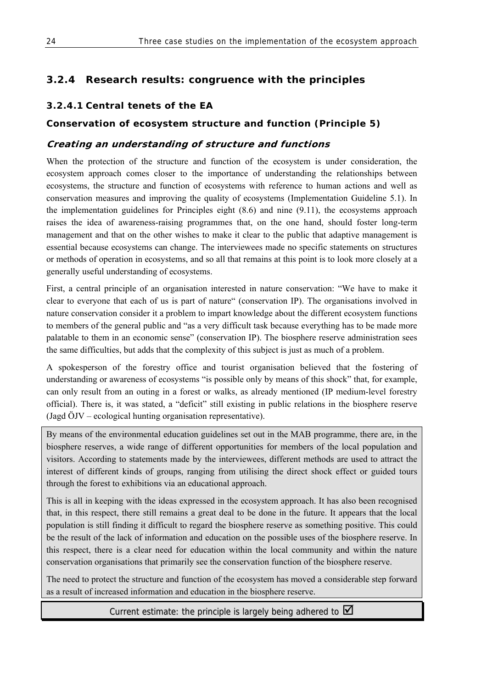# **3.2.4 Research results: congruence with the principles**

### **3.2.4.1 Central tenets of the EA**

### **Conservation of ecosystem structure and function (Principle 5)**

### **Creating an understanding of structure and functions**

When the protection of the structure and function of the ecosystem is under consideration, the ecosystem approach comes closer to the importance of understanding the relationships between ecosystems, the structure and function of ecosystems with reference to human actions and well as conservation measures and improving the quality of ecosystems (Implementation Guideline 5.1). In the implementation guidelines for Principles eight (8.6) and nine (9.11), the ecosystems approach raises the idea of awareness-raising programmes that, on the one hand, should foster long-term management and that on the other wishes to make it clear to the public that adaptive management is essential because ecosystems can change. The interviewees made no specific statements on structures or methods of operation in ecosystems, and so all that remains at this point is to look more closely at a generally useful understanding of ecosystems.

First, a central principle of an organisation interested in nature conservation: "We have to make it clear to everyone that each of us is part of nature" (conservation IP). The organisations involved in nature conservation consider it a problem to impart knowledge about the different ecosystem functions to members of the general public and "as a very difficult task because everything has to be made more palatable to them in an economic sense" (conservation IP). The biosphere reserve administration sees the same difficulties, but adds that the complexity of this subject is just as much of a problem.

A spokesperson of the forestry office and tourist organisation believed that the fostering of understanding or awareness of ecosystems "is possible only by means of this shock" that, for example, can only result from an outing in a forest or walks, as already mentioned (IP medium-level forestry official). There is, it was stated, a "deficit" still existing in public relations in the biosphere reserve (Jagd ÖJV – ecological hunting organisation representative).

By means of the environmental education guidelines set out in the MAB programme, there are, in the biosphere reserves, a wide range of different opportunities for members of the local population and visitors. According to statements made by the interviewees, different methods are used to attract the interest of different kinds of groups, ranging from utilising the direct shock effect or guided tours through the forest to exhibitions via an educational approach.

This is all in keeping with the ideas expressed in the ecosystem approach. It has also been recognised that, in this respect, there still remains a great deal to be done in the future. It appears that the local population is still finding it difficult to regard the biosphere reserve as something positive. This could be the result of the lack of information and education on the possible uses of the biosphere reserve. In this respect, there is a clear need for education within the local community and within the nature conservation organisations that primarily see the conservation function of the biosphere reserve.

The need to protect the structure and function of the ecosystem has moved a considerable step forward as a result of increased information and education in the biosphere reserve.

Current estimate: the principle is largely being adhered to  $\Box$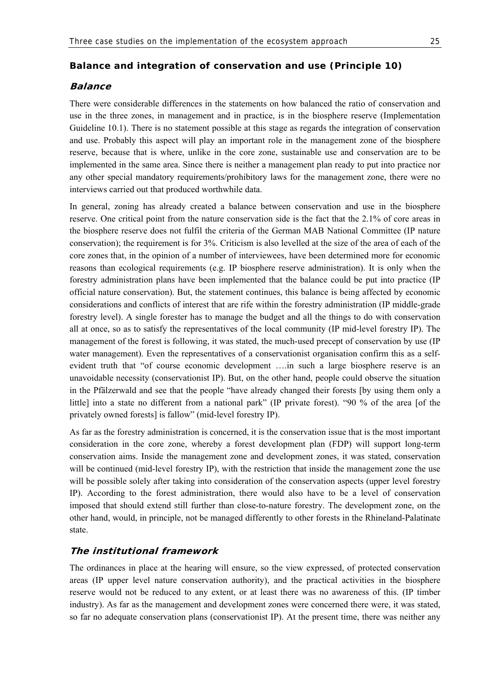#### **Balance and integration of conservation and use (Principle 10)**

#### **Balance**

There were considerable differences in the statements on how balanced the ratio of conservation and use in the three zones, in management and in practice, is in the biosphere reserve (Implementation Guideline 10.1). There is no statement possible at this stage as regards the integration of conservation and use. Probably this aspect will play an important role in the management zone of the biosphere reserve, because that is where, unlike in the core zone, sustainable use and conservation are to be implemented in the same area. Since there is neither a management plan ready to put into practice nor any other special mandatory requirements/prohibitory laws for the management zone, there were no interviews carried out that produced worthwhile data.

In general, zoning has already created a balance between conservation and use in the biosphere reserve. One critical point from the nature conservation side is the fact that the 2.1% of core areas in the biosphere reserve does not fulfil the criteria of the German MAB National Committee (IP nature conservation); the requirement is for 3%. Criticism is also levelled at the size of the area of each of the core zones that, in the opinion of a number of interviewees, have been determined more for economic reasons than ecological requirements (e.g. IP biosphere reserve administration). It is only when the forestry administration plans have been implemented that the balance could be put into practice (IP official nature conservation). But, the statement continues, this balance is being affected by economic considerations and conflicts of interest that are rife within the forestry administration (IP middle-grade forestry level). A single forester has to manage the budget and all the things to do with conservation all at once, so as to satisfy the representatives of the local community (IP mid-level forestry IP). The management of the forest is following, it was stated, the much-used precept of conservation by use (IP water management). Even the representatives of a conservationist organisation confirm this as a selfevident truth that "of course economic development ….in such a large biosphere reserve is an unavoidable necessity (conservationist IP). But, on the other hand, people could observe the situation in the Pfälzerwald and see that the people "have already changed their forests [by using them only a little] into a state no different from a national park" (IP private forest). "90 % of the area [of the privately owned forests] is fallow" (mid-level forestry IP).

As far as the forestry administration is concerned, it is the conservation issue that is the most important consideration in the core zone, whereby a forest development plan (FDP) will support long-term conservation aims. Inside the management zone and development zones, it was stated, conservation will be continued (mid-level forestry IP), with the restriction that inside the management zone the use will be possible solely after taking into consideration of the conservation aspects (upper level forestry IP). According to the forest administration, there would also have to be a level of conservation imposed that should extend still further than close-to-nature forestry. The development zone, on the other hand, would, in principle, not be managed differently to other forests in the Rhineland-Palatinate state.

### **The institutional framework**

The ordinances in place at the hearing will ensure, so the view expressed, of protected conservation areas (IP upper level nature conservation authority), and the practical activities in the biosphere reserve would not be reduced to any extent, or at least there was no awareness of this. (IP timber industry). As far as the management and development zones were concerned there were, it was stated, so far no adequate conservation plans (conservationist IP). At the present time, there was neither any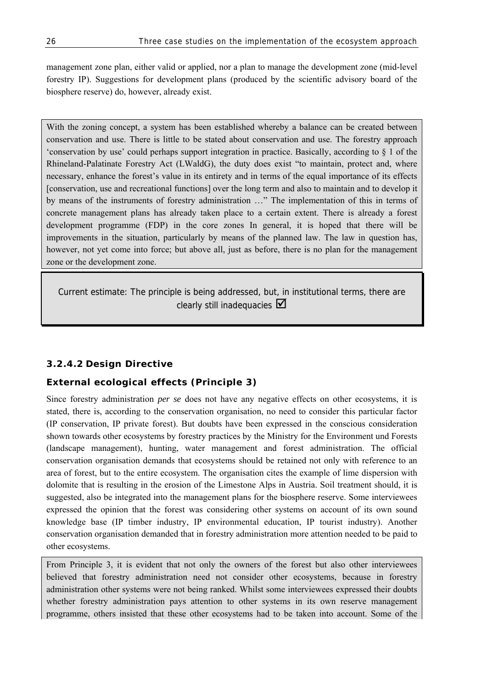management zone plan, either valid or applied, nor a plan to manage the development zone (mid-level forestry IP). Suggestions for development plans (produced by the scientific advisory board of the biosphere reserve) do, however, already exist.

With the zoning concept, a system has been established whereby a balance can be created between conservation and use. There is little to be stated about conservation and use. The forestry approach 'conservation by use' could perhaps support integration in practice. Basically, according to § 1 of the Rhineland-Palatinate Forestry Act (LWaldG), the duty does exist "to maintain, protect and, where necessary, enhance the forest's value in its entirety and in terms of the equal importance of its effects [conservation, use and recreational functions] over the long term and also to maintain and to develop it by means of the instruments of forestry administration …" The implementation of this in terms of concrete management plans has already taken place to a certain extent. There is already a forest development programme (FDP) in the core zones In general, it is hoped that there will be improvements in the situation, particularly by means of the planned law. The law in question has, however, not yet come into force; but above all, just as before, there is no plan for the management zone or the development zone.

Current estimate: The principle is being addressed, but, in institutional terms, there are clearly still inadequacies  $\boxtimes$ 

### **3.2.4.2 Design Directive**

### **External ecological effects (Principle 3)**

Since forestry administration *per se* does not have any negative effects on other ecosystems, it is stated, there is, according to the conservation organisation, no need to consider this particular factor (IP conservation, IP private forest). But doubts have been expressed in the conscious consideration shown towards other ecosystems by forestry practices by the Ministry for the Environment und Forests (landscape management), hunting, water management and forest administration. The official conservation organisation demands that ecosystems should be retained not only with reference to an area of forest, but to the entire ecosystem. The organisation cites the example of lime dispersion with dolomite that is resulting in the erosion of the Limestone Alps in Austria. Soil treatment should, it is suggested, also be integrated into the management plans for the biosphere reserve. Some interviewees expressed the opinion that the forest was considering other systems on account of its own sound knowledge base (IP timber industry, IP environmental education, IP tourist industry). Another conservation organisation demanded that in forestry administration more attention needed to be paid to other ecosystems.

From Principle 3, it is evident that not only the owners of the forest but also other interviewees believed that forestry administration need not consider other ecosystems, because in forestry administration other systems were not being ranked. Whilst some interviewees expressed their doubts whether forestry administration pays attention to other systems in its own reserve management programme, others insisted that these other ecosystems had to be taken into account. Some of the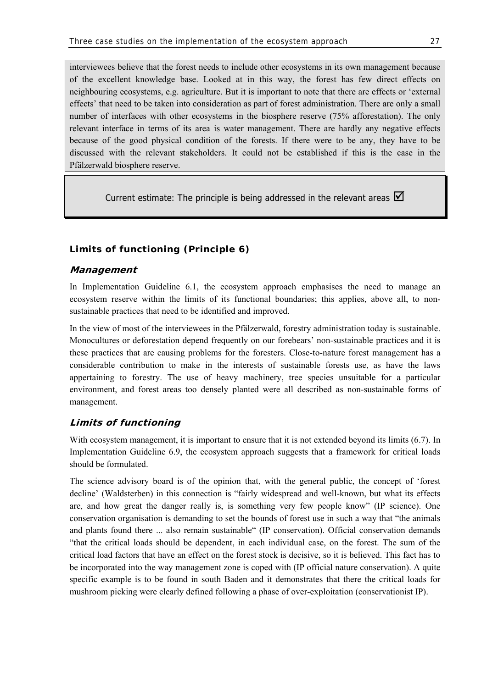interviewees believe that the forest needs to include other ecosystems in its own management because of the excellent knowledge base. Looked at in this way, the forest has few direct effects on neighbouring ecosystems, e.g. agriculture. But it is important to note that there are effects or 'external effects' that need to be taken into consideration as part of forest administration. There are only a small number of interfaces with other ecosystems in the biosphere reserve (75% afforestation). The only relevant interface in terms of its area is water management. There are hardly any negative effects because of the good physical condition of the forests. If there were to be any, they have to be discussed with the relevant stakeholders. It could not be established if this is the case in the Pfälzerwald biosphere reserve.

Current estimate: The principle is being addressed in the relevant areas  $\blacksquare$ 

### **Limits of functioning (Principle 6)**

#### **Management**

In Implementation Guideline 6.1, the ecosystem approach emphasises the need to manage an ecosystem reserve within the limits of its functional boundaries; this applies, above all, to nonsustainable practices that need to be identified and improved.

In the view of most of the interviewees in the Pfälzerwald, forestry administration today is sustainable. Monocultures or deforestation depend frequently on our forebears' non-sustainable practices and it is these practices that are causing problems for the foresters. Close-to-nature forest management has a considerable contribution to make in the interests of sustainable forests use, as have the laws appertaining to forestry. The use of heavy machinery, tree species unsuitable for a particular environment, and forest areas too densely planted were all described as non-sustainable forms of management.

### **Limits of functioning**

With ecosystem management, it is important to ensure that it is not extended beyond its limits (6.7). In Implementation Guideline 6.9, the ecosystem approach suggests that a framework for critical loads should be formulated.

The science advisory board is of the opinion that, with the general public, the concept of 'forest decline' (Waldsterben) in this connection is "fairly widespread and well-known, but what its effects are, and how great the danger really is, is something very few people know" (IP science). One conservation organisation is demanding to set the bounds of forest use in such a way that "the animals and plants found there ... also remain sustainable" (IP conservation). Official conservation demands "that the critical loads should be dependent, in each individual case, on the forest. The sum of the critical load factors that have an effect on the forest stock is decisive, so it is believed. This fact has to be incorporated into the way management zone is coped with (IP official nature conservation). A quite specific example is to be found in south Baden and it demonstrates that there the critical loads for mushroom picking were clearly defined following a phase of over-exploitation (conservationist IP).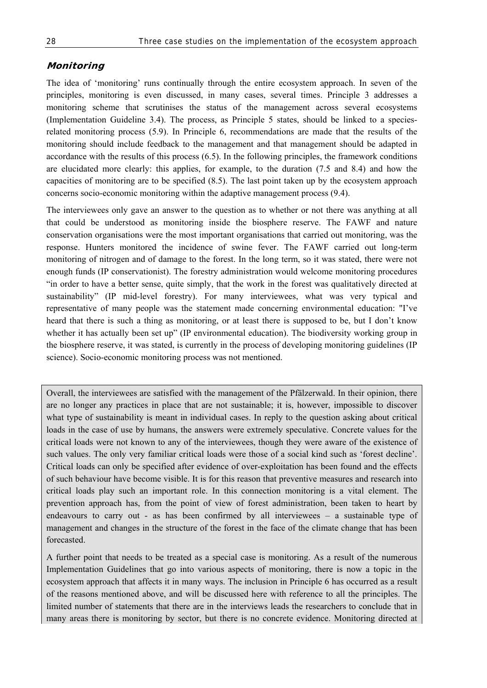#### **Monitoring**

The idea of 'monitoring' runs continually through the entire ecosystem approach. In seven of the principles, monitoring is even discussed, in many cases, several times. Principle 3 addresses a monitoring scheme that scrutinises the status of the management across several ecosystems (Implementation Guideline 3.4). The process, as Principle 5 states, should be linked to a speciesrelated monitoring process (5.9). In Principle 6, recommendations are made that the results of the monitoring should include feedback to the management and that management should be adapted in accordance with the results of this process (6.5). In the following principles, the framework conditions are elucidated more clearly: this applies, for example, to the duration (7.5 and 8.4) and how the capacities of monitoring are to be specified (8.5). The last point taken up by the ecosystem approach concerns socio-economic monitoring within the adaptive management process (9.4).

The interviewees only gave an answer to the question as to whether or not there was anything at all that could be understood as monitoring inside the biosphere reserve. The FAWF and nature conservation organisations were the most important organisations that carried out monitoring, was the response. Hunters monitored the incidence of swine fever. The FAWF carried out long-term monitoring of nitrogen and of damage to the forest. In the long term, so it was stated, there were not enough funds (IP conservationist). The forestry administration would welcome monitoring procedures "in order to have a better sense, quite simply, that the work in the forest was qualitatively directed at sustainability" (IP mid-level forestry). For many interviewees, what was very typical and representative of many people was the statement made concerning environmental education: "I've heard that there is such a thing as monitoring, or at least there is supposed to be, but I don't know whether it has actually been set up" (IP environmental education). The biodiversity working group in the biosphere reserve, it was stated, is currently in the process of developing monitoring guidelines (IP science). Socio-economic monitoring process was not mentioned.

Overall, the interviewees are satisfied with the management of the Pfälzerwald. In their opinion, there are no longer any practices in place that are not sustainable; it is, however, impossible to discover what type of sustainability is meant in individual cases. In reply to the question asking about critical loads in the case of use by humans, the answers were extremely speculative. Concrete values for the critical loads were not known to any of the interviewees, though they were aware of the existence of such values. The only very familiar critical loads were those of a social kind such as 'forest decline'. Critical loads can only be specified after evidence of over-exploitation has been found and the effects of such behaviour have become visible. It is for this reason that preventive measures and research into critical loads play such an important role. In this connection monitoring is a vital element. The prevention approach has, from the point of view of forest administration, been taken to heart by endeavours to carry out - as has been confirmed by all interviewees – a sustainable type of management and changes in the structure of the forest in the face of the climate change that has been forecasted.

A further point that needs to be treated as a special case is monitoring. As a result of the numerous Implementation Guidelines that go into various aspects of monitoring, there is now a topic in the ecosystem approach that affects it in many ways. The inclusion in Principle 6 has occurred as a result of the reasons mentioned above, and will be discussed here with reference to all the principles. The limited number of statements that there are in the interviews leads the researchers to conclude that in many areas there is monitoring by sector, but there is no concrete evidence. Monitoring directed at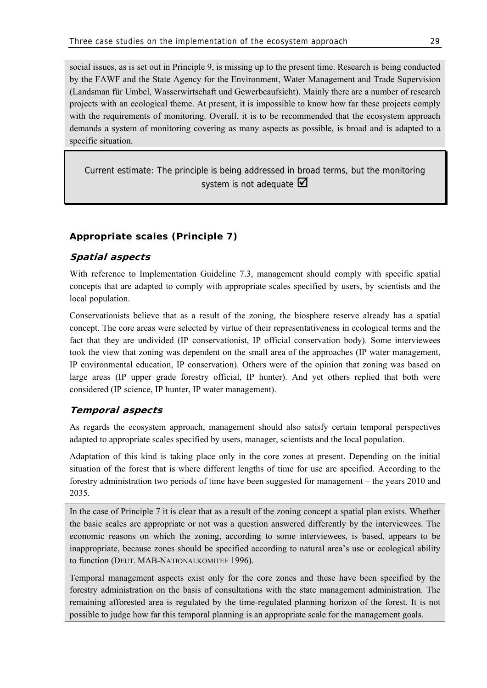social issues, as is set out in Principle 9, is missing up to the present time. Research is being conducted by the FAWF and the State Agency for the Environment, Water Management and Trade Supervision (Landsman für Umbel, Wasserwirtschaft und Gewerbeaufsicht). Mainly there are a number of research projects with an ecological theme. At present, it is impossible to know how far these projects comply with the requirements of monitoring. Overall, it is to be recommended that the ecosystem approach demands a system of monitoring covering as many aspects as possible, is broad and is adapted to a specific situation.

Current estimate: The principle is being addressed in broad terms, but the monitoring system is not adequate  $\boxtimes$ 

# **Appropriate scales (Principle 7)**

# **Spatial aspects**

With reference to Implementation Guideline 7.3, management should comply with specific spatial concepts that are adapted to comply with appropriate scales specified by users, by scientists and the local population.

Conservationists believe that as a result of the zoning, the biosphere reserve already has a spatial concept. The core areas were selected by virtue of their representativeness in ecological terms and the fact that they are undivided (IP conservationist, IP official conservation body). Some interviewees took the view that zoning was dependent on the small area of the approaches (IP water management, IP environmental education, IP conservation). Others were of the opinion that zoning was based on large areas (IP upper grade forestry official, IP hunter). And yet others replied that both were considered (IP science, IP hunter, IP water management).

# **Temporal aspects**

As regards the ecosystem approach, management should also satisfy certain temporal perspectives adapted to appropriate scales specified by users, manager, scientists and the local population.

Adaptation of this kind is taking place only in the core zones at present. Depending on the initial situation of the forest that is where different lengths of time for use are specified. According to the forestry administration two periods of time have been suggested for management – the years 2010 and 2035.

In the case of Principle 7 it is clear that as a result of the zoning concept a spatial plan exists. Whether the basic scales are appropriate or not was a question answered differently by the interviewees. The economic reasons on which the zoning, according to some interviewees, is based, appears to be inappropriate, because zones should be specified according to natural area's use or ecological ability to function (DEUT. MAB-NATIONALKOMITEE 1996).

Temporal management aspects exist only for the core zones and these have been specified by the forestry administration on the basis of consultations with the state management administration. The remaining afforested area is regulated by the time-regulated planning horizon of the forest. It is not possible to judge how far this temporal planning is an appropriate scale for the management goals.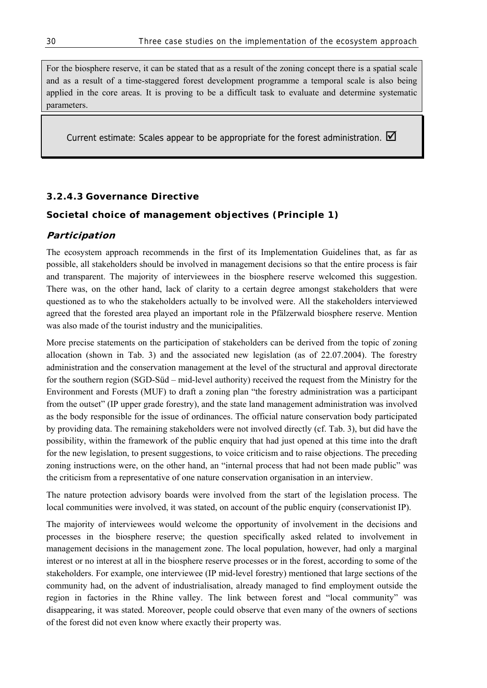For the biosphere reserve, it can be stated that as a result of the zoning concept there is a spatial scale and as a result of a time-staggered forest development programme a temporal scale is also being applied in the core areas. It is proving to be a difficult task to evaluate and determine systematic parameters.

Current estimate: Scales appear to be appropriate for the forest administration.  $\blacksquare$ 

## **3.2.4.3 Governance Directive**

## **Societal choice of management objectives (Principle 1)**

### **Participation**

The ecosystem approach recommends in the first of its Implementation Guidelines that, as far as possible, all stakeholders should be involved in management decisions so that the entire process is fair and transparent. The majority of interviewees in the biosphere reserve welcomed this suggestion. There was, on the other hand, lack of clarity to a certain degree amongst stakeholders that were questioned as to who the stakeholders actually to be involved were. All the stakeholders interviewed agreed that the forested area played an important role in the Pfälzerwald biosphere reserve. Mention was also made of the tourist industry and the municipalities.

More precise statements on the participation of stakeholders can be derived from the topic of zoning allocation (shown in Tab. 3) and the associated new legislation (as of 22.07.2004). The forestry administration and the conservation management at the level of the structural and approval directorate for the southern region (SGD-Süd – mid-level authority) received the request from the Ministry for the Environment and Forests (MUF) to draft a zoning plan "the forestry administration was a participant from the outset" (IP upper grade forestry), and the state land management administration was involved as the body responsible for the issue of ordinances. The official nature conservation body participated by providing data. The remaining stakeholders were not involved directly (cf. Tab. 3), but did have the possibility, within the framework of the public enquiry that had just opened at this time into the draft for the new legislation, to present suggestions, to voice criticism and to raise objections. The preceding zoning instructions were, on the other hand, an "internal process that had not been made public" was the criticism from a representative of one nature conservation organisation in an interview.

The nature protection advisory boards were involved from the start of the legislation process. The local communities were involved, it was stated, on account of the public enquiry (conservationist IP).

The majority of interviewees would welcome the opportunity of involvement in the decisions and processes in the biosphere reserve; the question specifically asked related to involvement in management decisions in the management zone. The local population, however, had only a marginal interest or no interest at all in the biosphere reserve processes or in the forest, according to some of the stakeholders. For example, one interviewee (IP mid-level forestry) mentioned that large sections of the community had, on the advent of industrialisation, already managed to find employment outside the region in factories in the Rhine valley. The link between forest and "local community" was disappearing, it was stated. Moreover, people could observe that even many of the owners of sections of the forest did not even know where exactly their property was.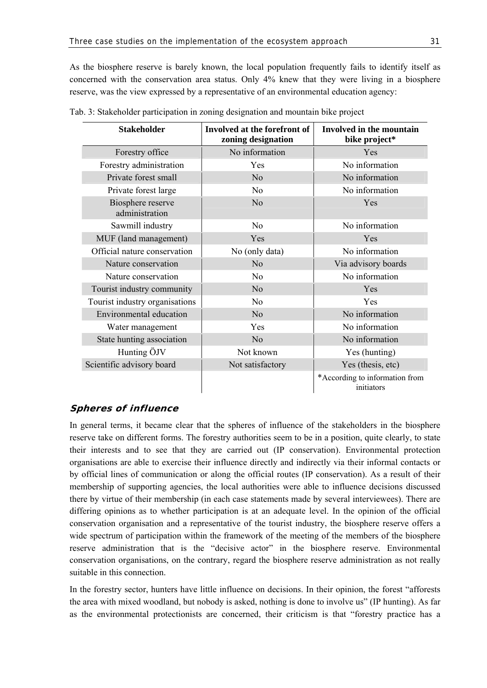As the biosphere reserve is barely known, the local population frequently fails to identify itself as concerned with the conservation area status. Only 4% knew that they were living in a biosphere reserve, was the view expressed by a representative of an environmental education agency:

| <b>Stakeholder</b>                  | Involved at the forefront of<br>zoning designation | <b>Involved in the mountain</b><br>bike project* |  |  |  |
|-------------------------------------|----------------------------------------------------|--------------------------------------------------|--|--|--|
| Forestry office                     | No information                                     | <b>Yes</b>                                       |  |  |  |
| Forestry administration             | Yes                                                | No information                                   |  |  |  |
| Private forest small                | N <sub>o</sub>                                     | No information                                   |  |  |  |
| Private forest large                | N <sub>0</sub>                                     | No information                                   |  |  |  |
| Biosphere reserve<br>administration | N <sub>o</sub>                                     | Yes                                              |  |  |  |
| Sawmill industry                    | N <sub>0</sub>                                     | No information                                   |  |  |  |
| MUF (land management)               | Yes                                                | Yes                                              |  |  |  |
| Official nature conservation        | No (only data)                                     | No information                                   |  |  |  |
| Nature conservation                 | N <sub>0</sub>                                     | Via advisory boards                              |  |  |  |
| Nature conservation                 | N <sub>0</sub>                                     | No information                                   |  |  |  |
| Tourist industry community          | N <sub>o</sub>                                     | Yes                                              |  |  |  |
| Tourist industry organisations      | N <sub>0</sub>                                     | Yes                                              |  |  |  |
| Environmental education             | N <sub>o</sub>                                     | No information                                   |  |  |  |
| Water management                    | Yes                                                | No information                                   |  |  |  |
| State hunting association           | No                                                 | No information                                   |  |  |  |
| Hunting ÖJV                         | Not known                                          | Yes (hunting)                                    |  |  |  |
| Scientific advisory board           | Not satisfactory                                   | Yes (thesis, etc)                                |  |  |  |
|                                     |                                                    | *According to information from<br>initiators     |  |  |  |

| Tab. 3: Stakeholder participation in zoning designation and mountain bike project |  |  |  |  |  |  |  |
|-----------------------------------------------------------------------------------|--|--|--|--|--|--|--|
|                                                                                   |  |  |  |  |  |  |  |
|                                                                                   |  |  |  |  |  |  |  |

## **Spheres of influence**

In general terms, it became clear that the spheres of influence of the stakeholders in the biosphere reserve take on different forms. The forestry authorities seem to be in a position, quite clearly, to state their interests and to see that they are carried out (IP conservation). Environmental protection organisations are able to exercise their influence directly and indirectly via their informal contacts or by official lines of communication or along the official routes (IP conservation). As a result of their membership of supporting agencies, the local authorities were able to influence decisions discussed there by virtue of their membership (in each case statements made by several interviewees). There are differing opinions as to whether participation is at an adequate level. In the opinion of the official conservation organisation and a representative of the tourist industry, the biosphere reserve offers a wide spectrum of participation within the framework of the meeting of the members of the biosphere reserve administration that is the "decisive actor" in the biosphere reserve. Environmental conservation organisations, on the contrary, regard the biosphere reserve administration as not really suitable in this connection.

In the forestry sector, hunters have little influence on decisions. In their opinion, the forest "afforests the area with mixed woodland, but nobody is asked, nothing is done to involve us" (IP hunting). As far as the environmental protectionists are concerned, their criticism is that "forestry practice has a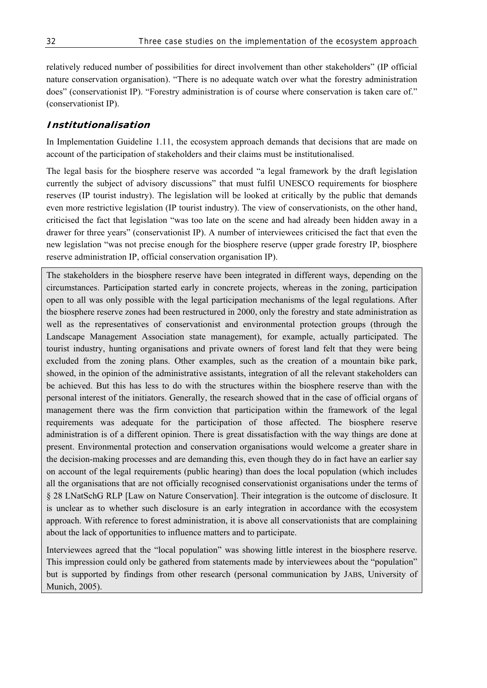relatively reduced number of possibilities for direct involvement than other stakeholders" (IP official nature conservation organisation). "There is no adequate watch over what the forestry administration does" (conservationist IP). "Forestry administration is of course where conservation is taken care of." (conservationist IP).

## **Institutionalisation**

In Implementation Guideline 1.11, the ecosystem approach demands that decisions that are made on account of the participation of stakeholders and their claims must be institutionalised.

The legal basis for the biosphere reserve was accorded "a legal framework by the draft legislation currently the subject of advisory discussions" that must fulfil UNESCO requirements for biosphere reserves (IP tourist industry). The legislation will be looked at critically by the public that demands even more restrictive legislation (IP tourist industry). The view of conservationists, on the other hand, criticised the fact that legislation "was too late on the scene and had already been hidden away in a drawer for three years" (conservationist IP). A number of interviewees criticised the fact that even the new legislation "was not precise enough for the biosphere reserve (upper grade forestry IP, biosphere reserve administration IP, official conservation organisation IP).

The stakeholders in the biosphere reserve have been integrated in different ways, depending on the circumstances. Participation started early in concrete projects, whereas in the zoning, participation open to all was only possible with the legal participation mechanisms of the legal regulations. After the biosphere reserve zones had been restructured in 2000, only the forestry and state administration as well as the representatives of conservationist and environmental protection groups (through the Landscape Management Association state management), for example, actually participated. The tourist industry, hunting organisations and private owners of forest land felt that they were being excluded from the zoning plans. Other examples, such as the creation of a mountain bike park, showed, in the opinion of the administrative assistants, integration of all the relevant stakeholders can be achieved. But this has less to do with the structures within the biosphere reserve than with the personal interest of the initiators. Generally, the research showed that in the case of official organs of management there was the firm conviction that participation within the framework of the legal requirements was adequate for the participation of those affected. The biosphere reserve administration is of a different opinion. There is great dissatisfaction with the way things are done at present. Environmental protection and conservation organisations would welcome a greater share in the decision-making processes and are demanding this, even though they do in fact have an earlier say on account of the legal requirements (public hearing) than does the local population (which includes all the organisations that are not officially recognised conservationist organisations under the terms of § 28 LNatSchG RLP [Law on Nature Conservation]. Their integration is the outcome of disclosure. It is unclear as to whether such disclosure is an early integration in accordance with the ecosystem approach. With reference to forest administration, it is above all conservationists that are complaining about the lack of opportunities to influence matters and to participate.

Interviewees agreed that the "local population" was showing little interest in the biosphere reserve. This impression could only be gathered from statements made by interviewees about the "population" but is supported by findings from other research (personal communication by JABS, University of Munich, 2005).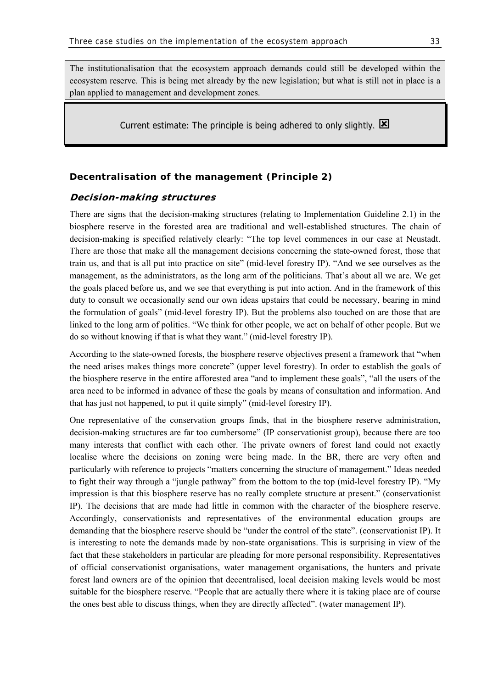The institutionalisation that the ecosystem approach demands could still be developed within the ecosystem reserve. This is being met already by the new legislation; but what is still not in place is a plan applied to management and development zones.

Current estimate: The principle is being adhered to only slightly.  $\boxtimes$ 

### **Decentralisation of the management (Principle 2)**

### **Decision-making structures**

There are signs that the decision-making structures (relating to Implementation Guideline 2.1) in the biosphere reserve in the forested area are traditional and well-established structures. The chain of decision-making is specified relatively clearly: "The top level commences in our case at Neustadt. There are those that make all the management decisions concerning the state-owned forest, those that train us, and that is all put into practice on site" (mid-level forestry IP). "And we see ourselves as the management, as the administrators, as the long arm of the politicians. That's about all we are. We get the goals placed before us, and we see that everything is put into action. And in the framework of this duty to consult we occasionally send our own ideas upstairs that could be necessary, bearing in mind the formulation of goals" (mid-level forestry IP). But the problems also touched on are those that are linked to the long arm of politics. "We think for other people, we act on behalf of other people. But we do so without knowing if that is what they want." (mid-level forestry IP).

According to the state-owned forests, the biosphere reserve objectives present a framework that "when the need arises makes things more concrete" (upper level forestry). In order to establish the goals of the biosphere reserve in the entire afforested area "and to implement these goals", "all the users of the area need to be informed in advance of these the goals by means of consultation and information. And that has just not happened, to put it quite simply" (mid-level forestry IP).

One representative of the conservation groups finds, that in the biosphere reserve administration, decision-making structures are far too cumbersome" (IP conservationist group), because there are too many interests that conflict with each other. The private owners of forest land could not exactly localise where the decisions on zoning were being made. In the BR, there are very often and particularly with reference to projects "matters concerning the structure of management." Ideas needed to fight their way through a "jungle pathway" from the bottom to the top (mid-level forestry IP). "My impression is that this biosphere reserve has no really complete structure at present." (conservationist IP). The decisions that are made had little in common with the character of the biosphere reserve. Accordingly, conservationists and representatives of the environmental education groups are demanding that the biosphere reserve should be "under the control of the state". (conservationist IP). It is interesting to note the demands made by non-state organisations. This is surprising in view of the fact that these stakeholders in particular are pleading for more personal responsibility. Representatives of official conservationist organisations, water management organisations, the hunters and private forest land owners are of the opinion that decentralised, local decision making levels would be most suitable for the biosphere reserve. "People that are actually there where it is taking place are of course the ones best able to discuss things, when they are directly affected". (water management IP).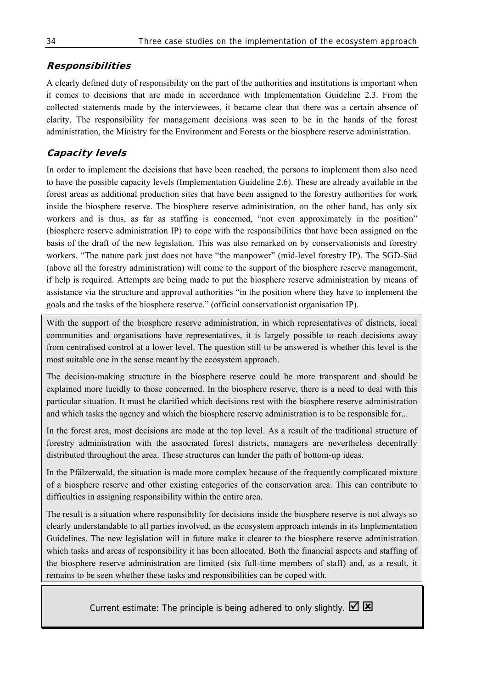# **Responsibilities**

A clearly defined duty of responsibility on the part of the authorities and institutions is important when it comes to decisions that are made in accordance with Implementation Guideline 2.3. From the collected statements made by the interviewees, it became clear that there was a certain absence of clarity. The responsibility for management decisions was seen to be in the hands of the forest administration, the Ministry for the Environment and Forests or the biosphere reserve administration.

# **Capacity levels**

In order to implement the decisions that have been reached, the persons to implement them also need to have the possible capacity levels (Implementation Guideline 2.6). These are already available in the forest areas as additional production sites that have been assigned to the forestry authorities for work inside the biosphere reserve. The biosphere reserve administration, on the other hand, has only six workers and is thus, as far as staffing is concerned, "not even approximately in the position" (biosphere reserve administration IP) to cope with the responsibilities that have been assigned on the basis of the draft of the new legislation. This was also remarked on by conservationists and forestry workers. "The nature park just does not have "the manpower" (mid-level forestry IP). The SGD-Süd (above all the forestry administration) will come to the support of the biosphere reserve management, if help is required. Attempts are being made to put the biosphere reserve administration by means of assistance via the structure and approval authorities "in the position where they have to implement the goals and the tasks of the biosphere reserve." (official conservationist organisation IP).

With the support of the biosphere reserve administration, in which representatives of districts, local communities and organisations have representatives, it is largely possible to reach decisions away from centralised control at a lower level. The question still to be answered is whether this level is the most suitable one in the sense meant by the ecosystem approach.

The decision-making structure in the biosphere reserve could be more transparent and should be explained more lucidly to those concerned. In the biosphere reserve, there is a need to deal with this particular situation. It must be clarified which decisions rest with the biosphere reserve administration and which tasks the agency and which the biosphere reserve administration is to be responsible for...

In the forest area, most decisions are made at the top level. As a result of the traditional structure of forestry administration with the associated forest districts, managers are nevertheless decentrally distributed throughout the area. These structures can hinder the path of bottom-up ideas.

In the Pfälzerwald, the situation is made more complex because of the frequently complicated mixture of a biosphere reserve and other existing categories of the conservation area. This can contribute to difficulties in assigning responsibility within the entire area.

The result is a situation where responsibility for decisions inside the biosphere reserve is not always so clearly understandable to all parties involved, as the ecosystem approach intends in its Implementation Guidelines. The new legislation will in future make it clearer to the biosphere reserve administration which tasks and areas of responsibility it has been allocated. Both the financial aspects and staffing of the biosphere reserve administration are limited (six full-time members of staff) and, as a result, it remains to be seen whether these tasks and responsibilities can be coped with.

Current estimate: The principle is being adhered to only slightly.  $\boxtimes \boxtimes$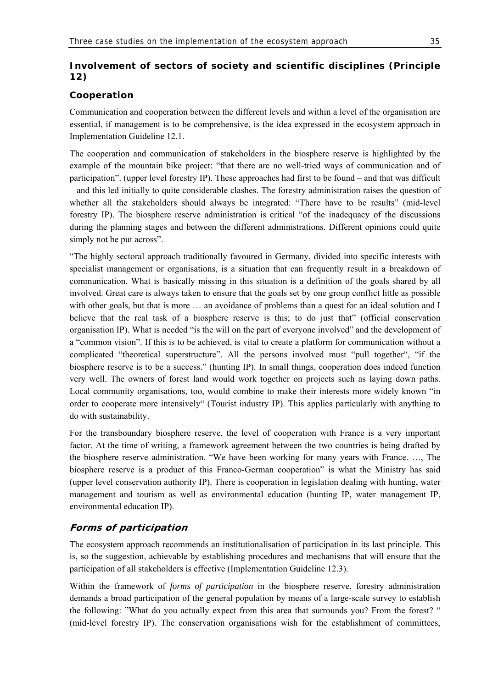# **Involvement of sectors of society and scientific disciplines (Principle 12)**

## **Cooperation**

Communication and cooperation between the different levels and within a level of the organisation are essential, if management is to be comprehensive, is the idea expressed in the ecosystem approach in Implementation Guideline 12.1.

The cooperation and communication of stakeholders in the biosphere reserve is highlighted by the example of the mountain bike project: "that there are no well-tried ways of communication and of participation". (upper level forestry IP). These approaches had first to be found – and that was difficult – and this led initially to quite considerable clashes. The forestry administration raises the question of whether all the stakeholders should always be integrated: "There have to be results" (mid-level forestry IP). The biosphere reserve administration is critical "of the inadequacy of the discussions during the planning stages and between the different administrations. Different opinions could quite simply not be put across".

"The highly sectoral approach traditionally favoured in Germany, divided into specific interests with specialist management or organisations, is a situation that can frequently result in a breakdown of communication. What is basically missing in this situation is a definition of the goals shared by all involved. Great care is always taken to ensure that the goals set by one group conflict little as possible with other goals, but that is more  $\ldots$  an avoidance of problems than a quest for an ideal solution and I believe that the real task of a biosphere reserve is this; to do just that" (official conservation organisation IP). What is needed "is the will on the part of everyone involved" and the development of a "common vision". If this is to be achieved, is vital to create a platform for communication without a complicated "theoretical superstructure". All the persons involved must "pull together", "if the biosphere reserve is to be a success." (hunting IP). In small things, cooperation does indeed function very well. The owners of forest land would work together on projects such as laying down paths. Local community organisations, too, would combine to make their interests more widely known "in order to cooperate more intensively" (Tourist industry IP). This applies particularly with anything to do with sustainability.

For the transboundary biosphere reserve, the level of cooperation with France is a very important factor. At the time of writing, a framework agreement between the two countries is being drafted by the biosphere reserve administration. "We have been working for many years with France. …, The biosphere reserve is a product of this Franco-German cooperation" is what the Ministry has said (upper level conservation authority IP). There is cooperation in legislation dealing with hunting, water management and tourism as well as environmental education (hunting IP, water management IP, environmental education IP).

# **Forms of participation**

The ecosystem approach recommends an institutionalisation of participation in its last principle. This is, so the suggestion, achievable by establishing procedures and mechanisms that will ensure that the participation of all stakeholders is effective (Implementation Guideline 12.3).

Within the framework of *forms of participation* in the biosphere reserve, forestry administration demands a broad participation of the general population by means of a large-scale survey to establish the following: "What do you actually expect from this area that surrounds you? From the forest? " (mid-level forestry IP). The conservation organisations wish for the establishment of committees,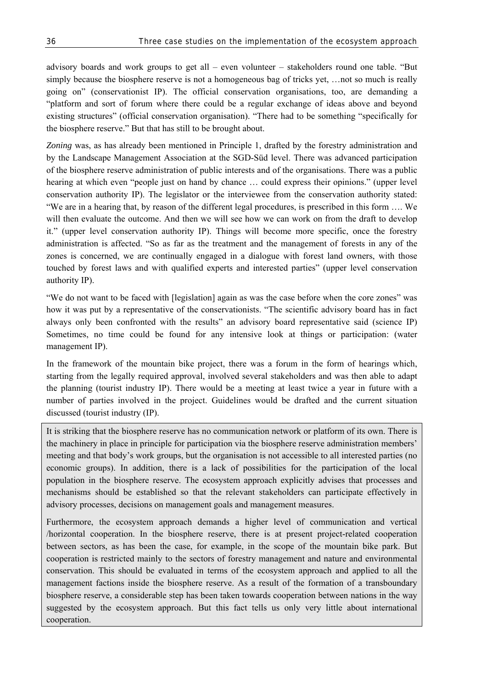advisory boards and work groups to get all – even volunteer – stakeholders round one table. "But simply because the biosphere reserve is not a homogeneous bag of tricks yet, …not so much is really going on" (conservationist IP). The official conservation organisations, too, are demanding a "platform and sort of forum where there could be a regular exchange of ideas above and beyond existing structures" (official conservation organisation). "There had to be something "specifically for the biosphere reserve." But that has still to be brought about.

*Zoning* was, as has already been mentioned in Principle 1, drafted by the forestry administration and by the Landscape Management Association at the SGD-Süd level. There was advanced participation of the biosphere reserve administration of public interests and of the organisations. There was a public hearing at which even "people just on hand by chance … could express their opinions." (upper level conservation authority IP). The legislator or the interviewee from the conservation authority stated: "We are in a hearing that, by reason of the different legal procedures, is prescribed in this form …. We will then evaluate the outcome. And then we will see how we can work on from the draft to develop it." (upper level conservation authority IP). Things will become more specific, once the forestry administration is affected. "So as far as the treatment and the management of forests in any of the zones is concerned, we are continually engaged in a dialogue with forest land owners, with those touched by forest laws and with qualified experts and interested parties" (upper level conservation authority IP).

"We do not want to be faced with [legislation] again as was the case before when the core zones" was how it was put by a representative of the conservationists. "The scientific advisory board has in fact always only been confronted with the results" an advisory board representative said (science IP) Sometimes, no time could be found for any intensive look at things or participation: (water management IP).

In the framework of the mountain bike project, there was a forum in the form of hearings which, starting from the legally required approval, involved several stakeholders and was then able to adapt the planning (tourist industry IP). There would be a meeting at least twice a year in future with a number of parties involved in the project. Guidelines would be drafted and the current situation discussed (tourist industry (IP).

It is striking that the biosphere reserve has no communication network or platform of its own. There is the machinery in place in principle for participation via the biosphere reserve administration members' meeting and that body's work groups, but the organisation is not accessible to all interested parties (no economic groups). In addition, there is a lack of possibilities for the participation of the local population in the biosphere reserve. The ecosystem approach explicitly advises that processes and mechanisms should be established so that the relevant stakeholders can participate effectively in advisory processes, decisions on management goals and management measures.

Furthermore, the ecosystem approach demands a higher level of communication and vertical /horizontal cooperation. In the biosphere reserve, there is at present project-related cooperation between sectors, as has been the case, for example, in the scope of the mountain bike park. But cooperation is restricted mainly to the sectors of forestry management and nature and environmental conservation. This should be evaluated in terms of the ecosystem approach and applied to all the management factions inside the biosphere reserve. As a result of the formation of a transboundary biosphere reserve, a considerable step has been taken towards cooperation between nations in the way suggested by the ecosystem approach. But this fact tells us only very little about international cooperation.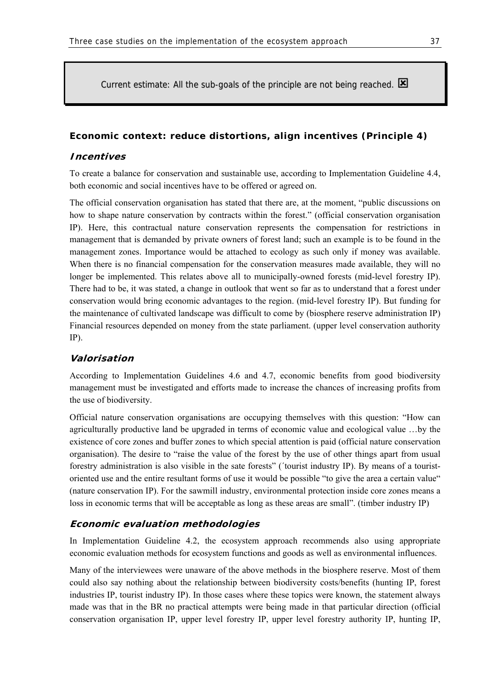Current estimate: All the sub-goals of the principle are not being reached.  $\boxtimes$ 

### **Economic context: reduce distortions, align incentives (Principle 4)**

### **Incentives**

To create a balance for conservation and sustainable use, according to Implementation Guideline 4.4, both economic and social incentives have to be offered or agreed on.

The official conservation organisation has stated that there are, at the moment, "public discussions on how to shape nature conservation by contracts within the forest." (official conservation organisation IP). Here, this contractual nature conservation represents the compensation for restrictions in management that is demanded by private owners of forest land; such an example is to be found in the management zones. Importance would be attached to ecology as such only if money was available. When there is no financial compensation for the conservation measures made available, they will no longer be implemented. This relates above all to municipally-owned forests (mid-level forestry IP). There had to be, it was stated, a change in outlook that went so far as to understand that a forest under conservation would bring economic advantages to the region. (mid-level forestry IP). But funding for the maintenance of cultivated landscape was difficult to come by (biosphere reserve administration IP) Financial resources depended on money from the state parliament. (upper level conservation authority IP).

### **Valorisation**

According to Implementation Guidelines 4.6 and 4.7, economic benefits from good biodiversity management must be investigated and efforts made to increase the chances of increasing profits from the use of biodiversity.

Official nature conservation organisations are occupying themselves with this question: "How can agriculturally productive land be upgraded in terms of economic value and ecological value …by the existence of core zones and buffer zones to which special attention is paid (official nature conservation organisation). The desire to "raise the value of the forest by the use of other things apart from usual forestry administration is also visible in the sate forests" (´tourist industry IP). By means of a touristoriented use and the entire resultant forms of use it would be possible "to give the area a certain value" (nature conservation IP). For the sawmill industry, environmental protection inside core zones means a loss in economic terms that will be acceptable as long as these areas are small". (timber industry IP)

### **Economic evaluation methodologies**

In Implementation Guideline 4.2, the ecosystem approach recommends also using appropriate economic evaluation methods for ecosystem functions and goods as well as environmental influences.

Many of the interviewees were unaware of the above methods in the biosphere reserve. Most of them could also say nothing about the relationship between biodiversity costs/benefits (hunting IP, forest industries IP, tourist industry IP). In those cases where these topics were known, the statement always made was that in the BR no practical attempts were being made in that particular direction (official conservation organisation IP, upper level forestry IP, upper level forestry authority IP, hunting IP,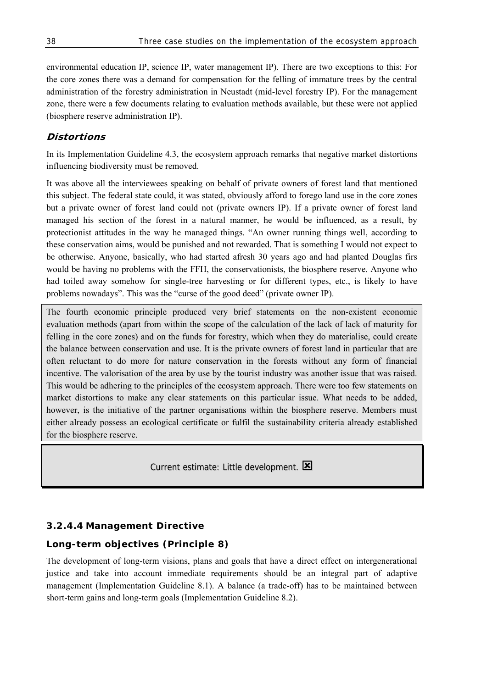environmental education IP, science IP, water management IP). There are two exceptions to this: For the core zones there was a demand for compensation for the felling of immature trees by the central administration of the forestry administration in Neustadt (mid-level forestry IP). For the management zone, there were a few documents relating to evaluation methods available, but these were not applied (biosphere reserve administration IP).

## **Distortions**

In its Implementation Guideline 4.3, the ecosystem approach remarks that negative market distortions influencing biodiversity must be removed.

It was above all the interviewees speaking on behalf of private owners of forest land that mentioned this subject. The federal state could, it was stated, obviously afford to forego land use in the core zones but a private owner of forest land could not (private owners IP). If a private owner of forest land managed his section of the forest in a natural manner, he would be influenced, as a result, by protectionist attitudes in the way he managed things. "An owner running things well, according to these conservation aims, would be punished and not rewarded. That is something I would not expect to be otherwise. Anyone, basically, who had started afresh 30 years ago and had planted Douglas firs would be having no problems with the FFH, the conservationists, the biosphere reserve. Anyone who had toiled away somehow for single-tree harvesting or for different types, etc., is likely to have problems nowadays". This was the "curse of the good deed" (private owner IP).

The fourth economic principle produced very brief statements on the non-existent economic evaluation methods (apart from within the scope of the calculation of the lack of lack of maturity for felling in the core zones) and on the funds for forestry, which when they do materialise, could create the balance between conservation and use. It is the private owners of forest land in particular that are often reluctant to do more for nature conservation in the forests without any form of financial incentive. The valorisation of the area by use by the tourist industry was another issue that was raised. This would be adhering to the principles of the ecosystem approach. There were too few statements on market distortions to make any clear statements on this particular issue. What needs to be added, however, is the initiative of the partner organisations within the biosphere reserve. Members must either already possess an ecological certificate or fulfil the sustainability criteria already established for the biosphere reserve.

Current estimate: Little development.  $\boxtimes$ 

## **3.2.4.4 Management Directive**

## **Long-term objectives (Principle 8)**

The development of long-term visions, plans and goals that have a direct effect on intergenerational justice and take into account immediate requirements should be an integral part of adaptive management (Implementation Guideline 8.1). A balance (a trade-off) has to be maintained between short-term gains and long-term goals (Implementation Guideline 8.2).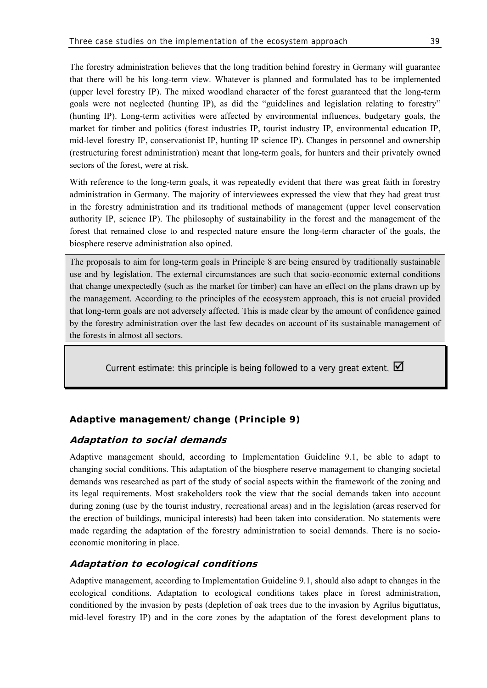The forestry administration believes that the long tradition behind forestry in Germany will guarantee that there will be his long-term view. Whatever is planned and formulated has to be implemented (upper level forestry IP). The mixed woodland character of the forest guaranteed that the long-term goals were not neglected (hunting IP), as did the "guidelines and legislation relating to forestry" (hunting IP). Long-term activities were affected by environmental influences, budgetary goals, the market for timber and politics (forest industries IP, tourist industry IP, environmental education IP, mid-level forestry IP, conservationist IP, hunting IP science IP). Changes in personnel and ownership (restructuring forest administration) meant that long-term goals, for hunters and their privately owned sectors of the forest, were at risk.

With reference to the long-term goals, it was repeatedly evident that there was great faith in forestry administration in Germany. The majority of interviewees expressed the view that they had great trust in the forestry administration and its traditional methods of management (upper level conservation authority IP, science IP). The philosophy of sustainability in the forest and the management of the forest that remained close to and respected nature ensure the long-term character of the goals, the biosphere reserve administration also opined.

The proposals to aim for long-term goals in Principle 8 are being ensured by traditionally sustainable use and by legislation. The external circumstances are such that socio-economic external conditions that change unexpectedly (such as the market for timber) can have an effect on the plans drawn up by the management. According to the principles of the ecosystem approach, this is not crucial provided that long-term goals are not adversely affected. This is made clear by the amount of confidence gained by the forestry administration over the last few decades on account of its sustainable management of the forests in almost all sectors.

Current estimate: this principle is being followed to a very great extent.  $\blacksquare$ 

# **Adaptive management/change (Principle 9)**

## **Adaptation to social demands**

Adaptive management should, according to Implementation Guideline 9.1, be able to adapt to changing social conditions. This adaptation of the biosphere reserve management to changing societal demands was researched as part of the study of social aspects within the framework of the zoning and its legal requirements. Most stakeholders took the view that the social demands taken into account during zoning (use by the tourist industry, recreational areas) and in the legislation (areas reserved for the erection of buildings, municipal interests) had been taken into consideration. No statements were made regarding the adaptation of the forestry administration to social demands. There is no socioeconomic monitoring in place.

# **Adaptation to ecological conditions**

Adaptive management, according to Implementation Guideline 9.1, should also adapt to changes in the ecological conditions. Adaptation to ecological conditions takes place in forest administration, conditioned by the invasion by pests (depletion of oak trees due to the invasion by Agrilus biguttatus, mid-level forestry IP) and in the core zones by the adaptation of the forest development plans to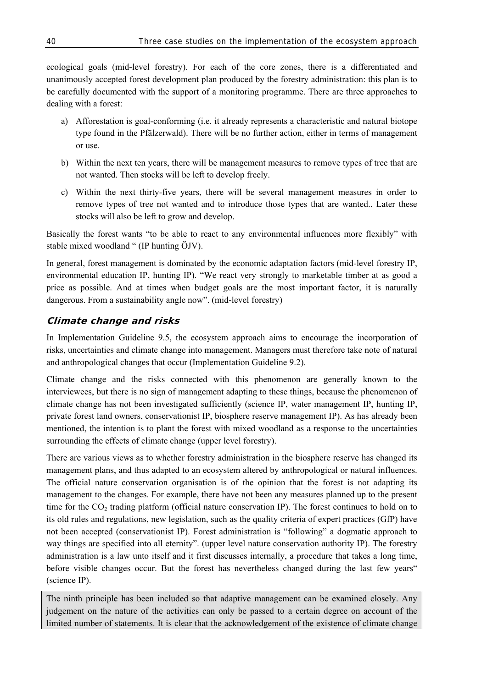ecological goals (mid-level forestry). For each of the core zones, there is a differentiated and unanimously accepted forest development plan produced by the forestry administration: this plan is to be carefully documented with the support of a monitoring programme. There are three approaches to dealing with a forest:

- a) Afforestation is goal-conforming (i.e. it already represents a characteristic and natural biotope type found in the Pfälzerwald). There will be no further action, either in terms of management or use.
- b) Within the next ten years, there will be management measures to remove types of tree that are not wanted. Then stocks will be left to develop freely.
- c) Within the next thirty-five years, there will be several management measures in order to remove types of tree not wanted and to introduce those types that are wanted.. Later these stocks will also be left to grow and develop.

Basically the forest wants "to be able to react to any environmental influences more flexibly" with stable mixed woodland " (IP hunting ÖJV).

In general, forest management is dominated by the economic adaptation factors (mid-level forestry IP, environmental education IP, hunting IP). "We react very strongly to marketable timber at as good a price as possible. And at times when budget goals are the most important factor, it is naturally dangerous. From a sustainability angle now". (mid-level forestry)

## **Climate change and risks**

In Implementation Guideline 9.5, the ecosystem approach aims to encourage the incorporation of risks, uncertainties and climate change into management. Managers must therefore take note of natural and anthropological changes that occur (Implementation Guideline 9.2).

Climate change and the risks connected with this phenomenon are generally known to the interviewees, but there is no sign of management adapting to these things, because the phenomenon of climate change has not been investigated sufficiently (science IP, water management IP, hunting IP, private forest land owners, conservationist IP, biosphere reserve management IP). As has already been mentioned, the intention is to plant the forest with mixed woodland as a response to the uncertainties surrounding the effects of climate change (upper level forestry).

There are various views as to whether forestry administration in the biosphere reserve has changed its management plans, and thus adapted to an ecosystem altered by anthropological or natural influences. The official nature conservation organisation is of the opinion that the forest is not adapting its management to the changes. For example, there have not been any measures planned up to the present time for the  $CO<sub>2</sub>$  trading platform (official nature conservation IP). The forest continues to hold on to its old rules and regulations, new legislation, such as the quality criteria of expert practices (GfP) have not been accepted (conservationist IP). Forest administration is "following" a dogmatic approach to way things are specified into all eternity". (upper level nature conservation authority IP). The forestry administration is a law unto itself and it first discusses internally, a procedure that takes a long time, before visible changes occur. But the forest has nevertheless changed during the last few years" (science IP).

The ninth principle has been included so that adaptive management can be examined closely. Any judgement on the nature of the activities can only be passed to a certain degree on account of the limited number of statements. It is clear that the acknowledgement of the existence of climate change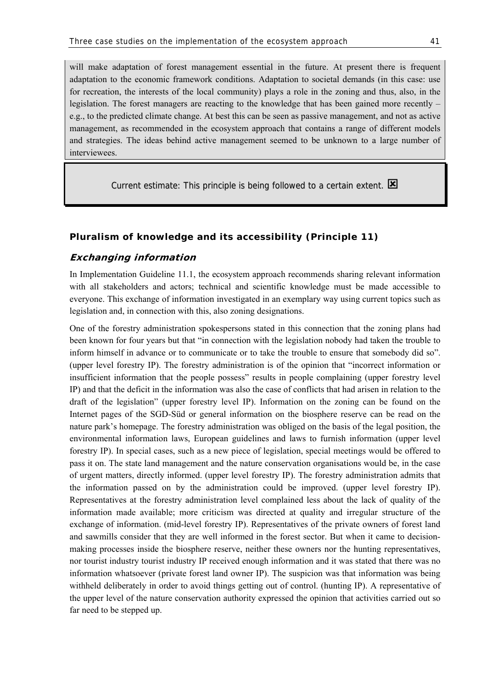will make adaptation of forest management essential in the future. At present there is frequent adaptation to the economic framework conditions. Adaptation to societal demands (in this case: use for recreation, the interests of the local community) plays a role in the zoning and thus, also, in the legislation. The forest managers are reacting to the knowledge that has been gained more recently – e.g., to the predicted climate change. At best this can be seen as passive management, and not as active management, as recommended in the ecosystem approach that contains a range of different models and strategies. The ideas behind active management seemed to be unknown to a large number of interviewees.

Current estimate: This principle is being followed to a certain extent.  $\boxtimes$ 

### **Pluralism of knowledge and its accessibility (Principle 11)**

### **Exchanging information**

In Implementation Guideline 11.1, the ecosystem approach recommends sharing relevant information with all stakeholders and actors; technical and scientific knowledge must be made accessible to everyone. This exchange of information investigated in an exemplary way using current topics such as legislation and, in connection with this, also zoning designations.

One of the forestry administration spokespersons stated in this connection that the zoning plans had been known for four years but that "in connection with the legislation nobody had taken the trouble to inform himself in advance or to communicate or to take the trouble to ensure that somebody did so". (upper level forestry IP). The forestry administration is of the opinion that "incorrect information or insufficient information that the people possess" results in people complaining (upper forestry level IP) and that the deficit in the information was also the case of conflicts that had arisen in relation to the draft of the legislation" (upper forestry level IP). Information on the zoning can be found on the Internet pages of the SGD-Süd or general information on the biosphere reserve can be read on the nature park's homepage. The forestry administration was obliged on the basis of the legal position, the environmental information laws, European guidelines and laws to furnish information (upper level forestry IP). In special cases, such as a new piece of legislation, special meetings would be offered to pass it on. The state land management and the nature conservation organisations would be, in the case of urgent matters, directly informed. (upper level forestry IP). The forestry administration admits that the information passed on by the administration could be improved. (upper level forestry IP). Representatives at the forestry administration level complained less about the lack of quality of the information made available; more criticism was directed at quality and irregular structure of the exchange of information. (mid-level forestry IP). Representatives of the private owners of forest land and sawmills consider that they are well informed in the forest sector. But when it came to decisionmaking processes inside the biosphere reserve, neither these owners nor the hunting representatives, nor tourist industry tourist industry IP received enough information and it was stated that there was no information whatsoever (private forest land owner IP). The suspicion was that information was being withheld deliberately in order to avoid things getting out of control. (hunting IP). A representative of the upper level of the nature conservation authority expressed the opinion that activities carried out so far need to be stepped up.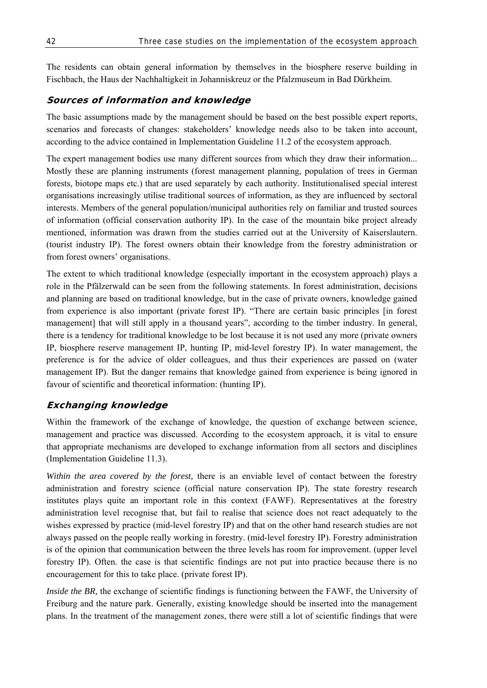The residents can obtain general information by themselves in the biosphere reserve building in Fischbach, the Haus der Nachhaltigkeit in Johanniskreuz or the Pfalzmuseum in Bad Dürkheim.

### **Sources of information and knowledge**

The basic assumptions made by the management should be based on the best possible expert reports, scenarios and forecasts of changes: stakeholders' knowledge needs also to be taken into account, according to the advice contained in Implementation Guideline 11.2 of the ecosystem approach.

The expert management bodies use many different sources from which they draw their information... Mostly these are planning instruments (forest management planning, population of trees in German forests, biotope maps etc.) that are used separately by each authority. Institutionalised special interest organisations increasingly utilise traditional sources of information, as they are influenced by sectoral interests. Members of the general population/municipal authorities rely on familiar and trusted sources of information (official conservation authority IP). In the case of the mountain bike project already mentioned, information was drawn from the studies carried out at the University of Kaiserslautern. (tourist industry IP). The forest owners obtain their knowledge from the forestry administration or from forest owners' organisations.

The extent to which traditional knowledge (especially important in the ecosystem approach) plays a role in the Pfälzerwald can be seen from the following statements. In forest administration, decisions and planning are based on traditional knowledge, but in the case of private owners, knowledge gained from experience is also important (private forest IP). "There are certain basic principles [in forest management] that will still apply in a thousand years", according to the timber industry. In general, there is a tendency for traditional knowledge to be lost because it is not used any more (private owners IP, biosphere reserve management IP, hunting IP, mid-level forestry IP). In water management, the preference is for the advice of older colleagues, and thus their experiences are passed on (water management IP). But the danger remains that knowledge gained from experience is being ignored in favour of scientific and theoretical information: (hunting IP).

## **Exchanging knowledge**

Within the framework of the exchange of knowledge, the question of exchange between science, management and practice was discussed. According to the ecosystem approach, it is vital to ensure that appropriate mechanisms are developed to exchange information from all sectors and disciplines (Implementation Guideline 11.3).

*Within the area covered by the forest,* there is an enviable level of contact between the forestry administration and forestry science (official nature conservation IP). The state forestry research institutes plays quite an important role in this context (FAWF). Representatives at the forestry administration level recognise that, but fail to realise that science does not react adequately to the wishes expressed by practice (mid-level forestry IP) and that on the other hand research studies are not always passed on the people really working in forestry. (mid-level forestry IP). Forestry administration is of the opinion that communication between the three levels has room for improvement. (upper level forestry IP). Often. the case is that scientific findings are not put into practice because there is no encouragement for this to take place. (private forest IP).

*Inside the BR,* the exchange of scientific findings is functioning between the FAWF, the University of Freiburg and the nature park. Generally, existing knowledge should be inserted into the management plans. In the treatment of the management zones, there were still a lot of scientific findings that were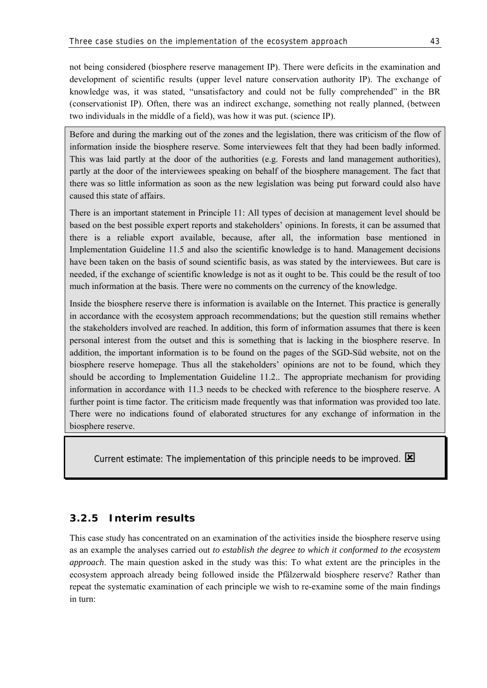not being considered (biosphere reserve management IP). There were deficits in the examination and development of scientific results (upper level nature conservation authority IP). The exchange of knowledge was, it was stated, "unsatisfactory and could not be fully comprehended" in the BR (conservationist IP). Often, there was an indirect exchange, something not really planned, (between two individuals in the middle of a field), was how it was put. (science IP).

Before and during the marking out of the zones and the legislation, there was criticism of the flow of information inside the biosphere reserve. Some interviewees felt that they had been badly informed. This was laid partly at the door of the authorities (e.g. Forests and land management authorities), partly at the door of the interviewees speaking on behalf of the biosphere management. The fact that there was so little information as soon as the new legislation was being put forward could also have caused this state of affairs.

There is an important statement in Principle 11: All types of decision at management level should be based on the best possible expert reports and stakeholders' opinions. In forests, it can be assumed that there is a reliable export available, because, after all, the information base mentioned in Implementation Guideline 11.5 and also the scientific knowledge is to hand. Management decisions have been taken on the basis of sound scientific basis, as was stated by the interviewees. But care is needed, if the exchange of scientific knowledge is not as it ought to be. This could be the result of too much information at the basis. There were no comments on the currency of the knowledge.

Inside the biosphere reserve there is information is available on the Internet. This practice is generally in accordance with the ecosystem approach recommendations; but the question still remains whether the stakeholders involved are reached. In addition, this form of information assumes that there is keen personal interest from the outset and this is something that is lacking in the biosphere reserve. In addition, the important information is to be found on the pages of the SGD-Süd website, not on the biosphere reserve homepage. Thus all the stakeholders' opinions are not to be found, which they should be according to Implementation Guideline 11.2.. The appropriate mechanism for providing information in accordance with 11.3 needs to be checked with reference to the biosphere reserve. A further point is time factor. The criticism made frequently was that information was provided too late. There were no indications found of elaborated structures for any exchange of information in the biosphere reserve.

Current estimate: The implementation of this principle needs to be improved.  $\boxtimes$ 

## **3.2.5 Interim results**

This case study has concentrated on an examination of the activities inside the biosphere reserve using as an example the analyses carried out *to establish the degree to which it conformed to the ecosystem approach*. The main question asked in the study was this: To what extent are the principles in the ecosystem approach already being followed inside the Pfälzerwald biosphere reserve? Rather than repeat the systematic examination of each principle we wish to re-examine some of the main findings in turn: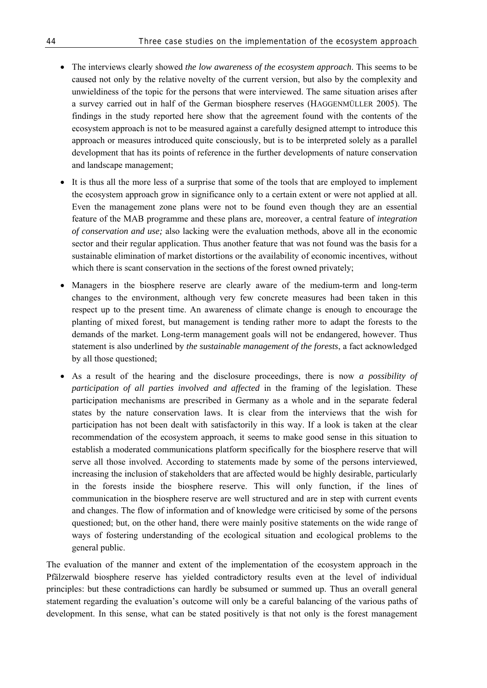- The interviews clearly showed *the low awareness of the ecosystem approach*. This seems to be caused not only by the relative novelty of the current version, but also by the complexity and unwieldiness of the topic for the persons that were interviewed. The same situation arises after a survey carried out in half of the German biosphere reserves (HAGGENMÜLLER 2005). The findings in the study reported here show that the agreement found with the contents of the ecosystem approach is not to be measured against a carefully designed attempt to introduce this approach or measures introduced quite consciously, but is to be interpreted solely as a parallel development that has its points of reference in the further developments of nature conservation and landscape management;
- It is thus all the more less of a surprise that some of the tools that are employed to implement the ecosystem approach grow in significance only to a certain extent or were not applied at all. Even the management zone plans were not to be found even though they are an essential feature of the MAB programme and these plans are, moreover, a central feature of *integration of conservation and use;* also lacking were the evaluation methods, above all in the economic sector and their regular application. Thus another feature that was not found was the basis for a sustainable elimination of market distortions or the availability of economic incentives, without which there is scant conservation in the sections of the forest owned privately:
- Managers in the biosphere reserve are clearly aware of the medium-term and long-term changes to the environment, although very few concrete measures had been taken in this respect up to the present time. An awareness of climate change is enough to encourage the planting of mixed forest, but management is tending rather more to adapt the forests to the demands of the market. Long-term management goals will not be endangered, however. Thus statement is also underlined by *the sustainable management of the forests*, a fact acknowledged by all those questioned;
- As a result of the hearing and the disclosure proceedings, there is now *a possibility of participation of all parties involved and affected* in the framing of the legislation. These participation mechanisms are prescribed in Germany as a whole and in the separate federal states by the nature conservation laws. It is clear from the interviews that the wish for participation has not been dealt with satisfactorily in this way. If a look is taken at the clear recommendation of the ecosystem approach, it seems to make good sense in this situation to establish a moderated communications platform specifically for the biosphere reserve that will serve all those involved. According to statements made by some of the persons interviewed, increasing the inclusion of stakeholders that are affected would be highly desirable, particularly in the forests inside the biosphere reserve. This will only function, if the lines of communication in the biosphere reserve are well structured and are in step with current events and changes. The flow of information and of knowledge were criticised by some of the persons questioned; but, on the other hand, there were mainly positive statements on the wide range of ways of fostering understanding of the ecological situation and ecological problems to the general public.

The evaluation of the manner and extent of the implementation of the ecosystem approach in the Pfälzerwald biosphere reserve has yielded contradictory results even at the level of individual principles: but these contradictions can hardly be subsumed or summed up. Thus an overall general statement regarding the evaluation's outcome will only be a careful balancing of the various paths of development. In this sense, what can be stated positively is that not only is the forest management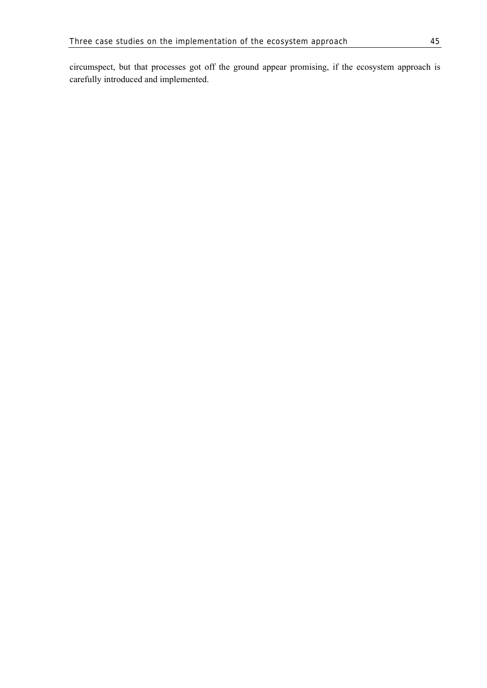circumspect, but that processes got off the ground appear promising, if the ecosystem approach is carefully introduced and implemented.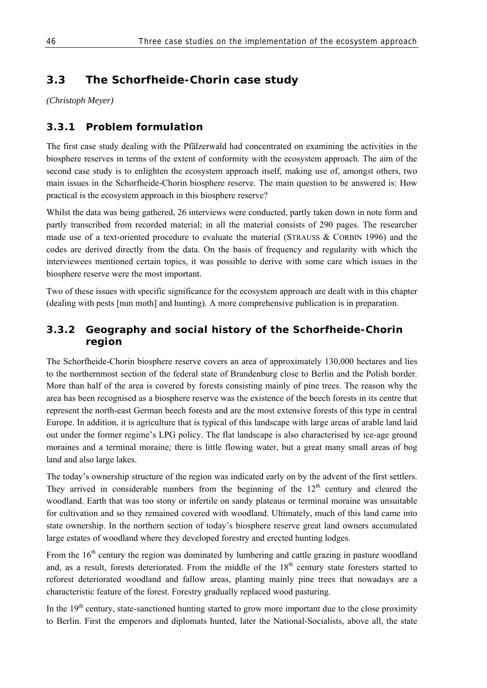# **3.3 The Schorfheide-Chorin case study**

*(Christoph Meyer)* 

# **3.3.1 Problem formulation**

The first case study dealing with the Pfälzerwald had concentrated on examining the activities in the biosphere reserves in terms of the extent of conformity with the ecosystem approach. The aim of the second case study is to enlighten the ecosystem approach itself, making use of, amongst others, two main issues in the Schorfheide-Chorin biosphere reserve. The main question to be answered is: How practical is the ecosystem approach in this biosphere reserve?

Whilst the data was being gathered, 26 interviews were conducted, partly taken down in note form and partly transcribed from recorded material; in all the material consists of 290 pages. The researcher made use of a text-oriented procedure to evaluate the material (STRAUSS & CORBIN 1996) and the codes are derived directly from the data. On the basis of frequency and regularity with which the interviewees mentioned certain topics, it was possible to derive with some care which issues in the biosphere reserve were the most important.

Two of these issues with specific significance for the ecosystem approach are dealt with in this chapter (dealing with pests [nun moth] and hunting). A more comprehensive publication is in preparation.

# **3.3.2 Geography and social history of the Schorfheide-Chorin region**

The Schorfheide-Chorin biosphere reserve covers an area of approximately 130,000 hectares and lies to the northernmost section of the federal state of Brandenburg close to Berlin and the Polish border. More than half of the area is covered by forests consisting mainly of pine trees. The reason why the area has been recognised as a biosphere reserve was the existence of the beech forests in its centre that represent the north-east German beech forests and are the most extensive forests of this type in central Europe. In addition, it is agriculture that is typical of this landscape with large areas of arable land laid out under the former regime's LPG policy. The flat landscape is also characterised by ice-age ground moraines and a terminal moraine; there is little flowing water, but a great many small areas of bog land and also large lakes.

The today's ownership structure of the region was indicated early on by the advent of the first settlers. They arrived in considerable numbers from the beginning of the  $12<sup>th</sup>$  century and cleared the woodland. Earth that was too stony or infertile on sandy plateaus or terminal moraine was unsuitable for cultivation and so they remained covered with woodland. Ultimately, much of this land came into state ownership. In the northern section of today's biosphere reserve great land owners accumulated large estates of woodland where they developed forestry and erected hunting lodges.

From the 16<sup>th</sup> century the region was dominated by lumbering and cattle grazing in pasture woodland and, as a result, forests deteriorated. From the middle of the  $18<sup>th</sup>$  century state foresters started to reforest deteriorated woodland and fallow areas, planting mainly pine trees that nowadays are a characteristic feature of the forest. Forestry gradually replaced wood pasturing.

In the  $19<sup>th</sup>$  century, state-sanctioned hunting started to grow more important due to the close proximity to Berlin. First the emperors and diplomats hunted, later the National-Socialists, above all, the state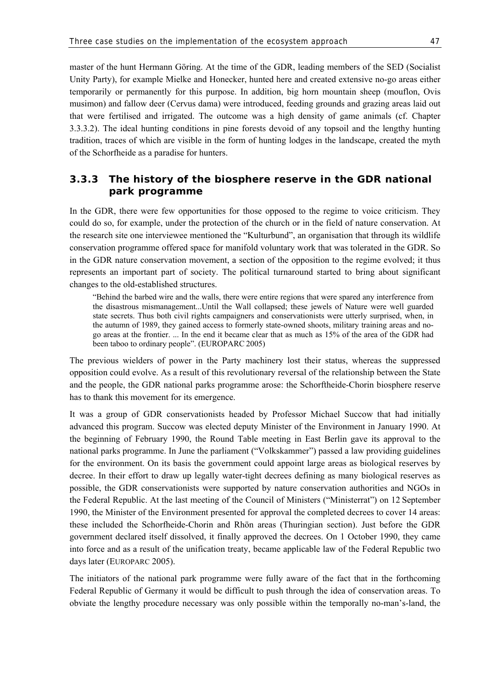master of the hunt Hermann Göring. At the time of the GDR, leading members of the SED (Socialist Unity Party), for example Mielke and Honecker, hunted here and created extensive no-go areas either temporarily or permanently for this purpose. In addition, big horn mountain sheep (mouflon, Ovis musimon) and fallow deer (Cervus dama) were introduced, feeding grounds and grazing areas laid out that were fertilised and irrigated. The outcome was a high density of game animals (cf. Chapter 3.3.3.2). The ideal hunting conditions in pine forests devoid of any topsoil and the lengthy hunting tradition, traces of which are visible in the form of hunting lodges in the landscape, created the myth of the Schorfheide as a paradise for hunters.

# **3.3.3 The history of the biosphere reserve in the GDR national park programme**

In the GDR, there were few opportunities for those opposed to the regime to voice criticism. They could do so, for example, under the protection of the church or in the field of nature conservation. At the research site one interviewee mentioned the "Kulturbund", an organisation that through its wildlife conservation programme offered space for manifold voluntary work that was tolerated in the GDR. So in the GDR nature conservation movement, a section of the opposition to the regime evolved; it thus represents an important part of society. The political turnaround started to bring about significant changes to the old-established structures.

"Behind the barbed wire and the walls, there were entire regions that were spared any interference from the disastrous mismanagement...Until the Wall collapsed; these jewels of Nature were well guarded state secrets. Thus both civil rights campaigners and conservationists were utterly surprised, when, in the autumn of 1989, they gained access to formerly state-owned shoots, military training areas and nogo areas at the frontier. ... In the end it became clear that as much as 15% of the area of the GDR had been taboo to ordinary people". (EUROPARC 2005)

The previous wielders of power in the Party machinery lost their status, whereas the suppressed opposition could evolve. As a result of this revolutionary reversal of the relationship between the State and the people, the GDR national parks programme arose: the Schorftheide-Chorin biosphere reserve has to thank this movement for its emergence.

It was a group of GDR conservationists headed by Professor Michael Succow that had initially advanced this program. Succow was elected deputy Minister of the Environment in January 1990. At the beginning of February 1990, the Round Table meeting in East Berlin gave its approval to the national parks programme. In June the parliament ("Volkskammer") passed a law providing guidelines for the environment. On its basis the government could appoint large areas as biological reserves by decree. In their effort to draw up legally water-tight decrees defining as many biological reserves as possible, the GDR conservationists were supported by nature conservation authorities and NGOs in the Federal Republic. At the last meeting of the Council of Ministers ("Ministerrat") on 12 September 1990, the Minister of the Environment presented for approval the completed decrees to cover 14 areas: these included the Schorfheide-Chorin and Rhön areas (Thuringian section). Just before the GDR government declared itself dissolved, it finally approved the decrees. On 1 October 1990, they came into force and as a result of the unification treaty, became applicable law of the Federal Republic two days later (EUROPARC 2005).

The initiators of the national park programme were fully aware of the fact that in the forthcoming Federal Republic of Germany it would be difficult to push through the idea of conservation areas. To obviate the lengthy procedure necessary was only possible within the temporally no-man's-land, the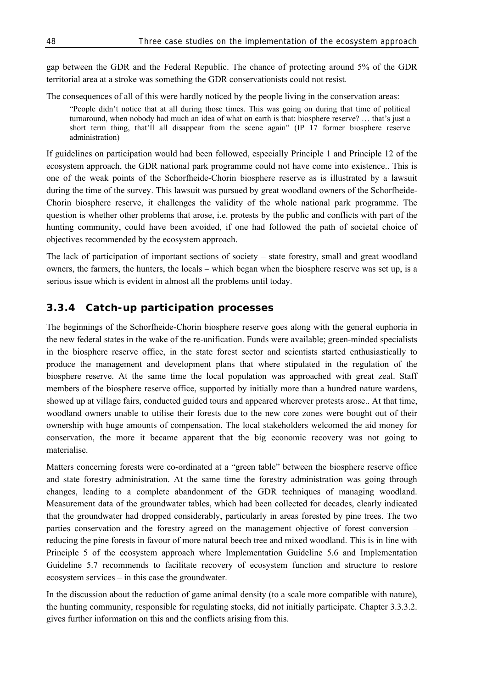gap between the GDR and the Federal Republic. The chance of protecting around 5% of the GDR territorial area at a stroke was something the GDR conservationists could not resist.

The consequences of all of this were hardly noticed by the people living in the conservation areas:

"People didn't notice that at all during those times. This was going on during that time of political turnaround, when nobody had much an idea of what on earth is that: biosphere reserve? … that's just a short term thing, that'll all disappear from the scene again" (IP 17 former biosphere reserve administration)

If guidelines on participation would had been followed, especially Principle 1 and Principle 12 of the ecosystem approach, the GDR national park programme could not have come into existence.. This is one of the weak points of the Schorfheide-Chorin biosphere reserve as is illustrated by a lawsuit during the time of the survey. This lawsuit was pursued by great woodland owners of the Schorfheide-Chorin biosphere reserve, it challenges the validity of the whole national park programme. The question is whether other problems that arose, i.e. protests by the public and conflicts with part of the hunting community, could have been avoided, if one had followed the path of societal choice of objectives recommended by the ecosystem approach.

The lack of participation of important sections of society – state forestry, small and great woodland owners, the farmers, the hunters, the locals – which began when the biosphere reserve was set up, is a serious issue which is evident in almost all the problems until today.

## **3.3.4 Catch-up participation processes**

The beginnings of the Schorfheide-Chorin biosphere reserve goes along with the general euphoria in the new federal states in the wake of the re-unification. Funds were available; green-minded specialists in the biosphere reserve office, in the state forest sector and scientists started enthusiastically to produce the management and development plans that where stipulated in the regulation of the biosphere reserve. At the same time the local population was approached with great zeal. Staff members of the biosphere reserve office, supported by initially more than a hundred nature wardens, showed up at village fairs, conducted guided tours and appeared wherever protests arose.. At that time, woodland owners unable to utilise their forests due to the new core zones were bought out of their ownership with huge amounts of compensation. The local stakeholders welcomed the aid money for conservation, the more it became apparent that the big economic recovery was not going to materialise.

Matters concerning forests were co-ordinated at a "green table" between the biosphere reserve office and state forestry administration. At the same time the forestry administration was going through changes, leading to a complete abandonment of the GDR techniques of managing woodland. Measurement data of the groundwater tables, which had been collected for decades, clearly indicated that the groundwater had dropped considerably, particularly in areas forested by pine trees. The two parties conservation and the forestry agreed on the management objective of forest conversion – reducing the pine forests in favour of more natural beech tree and mixed woodland. This is in line with Principle 5 of the ecosystem approach where Implementation Guideline 5.6 and Implementation Guideline 5.7 recommends to facilitate recovery of ecosystem function and structure to restore ecosystem services – in this case the groundwater.

In the discussion about the reduction of game animal density (to a scale more compatible with nature), the hunting community, responsible for regulating stocks, did not initially participate. Chapter 3.3.3.2. gives further information on this and the conflicts arising from this.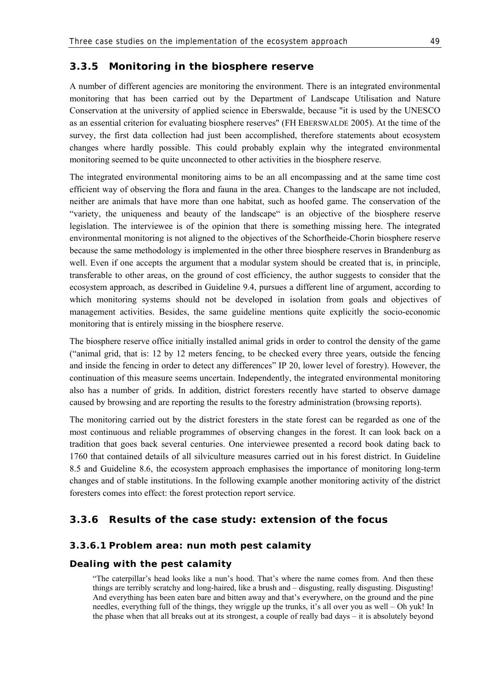### **3.3.5 Monitoring in the biosphere reserve**

A number of different agencies are monitoring the environment. There is an integrated environmental monitoring that has been carried out by the Department of Landscape Utilisation and Nature Conservation at the university of applied science in Eberswalde, because "it is used by the UNESCO as an essential criterion for evaluating biosphere reserves" (FH EBERSWALDE 2005). At the time of the survey, the first data collection had just been accomplished, therefore statements about ecosystem changes where hardly possible. This could probably explain why the integrated environmental monitoring seemed to be quite unconnected to other activities in the biosphere reserve.

The integrated environmental monitoring aims to be an all encompassing and at the same time cost efficient way of observing the flora and fauna in the area. Changes to the landscape are not included, neither are animals that have more than one habitat, such as hoofed game. The conservation of the "variety, the uniqueness and beauty of the landscape" is an objective of the biosphere reserve legislation. The interviewee is of the opinion that there is something missing here. The integrated environmental monitoring is not aligned to the objectives of the Schorfheide-Chorin biosphere reserve because the same methodology is implemented in the other three biosphere reserves in Brandenburg as well. Even if one accepts the argument that a modular system should be created that is, in principle, transferable to other areas, on the ground of cost efficiency, the author suggests to consider that the ecosystem approach, as described in Guideline 9.4, pursues a different line of argument, according to which monitoring systems should not be developed in isolation from goals and objectives of management activities. Besides, the same guideline mentions quite explicitly the socio-economic monitoring that is entirely missing in the biosphere reserve.

The biosphere reserve office initially installed animal grids in order to control the density of the game ("animal grid, that is: 12 by 12 meters fencing, to be checked every three years, outside the fencing and inside the fencing in order to detect any differences" IP 20, lower level of forestry). However, the continuation of this measure seems uncertain. Independently, the integrated environmental monitoring also has a number of grids. In addition, district foresters recently have started to observe damage caused by browsing and are reporting the results to the forestry administration (browsing reports).

The monitoring carried out by the district foresters in the state forest can be regarded as one of the most continuous and reliable programmes of observing changes in the forest. It can look back on a tradition that goes back several centuries. One interviewee presented a record book dating back to 1760 that contained details of all silviculture measures carried out in his forest district. In Guideline 8.5 and Guideline 8.6, the ecosystem approach emphasises the importance of monitoring long-term changes and of stable institutions. In the following example another monitoring activity of the district foresters comes into effect: the forest protection report service.

### **3.3.6 Results of the case study: extension of the focus**

### **3.3.6.1 Problem area: nun moth pest calamity**

### **Dealing with the pest calamity**

"The caterpillar's head looks like a nun's hood. That's where the name comes from. And then these things are terribly scratchy and long-haired, like a brush and – disgusting, really disgusting. Disgusting! And everything has been eaten bare and bitten away and that's everywhere, on the ground and the pine needles, everything full of the things, they wriggle up the trunks, it's all over you as well – Oh yuk! In the phase when that all breaks out at its strongest, a couple of really bad days – it is absolutely beyond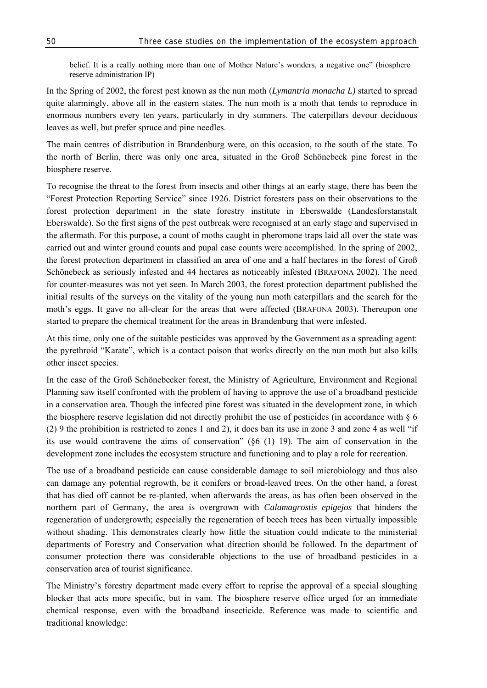belief. It is a really nothing more than one of Mother Nature's wonders, a negative one" (biosphere reserve administration IP)

In the Spring of 2002, the forest pest known as the nun moth (*Lymantria monacha L)* started to spread quite alarmingly, above all in the eastern states. The nun moth is a moth that tends to reproduce in enormous numbers every ten years, particularly in dry summers. The caterpillars devour deciduous leaves as well, but prefer spruce and pine needles.

The main centres of distribution in Brandenburg were, on this occasion, to the south of the state. To the north of Berlin, there was only one area, situated in the Groß Schönebeck pine forest in the biosphere reserve.

To recognise the threat to the forest from insects and other things at an early stage, there has been the "Forest Protection Reporting Service" since 1926. District foresters pass on their observations to the forest protection department in the state forestry institute in Eberswalde (Landesforstanstalt Eberswalde). So the first signs of the pest outbreak were recognised at an early stage and supervised in the aftermath. For this purpose, a count of moths caught in pheromone traps laid all over the state was carried out and winter ground counts and pupal case counts were accomplished. In the spring of 2002, the forest protection department in classified an area of one and a half hectares in the forest of Groß Schönebeck as seriously infested and 44 hectares as noticeably infested (BRAFONA 2002). The need for counter-measures was not yet seen. In March 2003, the forest protection department published the initial results of the surveys on the vitality of the young nun moth caterpillars and the search for the moth's eggs. It gave no all-clear for the areas that were affected (BRAFONA 2003). Thereupon one started to prepare the chemical treatment for the areas in Brandenburg that were infested.

At this time, only one of the suitable pesticides was approved by the Government as a spreading agent: the pyrethroid "Karate", which is a contact poison that works directly on the nun moth but also kills other insect species.

In the case of the Groß Schönebecker forest, the Ministry of Agriculture, Environment and Regional Planning saw itself confronted with the problem of having to approve the use of a broadband pesticide in a conservation area. Though the infected pine forest was situated in the development zone, in which the biosphere reserve legislation did not directly prohibit the use of pesticides (in accordance with § 6 (2) 9 the prohibition is restricted to zones 1 and 2), it does ban its use in zone 3 and zone 4 as well "if its use would contravene the aims of conservation" (§6 (1) 19). The aim of conservation in the development zone includes the ecosystem structure and functioning and to play a role for recreation.

The use of a broadband pesticide can cause considerable damage to soil microbiology and thus also can damage any potential regrowth, be it conifers or broad-leaved trees. On the other hand, a forest that has died off cannot be re-planted, when afterwards the areas, as has often been observed in the northern part of Germany, the area is overgrown with *Calamagrostis epigejos* that hinders the regeneration of undergrowth; especially the regeneration of beech trees has been virtually impossible without shading. This demonstrates clearly how little the situation could indicate to the ministerial departments of Forestry and Conservation what direction should be followed. In the department of consumer protection there was considerable objections to the use of broadband pesticides in a conservation area of tourist significance.

The Ministry's forestry department made every effort to reprise the approval of a special sloughing blocker that acts more specific, but in vain. The biosphere reserve office urged for an immediate chemical response, even with the broadband insecticide. Reference was made to scientific and traditional knowledge: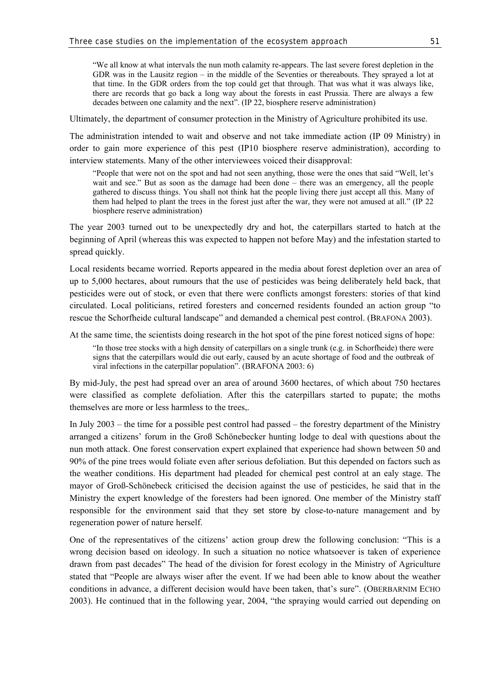"We all know at what intervals the nun moth calamity re-appears. The last severe forest depletion in the GDR was in the Lausitz region – in the middle of the Seventies or thereabouts. They sprayed a lot at that time. In the GDR orders from the top could get that through. That was what it was always like, there are records that go back a long way about the forests in east Prussia. There are always a few decades between one calamity and the next". (IP 22, biosphere reserve administration)

Ultimately, the department of consumer protection in the Ministry of Agriculture prohibited its use.

The administration intended to wait and observe and not take immediate action (IP 09 Ministry) in order to gain more experience of this pest (IP10 biosphere reserve administration), according to interview statements. Many of the other interviewees voiced their disapproval:

"People that were not on the spot and had not seen anything, those were the ones that said "Well, let's wait and see." But as soon as the damage had been done – there was an emergency, all the people gathered to discuss things. You shall not think hat the people living there just accept all this. Many of them had helped to plant the trees in the forest just after the war, they were not amused at all." (IP 22 biosphere reserve administration)

The year 2003 turned out to be unexpectedly dry and hot, the caterpillars started to hatch at the beginning of April (whereas this was expected to happen not before May) and the infestation started to spread quickly.

Local residents became worried. Reports appeared in the media about forest depletion over an area of up to 5,000 hectares, about rumours that the use of pesticides was being deliberately held back, that pesticides were out of stock, or even that there were conflicts amongst foresters: stories of that kind circulated. Local politicians, retired foresters and concerned residents founded an action group "to rescue the Schorfheide cultural landscape" and demanded a chemical pest control. (BRAFONA 2003).

At the same time, the scientists doing research in the hot spot of the pine forest noticed signs of hope:

"In those tree stocks with a high density of caterpillars on a single trunk (e.g. in Schorfheide) there were signs that the caterpillars would die out early, caused by an acute shortage of food and the outbreak of viral infections in the caterpillar population". (BRAFONA 2003: 6)

By mid-July, the pest had spread over an area of around 3600 hectares, of which about 750 hectares were classified as complete defoliation. After this the caterpillars started to pupate; the moths themselves are more or less harmless to the trees,.

In July 2003 – the time for a possible pest control had passed – the forestry department of the Ministry arranged a citizens' forum in the Groß Schönebecker hunting lodge to deal with questions about the nun moth attack. One forest conservation expert explained that experience had shown between 50 and 90% of the pine trees would foliate even after serious defoliation. But this depended on factors such as the weather conditions. His department had pleaded for chemical pest control at an ealy stage. The mayor of Groß-Schönebeck criticised the decision against the use of pesticides, he said that in the Ministry the expert knowledge of the foresters had been ignored. One member of the Ministry staff responsible for the environment said that they set store by close-to-nature management and by regeneration power of nature herself.

One of the representatives of the citizens' action group drew the following conclusion: "This is a wrong decision based on ideology. In such a situation no notice whatsoever is taken of experience drawn from past decades" The head of the division for forest ecology in the Ministry of Agriculture stated that "People are always wiser after the event. If we had been able to know about the weather conditions in advance, a different decision would have been taken, that's sure". (OBERBARNIM ECHO 2003). He continued that in the following year, 2004, "the spraying would carried out depending on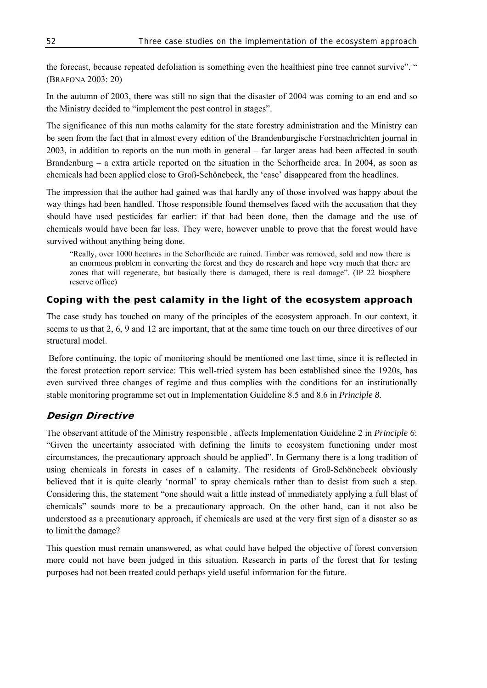the forecast, because repeated defoliation is something even the healthiest pine tree cannot survive". " (BRAFONA 2003: 20)

In the autumn of 2003, there was still no sign that the disaster of 2004 was coming to an end and so the Ministry decided to "implement the pest control in stages".

The significance of this nun moths calamity for the state forestry administration and the Ministry can be seen from the fact that in almost every edition of the Brandenburgische Forstnachrichten journal in 2003, in addition to reports on the nun moth in general – far larger areas had been affected in south Brandenburg – a extra article reported on the situation in the Schorfheide area. In 2004, as soon as chemicals had been applied close to Groß-Schönebeck, the 'case' disappeared from the headlines.

The impression that the author had gained was that hardly any of those involved was happy about the way things had been handled. Those responsible found themselves faced with the accusation that they should have used pesticides far earlier: if that had been done, then the damage and the use of chemicals would have been far less. They were, however unable to prove that the forest would have survived without anything being done.

"Really, over 1000 hectares in the Schorfheide are ruined. Timber was removed, sold and now there is an enormous problem in converting the forest and they do research and hope very much that there are zones that will regenerate, but basically there is damaged, there is real damage". (IP 22 biosphere reserve office)

### **Coping with the pest calamity in the light of the ecosystem approach**

The case study has touched on many of the principles of the ecosystem approach. In our context, it seems to us that 2, 6, 9 and 12 are important, that at the same time touch on our three directives of our structural model.

 Before continuing, the topic of monitoring should be mentioned one last time, since it is reflected in the forest protection report service: This well-tried system has been established since the 1920s, has even survived three changes of regime and thus complies with the conditions for an institutionally stable monitoring programme set out in Implementation Guideline 8.5 and 8.6 in *Principle 8*.

### **Design Directive**

The observant attitude of the Ministry responsible , affects Implementation Guideline 2 in *Principle 6*: "Given the uncertainty associated with defining the limits to ecosystem functioning under most circumstances, the precautionary approach should be applied". In Germany there is a long tradition of using chemicals in forests in cases of a calamity. The residents of Groß-Schönebeck obviously believed that it is quite clearly 'normal' to spray chemicals rather than to desist from such a step. Considering this, the statement "one should wait a little instead of immediately applying a full blast of chemicals" sounds more to be a precautionary approach. On the other hand, can it not also be understood as a precautionary approach, if chemicals are used at the very first sign of a disaster so as to limit the damage?

This question must remain unanswered, as what could have helped the objective of forest conversion more could not have been judged in this situation. Research in parts of the forest that for testing purposes had not been treated could perhaps yield useful information for the future.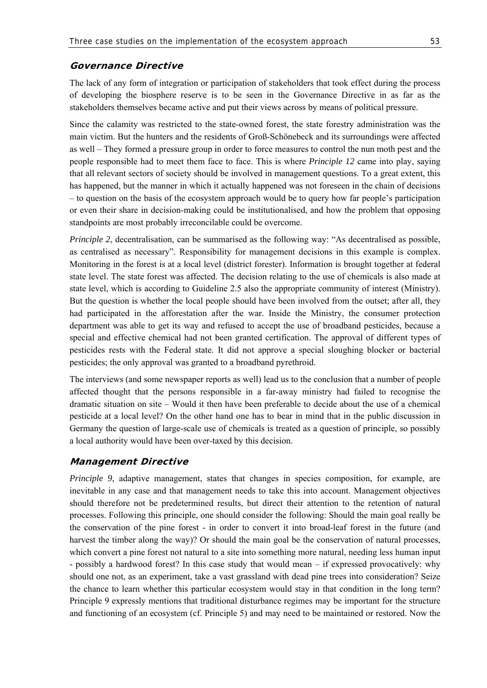### **Governance Directive**

The lack of any form of integration or participation of stakeholders that took effect during the process of developing the biosphere reserve is to be seen in the Governance Directive in as far as the stakeholders themselves became active and put their views across by means of political pressure.

Since the calamity was restricted to the state-owned forest, the state forestry administration was the main victim. But the hunters and the residents of Groß-Schönebeck and its surroundings were affected as well – They formed a pressure group in order to force measures to control the nun moth pest and the people responsible had to meet them face to face. This is where *Principle 12* came into play, saying that all relevant sectors of society should be involved in management questions. To a great extent, this has happened, but the manner in which it actually happened was not foreseen in the chain of decisions – to question on the basis of the ecosystem approach would be to query how far people's participation or even their share in decision-making could be institutionalised, and how the problem that opposing standpoints are most probably irreconcilable could be overcome.

*Principle 2*, decentralisation, can be summarised as the following way: "As decentralised as possible, as centralised as necessary". Responsibility for management decisions in this example is complex. Monitoring in the forest is at a local level (district forester). Information is brought together at federal state level. The state forest was affected. The decision relating to the use of chemicals is also made at state level, which is according to Guideline 2.5 also the appropriate community of interest (Ministry). But the question is whether the local people should have been involved from the outset; after all, they had participated in the afforestation after the war. Inside the Ministry, the consumer protection department was able to get its way and refused to accept the use of broadband pesticides, because a special and effective chemical had not been granted certification. The approval of different types of pesticides rests with the Federal state. It did not approve a special sloughing blocker or bacterial pesticides; the only approval was granted to a broadband pyrethroid.

The interviews (and some newspaper reports as well) lead us to the conclusion that a number of people affected thought that the persons responsible in a far-away ministry had failed to recognise the dramatic situation on site – Would it then have been preferable to decide about the use of a chemical pesticide at a local level? On the other hand one has to bear in mind that in the public discussion in Germany the question of large-scale use of chemicals is treated as a question of principle, so possibly a local authority would have been over-taxed by this decision.

### **Management Directive**

*Principle 9*, adaptive management, states that changes in species composition, for example, are inevitable in any case and that management needs to take this into account. Management objectives should therefore not be predetermined results, but direct their attention to the retention of natural processes. Following this principle, one should consider the following: Should the main goal really be the conservation of the pine forest - in order to convert it into broad-leaf forest in the future (and harvest the timber along the way)? Or should the main goal be the conservation of natural processes, which convert a pine forest not natural to a site into something more natural, needing less human input - possibly a hardwood forest? In this case study that would mean – if expressed provocatively: why should one not, as an experiment, take a vast grassland with dead pine trees into consideration? Seize the chance to learn whether this particular ecosystem would stay in that condition in the long term? Principle 9 expressly mentions that traditional disturbance regimes may be important for the structure and functioning of an ecosystem (cf. Principle 5) and may need to be maintained or restored. Now the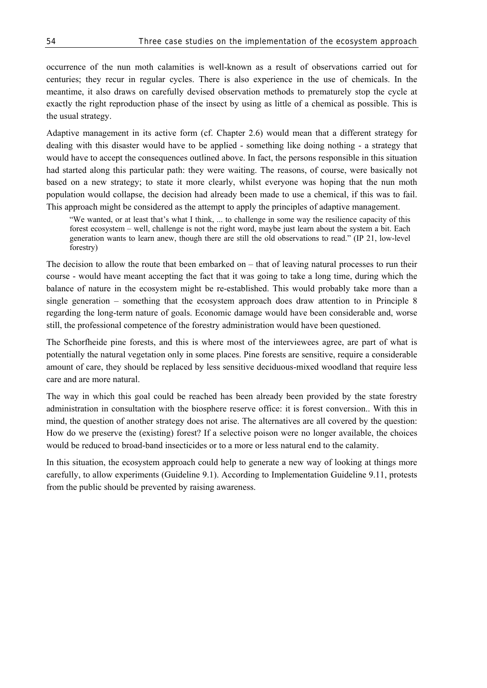occurrence of the nun moth calamities is well-known as a result of observations carried out for centuries; they recur in regular cycles. There is also experience in the use of chemicals. In the meantime, it also draws on carefully devised observation methods to prematurely stop the cycle at exactly the right reproduction phase of the insect by using as little of a chemical as possible. This is the usual strategy.

Adaptive management in its active form (cf. Chapter 2.6) would mean that a different strategy for dealing with this disaster would have to be applied - something like doing nothing - a strategy that would have to accept the consequences outlined above. In fact, the persons responsible in this situation had started along this particular path: they were waiting. The reasons, of course, were basically not based on a new strategy; to state it more clearly, whilst everyone was hoping that the nun moth population would collapse, the decision had already been made to use a chemical, if this was to fail. This approach might be considered as the attempt to apply the principles of adaptive management.

"We wanted, or at least that's what I think, ... to challenge in some way the resilience capacity of this forest ecosystem – well, challenge is not the right word, maybe just learn about the system a bit. Each generation wants to learn anew, though there are still the old observations to read." (IP 21, low-level forestry)

The decision to allow the route that been embarked on – that of leaving natural processes to run their course - would have meant accepting the fact that it was going to take a long time, during which the balance of nature in the ecosystem might be re-established. This would probably take more than a single generation – something that the ecosystem approach does draw attention to in Principle 8 regarding the long-term nature of goals. Economic damage would have been considerable and, worse still, the professional competence of the forestry administration would have been questioned.

The Schorfheide pine forests, and this is where most of the interviewees agree, are part of what is potentially the natural vegetation only in some places. Pine forests are sensitive, require a considerable amount of care, they should be replaced by less sensitive deciduous-mixed woodland that require less care and are more natural.

The way in which this goal could be reached has been already been provided by the state forestry administration in consultation with the biosphere reserve office: it is forest conversion.. With this in mind, the question of another strategy does not arise. The alternatives are all covered by the question: How do we preserve the (existing) forest? If a selective poison were no longer available, the choices would be reduced to broad-band insecticides or to a more or less natural end to the calamity.

In this situation, the ecosystem approach could help to generate a new way of looking at things more carefully, to allow experiments (Guideline 9.1). According to Implementation Guideline 9.11, protests from the public should be prevented by raising awareness.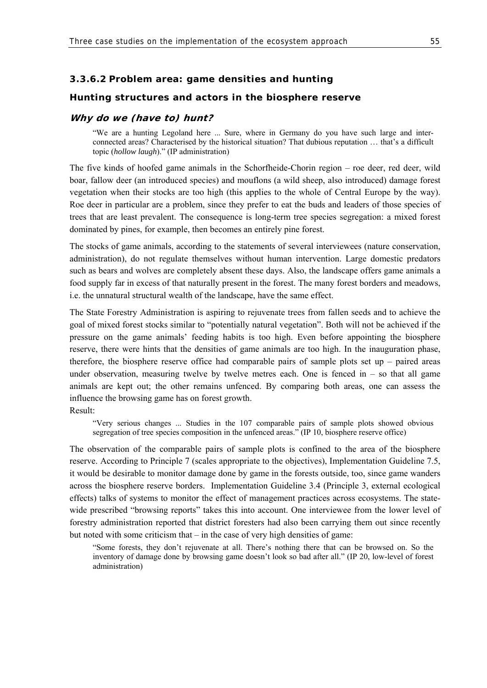### **3.3.6.2 Problem area: game densities and hunting**

#### **Hunting structures and actors in the biosphere reserve**

### **Why do we (have to) hunt?**

"We are a hunting Legoland here ... Sure, where in Germany do you have such large and interconnected areas? Characterised by the historical situation? That dubious reputation … that's a difficult topic (*hollow laugh*)." (IP administration)

The five kinds of hoofed game animals in the Schorfheide-Chorin region – roe deer, red deer, wild boar, fallow deer (an introduced species) and mouflons (a wild sheep, also introduced) damage forest vegetation when their stocks are too high (this applies to the whole of Central Europe by the way). Roe deer in particular are a problem, since they prefer to eat the buds and leaders of those species of trees that are least prevalent. The consequence is long-term tree species segregation: a mixed forest dominated by pines, for example, then becomes an entirely pine forest.

The stocks of game animals, according to the statements of several interviewees (nature conservation, administration), do not regulate themselves without human intervention. Large domestic predators such as bears and wolves are completely absent these days. Also, the landscape offers game animals a food supply far in excess of that naturally present in the forest. The many forest borders and meadows, i.e. the unnatural structural wealth of the landscape, have the same effect.

The State Forestry Administration is aspiring to rejuvenate trees from fallen seeds and to achieve the goal of mixed forest stocks similar to "potentially natural vegetation". Both will not be achieved if the pressure on the game animals' feeding habits is too high. Even before appointing the biosphere reserve, there were hints that the densities of game animals are too high. In the inauguration phase, therefore, the biosphere reserve office had comparable pairs of sample plots set up – paired areas under observation, measuring twelve by twelve metres each. One is fenced in  $-$  so that all game animals are kept out; the other remains unfenced. By comparing both areas, one can assess the influence the browsing game has on forest growth. Result:

"Very serious changes ... Studies in the 107 comparable pairs of sample plots showed obvious segregation of tree species composition in the unfenced areas." (IP 10, biosphere reserve office)

The observation of the comparable pairs of sample plots is confined to the area of the biosphere reserve. According to Principle 7 (scales appropriate to the objectives), Implementation Guideline 7.5, it would be desirable to monitor damage done by game in the forests outside, too, since game wanders across the biosphere reserve borders. Implementation Guideline 3.4 (Principle 3, external ecological effects) talks of systems to monitor the effect of management practices across ecosystems. The statewide prescribed "browsing reports" takes this into account. One interviewee from the lower level of forestry administration reported that district foresters had also been carrying them out since recently but noted with some criticism that – in the case of very high densities of game:

"Some forests, they don't rejuvenate at all. There's nothing there that can be browsed on. So the inventory of damage done by browsing game doesn't look so bad after all." (IP 20, low-level of forest administration)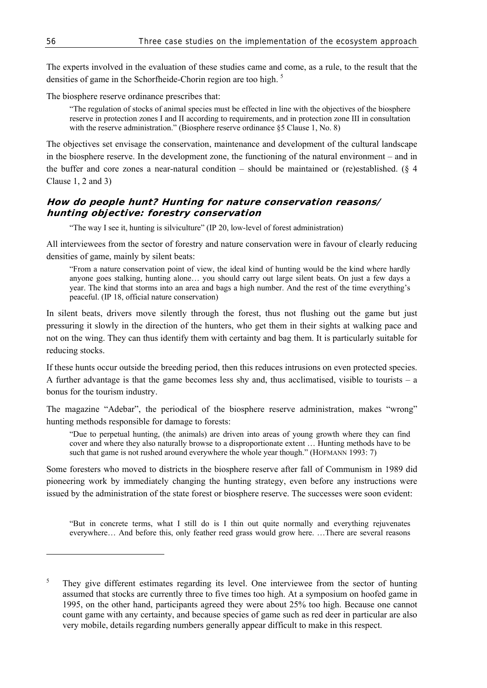The experts involved in the evaluation of these studies came and come, as a rule, to the result that the densities of game in the Schorfheide-Chorin region are too high.<sup>5</sup>

The biosphere reserve ordinance prescribes that:

"The regulation of stocks of animal species must be effected in line with the objectives of the biosphere reserve in protection zones I and II according to requirements, and in protection zone III in consultation with the reserve administration." (Biosphere reserve ordinance §5 Clause 1, No. 8)

The objectives set envisage the conservation, maintenance and development of the cultural landscape in the biosphere reserve. In the development zone, the functioning of the natural environment – and in the buffer and core zones a near-natural condition – should be maintained or (re)established. (§ 4 Clause 1, 2 and 3)

### **How do people hunt? Hunting for nature conservation reasons/ hunting objective: forestry conservation**

"The way I see it, hunting is silviculture" (IP 20, low-level of forest administration)

All interviewees from the sector of forestry and nature conservation were in favour of clearly reducing densities of game, mainly by silent beats:

"From a nature conservation point of view, the ideal kind of hunting would be the kind where hardly anyone goes stalking, hunting alone… you should carry out large silent beats. On just a few days a year. The kind that storms into an area and bags a high number. And the rest of the time everything's peaceful. (IP 18, official nature conservation)

In silent beats, drivers move silently through the forest, thus not flushing out the game but just pressuring it slowly in the direction of the hunters, who get them in their sights at walking pace and not on the wing. They can thus identify them with certainty and bag them. It is particularly suitable for reducing stocks.

If these hunts occur outside the breeding period, then this reduces intrusions on even protected species. A further advantage is that the game becomes less shy and, thus acclimatised, visible to tourists – a bonus for the tourism industry.

The magazine "Adebar", the periodical of the biosphere reserve administration, makes "wrong" hunting methods responsible for damage to forests:

"Due to perpetual hunting, (the animals) are driven into areas of young growth where they can find cover and where they also naturally browse to a disproportionate extent … Hunting methods have to be such that game is not rushed around everywhere the whole year though." (HOFMANN 1993: 7)

Some foresters who moved to districts in the biosphere reserve after fall of Communism in 1989 did pioneering work by immediately changing the hunting strategy, even before any instructions were issued by the administration of the state forest or biosphere reserve. The successes were soon evident:

"But in concrete terms, what I still do is I thin out quite normally and everything rejuvenates everywhere… And before this, only feather reed grass would grow here. …There are several reasons

l

<sup>5</sup> They give different estimates regarding its level. One interviewee from the sector of hunting assumed that stocks are currently three to five times too high. At a symposium on hoofed game in 1995, on the other hand, participants agreed they were about 25% too high. Because one cannot count game with any certainty, and because species of game such as red deer in particular are also very mobile, details regarding numbers generally appear difficult to make in this respect.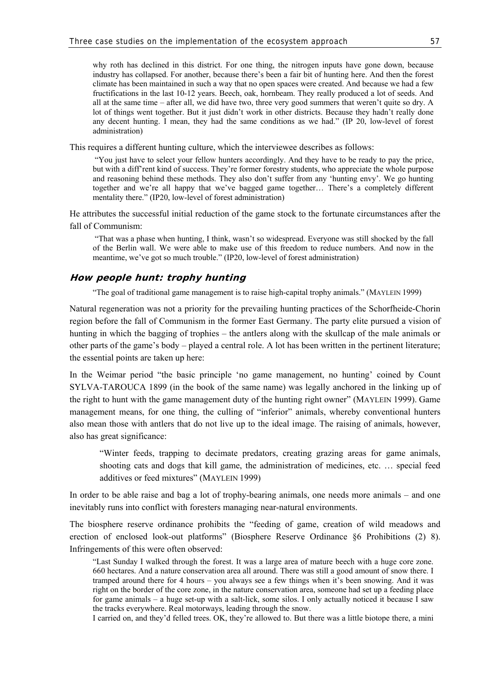why roth has declined in this district. For one thing, the nitrogen inputs have gone down, because industry has collapsed. For another, because there's been a fair bit of hunting here. And then the forest climate has been maintained in such a way that no open spaces were created. And because we had a few fructifications in the last 10-12 years. Beech, oak, hornbeam. They really produced a lot of seeds. And all at the same time – after all, we did have two, three very good summers that weren't quite so dry. A lot of things went together. But it just didn't work in other districts. Because they hadn't really done any decent hunting. I mean, they had the same conditions as we had." (IP 20, low-level of forest administration)

This requires a different hunting culture, which the interviewee describes as follows:

 "You just have to select your fellow hunters accordingly. And they have to be ready to pay the price, but with a diff'rent kind of success. They're former forestry students, who appreciate the whole purpose and reasoning behind these methods. They also don't suffer from any 'hunting envy'. We go hunting together and we're all happy that we've bagged game together… There's a completely different mentality there." (IP20, low-level of forest administration)

He attributes the successful initial reduction of the game stock to the fortunate circumstances after the fall of Communism:

 "That was a phase when hunting, I think, wasn't so widespread. Everyone was still shocked by the fall of the Berlin wall. We were able to make use of this freedom to reduce numbers. And now in the meantime, we've got so much trouble." (IP20, low-level of forest administration)

### **How people hunt: trophy hunting**

"The goal of traditional game management is to raise high-capital trophy animals." (MAYLEIN 1999)

Natural regeneration was not a priority for the prevailing hunting practices of the Schorfheide-Chorin region before the fall of Communism in the former East Germany. The party elite pursued a vision of hunting in which the bagging of trophies – the antlers along with the skullcap of the male animals or other parts of the game's body – played a central role. A lot has been written in the pertinent literature; the essential points are taken up here:

In the Weimar period "the basic principle 'no game management, no hunting' coined by Count SYLVA-TAROUCA 1899 (in the book of the same name) was legally anchored in the linking up of the right to hunt with the game management duty of the hunting right owner" (MAYLEIN 1999). Game management means, for one thing, the culling of "inferior" animals, whereby conventional hunters also mean those with antlers that do not live up to the ideal image. The raising of animals, however, also has great significance:

"Winter feeds, trapping to decimate predators, creating grazing areas for game animals, shooting cats and dogs that kill game, the administration of medicines, etc. … special feed additives or feed mixtures" (MAYLEIN 1999)

In order to be able raise and bag a lot of trophy-bearing animals, one needs more animals – and one inevitably runs into conflict with foresters managing near-natural environments.

The biosphere reserve ordinance prohibits the "feeding of game, creation of wild meadows and erection of enclosed look-out platforms" (Biosphere Reserve Ordinance §6 Prohibitions (2) 8). Infringements of this were often observed:

"Last Sunday I walked through the forest. It was a large area of mature beech with a huge core zone. 660 hectares. And a nature conservation area all around. There was still a good amount of snow there. I tramped around there for 4 hours – you always see a few things when it's been snowing. And it was right on the border of the core zone, in the nature conservation area, someone had set up a feeding place for game animals – a huge set-up with a salt-lick, some silos. I only actually noticed it because I saw the tracks everywhere. Real motorways, leading through the snow.

I carried on, and they'd felled trees. OK, they're allowed to. But there was a little biotope there, a mini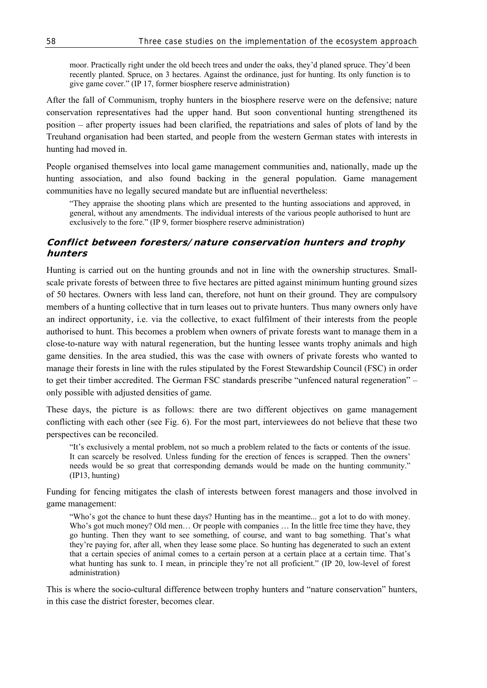moor. Practically right under the old beech trees and under the oaks, they'd planed spruce. They'd been recently planted. Spruce, on 3 hectares. Against the ordinance, just for hunting. Its only function is to give game cover." (IP 17, former biosphere reserve administration)

After the fall of Communism, trophy hunters in the biosphere reserve were on the defensive; nature conservation representatives had the upper hand. But soon conventional hunting strengthened its position – after property issues had been clarified, the repatriations and sales of plots of land by the Treuhand organisation had been started, and people from the western German states with interests in hunting had moved in.

People organised themselves into local game management communities and, nationally, made up the hunting association, and also found backing in the general population. Game management communities have no legally secured mandate but are influential nevertheless:

"They appraise the shooting plans which are presented to the hunting associations and approved, in general, without any amendments. The individual interests of the various people authorised to hunt are exclusively to the fore." (IP 9, former biosphere reserve administration)

### **Conflict between foresters/nature conservation hunters and trophy hunters**

Hunting is carried out on the hunting grounds and not in line with the ownership structures. Smallscale private forests of between three to five hectares are pitted against minimum hunting ground sizes of 50 hectares. Owners with less land can, therefore, not hunt on their ground. They are compulsory members of a hunting collective that in turn leases out to private hunters. Thus many owners only have an indirect opportunity, i.e. via the collective, to exact fulfilment of their interests from the people authorised to hunt. This becomes a problem when owners of private forests want to manage them in a close-to-nature way with natural regeneration, but the hunting lessee wants trophy animals and high game densities. In the area studied, this was the case with owners of private forests who wanted to manage their forests in line with the rules stipulated by the Forest Stewardship Council (FSC) in order to get their timber accredited. The German FSC standards prescribe "unfenced natural regeneration" – only possible with adjusted densities of game.

These days, the picture is as follows: there are two different objectives on game management conflicting with each other (see Fig. 6). For the most part, interviewees do not believe that these two perspectives can be reconciled.

"It's exclusively a mental problem, not so much a problem related to the facts or contents of the issue. It can scarcely be resolved. Unless funding for the erection of fences is scrapped. Then the owners' needs would be so great that corresponding demands would be made on the hunting community." (IP13, hunting)

Funding for fencing mitigates the clash of interests between forest managers and those involved in game management:

"Who's got the chance to hunt these days? Hunting has in the meantime... got a lot to do with money. Who's got much money? Old men... Or people with companies ... In the little free time they have, they go hunting. Then they want to see something, of course, and want to bag something. That's what they're paying for, after all, when they lease some place. So hunting has degenerated to such an extent that a certain species of animal comes to a certain person at a certain place at a certain time. That's what hunting has sunk to. I mean, in principle they're not all proficient." (IP 20, low-level of forest administration)

This is where the socio-cultural difference between trophy hunters and "nature conservation" hunters, in this case the district forester, becomes clear.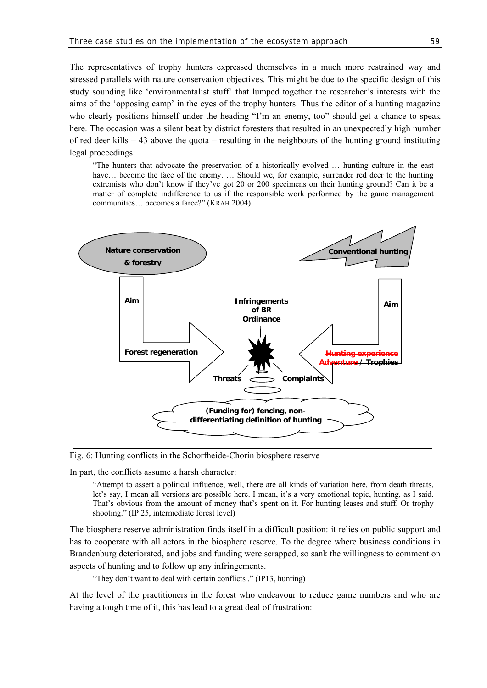The representatives of trophy hunters expressed themselves in a much more restrained way and stressed parallels with nature conservation objectives. This might be due to the specific design of this study sounding like 'environmentalist stuff' that lumped together the researcher's interests with the aims of the 'opposing camp' in the eyes of the trophy hunters. Thus the editor of a hunting magazine who clearly positions himself under the heading "I'm an enemy, too" should get a chance to speak here. The occasion was a silent beat by district foresters that resulted in an unexpectedly high number of red deer kills – 43 above the quota – resulting in the neighbours of the hunting ground instituting legal proceedings:

"The hunters that advocate the preservation of a historically evolved … hunting culture in the east have... become the face of the enemy. ... Should we, for example, surrender red deer to the hunting extremists who don't know if they've got 20 or 200 specimens on their hunting ground? Can it be a matter of complete indifference to us if the responsible work performed by the game management communities… becomes a farce?" (KRAH 2004)



Fig. 6: Hunting conflicts in the Schorfheide-Chorin biosphere reserve

In part, the conflicts assume a harsh character:

"Attempt to assert a political influence, well, there are all kinds of variation here, from death threats, let's say, I mean all versions are possible here. I mean, it's a very emotional topic, hunting, as I said. That's obvious from the amount of money that's spent on it. For hunting leases and stuff. Or trophy shooting." (IP 25, intermediate forest level)

The biosphere reserve administration finds itself in a difficult position: it relies on public support and has to cooperate with all actors in the biosphere reserve. To the degree where business conditions in Brandenburg deteriorated, and jobs and funding were scrapped, so sank the willingness to comment on aspects of hunting and to follow up any infringements.

"They don't want to deal with certain conflicts ." (IP13, hunting)

At the level of the practitioners in the forest who endeavour to reduce game numbers and who are having a tough time of it, this has lead to a great deal of frustration: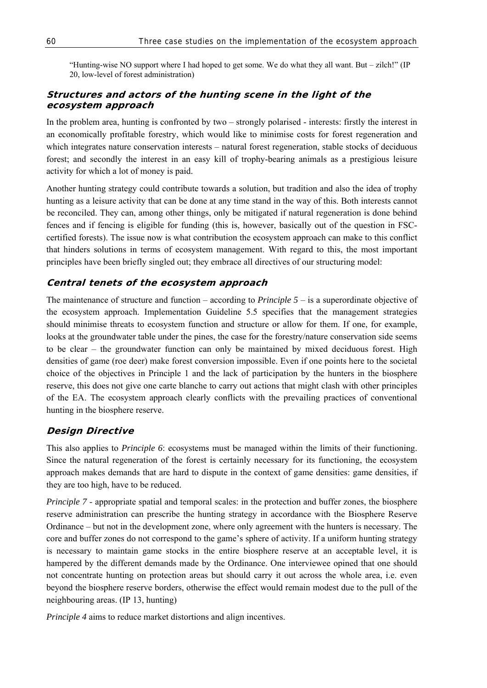"Hunting-wise NO support where I had hoped to get some. We do what they all want. But – zilch!" (IP 20, low-level of forest administration)

## **Structures and actors of the hunting scene in the light of the ecosystem approach**

In the problem area, hunting is confronted by two – strongly polarised - interests: firstly the interest in an economically profitable forestry, which would like to minimise costs for forest regeneration and which integrates nature conservation interests – natural forest regeneration, stable stocks of deciduous forest; and secondly the interest in an easy kill of trophy-bearing animals as a prestigious leisure activity for which a lot of money is paid.

Another hunting strategy could contribute towards a solution, but tradition and also the idea of trophy hunting as a leisure activity that can be done at any time stand in the way of this. Both interests cannot be reconciled. They can, among other things, only be mitigated if natural regeneration is done behind fences and if fencing is eligible for funding (this is, however, basically out of the question in FSCcertified forests). The issue now is what contribution the ecosystem approach can make to this conflict that hinders solutions in terms of ecosystem management. With regard to this, the most important principles have been briefly singled out; they embrace all directives of our structuring model:

### **Central tenets of the ecosystem approach**

The maintenance of structure and function – according to *Principle 5* – is a superordinate objective of the ecosystem approach. Implementation Guideline 5.5 specifies that the management strategies should minimise threats to ecosystem function and structure or allow for them. If one, for example, looks at the groundwater table under the pines, the case for the forestry/nature conservation side seems to be clear – the groundwater function can only be maintained by mixed deciduous forest. High densities of game (roe deer) make forest conversion impossible. Even if one points here to the societal choice of the objectives in Principle 1 and the lack of participation by the hunters in the biosphere reserve, this does not give one carte blanche to carry out actions that might clash with other principles of the EA. The ecosystem approach clearly conflicts with the prevailing practices of conventional hunting in the biosphere reserve.

### **Design Directive**

This also applies to *Principle 6*: ecosystems must be managed within the limits of their functioning. Since the natural regeneration of the forest is certainly necessary for its functioning, the ecosystem approach makes demands that are hard to dispute in the context of game densities: game densities, if they are too high, have to be reduced.

*Principle 7* - appropriate spatial and temporal scales: in the protection and buffer zones, the biosphere reserve administration can prescribe the hunting strategy in accordance with the Biosphere Reserve Ordinance – but not in the development zone, where only agreement with the hunters is necessary. The core and buffer zones do not correspond to the game's sphere of activity. If a uniform hunting strategy is necessary to maintain game stocks in the entire biosphere reserve at an acceptable level, it is hampered by the different demands made by the Ordinance. One interviewee opined that one should not concentrate hunting on protection areas but should carry it out across the whole area, i.e. even beyond the biosphere reserve borders, otherwise the effect would remain modest due to the pull of the neighbouring areas. (IP 13, hunting)

*Principle 4* aims to reduce market distortions and align incentives.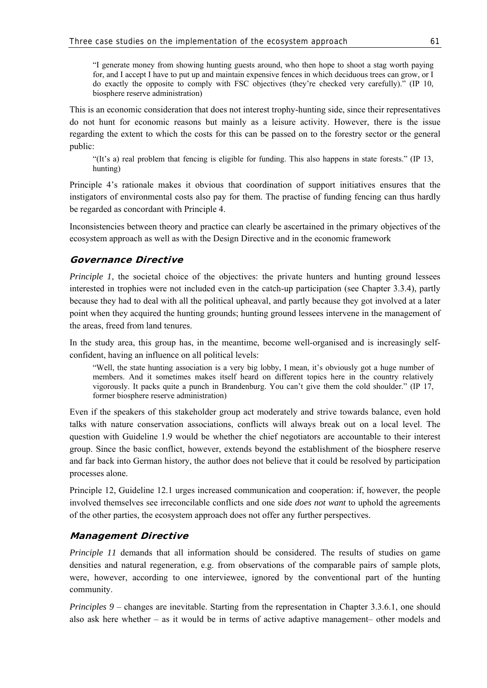"I generate money from showing hunting guests around, who then hope to shoot a stag worth paying for, and I accept I have to put up and maintain expensive fences in which deciduous trees can grow, or I do exactly the opposite to comply with FSC objectives (they're checked very carefully)." (IP 10, biosphere reserve administration)

This is an economic consideration that does not interest trophy-hunting side, since their representatives do not hunt for economic reasons but mainly as a leisure activity. However, there is the issue regarding the extent to which the costs for this can be passed on to the forestry sector or the general public:

"(It's a) real problem that fencing is eligible for funding. This also happens in state forests." (IP 13, hunting)

Principle 4's rationale makes it obvious that coordination of support initiatives ensures that the instigators of environmental costs also pay for them. The practise of funding fencing can thus hardly be regarded as concordant with Principle 4.

Inconsistencies between theory and practice can clearly be ascertained in the primary objectives of the ecosystem approach as well as with the Design Directive and in the economic framework

## **Governance Directive**

*Principle 1*, the societal choice of the objectives: the private hunters and hunting ground lessees interested in trophies were not included even in the catch-up participation (see Chapter 3.3.4), partly because they had to deal with all the political upheaval, and partly because they got involved at a later point when they acquired the hunting grounds; hunting ground lessees intervene in the management of the areas, freed from land tenures.

In the study area, this group has, in the meantime, become well-organised and is increasingly selfconfident, having an influence on all political levels:

"Well, the state hunting association is a very big lobby, I mean, it's obviously got a huge number of members. And it sometimes makes itself heard on different topics here in the country relatively vigorously. It packs quite a punch in Brandenburg. You can't give them the cold shoulder." (IP 17, former biosphere reserve administration)

Even if the speakers of this stakeholder group act moderately and strive towards balance, even hold talks with nature conservation associations, conflicts will always break out on a local level. The question with Guideline 1.9 would be whether the chief negotiators are accountable to their interest group. Since the basic conflict, however, extends beyond the establishment of the biosphere reserve and far back into German history, the author does not believe that it could be resolved by participation processes alone.

Principle 12, Guideline 12.1 urges increased communication and cooperation: if, however, the people involved themselves see irreconcilable conflicts and one side *does not want* to uphold the agreements of the other parties, the ecosystem approach does not offer any further perspectives.

## **Management Directive**

*Principle 11* demands that all information should be considered. The results of studies on game densities and natural regeneration, e.g. from observations of the comparable pairs of sample plots, were, however, according to one interviewee, ignored by the conventional part of the hunting community.

*Principles 9 – changes are inevitable. Starting from the representation in Chapter 3.3.6.1, one should* also ask here whether – as it would be in terms of active adaptive management– other models and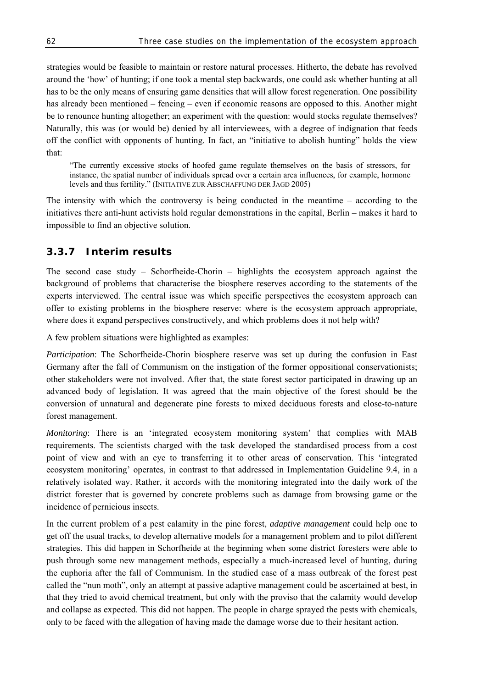strategies would be feasible to maintain or restore natural processes. Hitherto, the debate has revolved around the 'how' of hunting; if one took a mental step backwards, one could ask whether hunting at all has to be the only means of ensuring game densities that will allow forest regeneration. One possibility has already been mentioned – fencing – even if economic reasons are opposed to this. Another might be to renounce hunting altogether; an experiment with the question: would stocks regulate themselves? Naturally, this was (or would be) denied by all interviewees, with a degree of indignation that feeds off the conflict with opponents of hunting. In fact, an "initiative to abolish hunting" holds the view that:

"The currently excessive stocks of hoofed game regulate themselves on the basis of stressors, for instance, the spatial number of individuals spread over a certain area influences, for example, hormone levels and thus fertility." (INITIATIVE ZUR ABSCHAFFUNG DER JAGD 2005)

The intensity with which the controversy is being conducted in the meantime – according to the initiatives there anti-hunt activists hold regular demonstrations in the capital, Berlin – makes it hard to impossible to find an objective solution.

# **3.3.7 Interim results**

The second case study – Schorfheide-Chorin – highlights the ecosystem approach against the background of problems that characterise the biosphere reserves according to the statements of the experts interviewed. The central issue was which specific perspectives the ecosystem approach can offer to existing problems in the biosphere reserve: where is the ecosystem approach appropriate, where does it expand perspectives constructively, and which problems does it not help with?

A few problem situations were highlighted as examples:

*Participation*: The Schorfheide-Chorin biosphere reserve was set up during the confusion in East Germany after the fall of Communism on the instigation of the former oppositional conservationists; other stakeholders were not involved. After that, the state forest sector participated in drawing up an advanced body of legislation. It was agreed that the main objective of the forest should be the conversion of unnatural and degenerate pine forests to mixed deciduous forests and close-to-nature forest management.

*Monitoring*: There is an 'integrated ecosystem monitoring system' that complies with MAB requirements. The scientists charged with the task developed the standardised process from a cost point of view and with an eye to transferring it to other areas of conservation. This 'integrated ecosystem monitoring' operates, in contrast to that addressed in Implementation Guideline 9.4, in a relatively isolated way. Rather, it accords with the monitoring integrated into the daily work of the district forester that is governed by concrete problems such as damage from browsing game or the incidence of pernicious insects.

In the current problem of a pest calamity in the pine forest, *adaptive management* could help one to get off the usual tracks, to develop alternative models for a management problem and to pilot different strategies. This did happen in Schorfheide at the beginning when some district foresters were able to push through some new management methods, especially a much-increased level of hunting, during the euphoria after the fall of Communism. In the studied case of a mass outbreak of the forest pest called the "nun moth", only an attempt at passive adaptive management could be ascertained at best, in that they tried to avoid chemical treatment, but only with the proviso that the calamity would develop and collapse as expected. This did not happen. The people in charge sprayed the pests with chemicals, only to be faced with the allegation of having made the damage worse due to their hesitant action.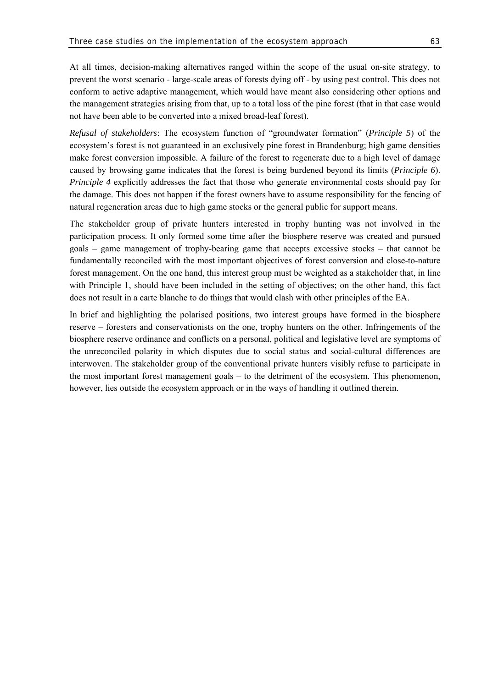At all times, decision-making alternatives ranged within the scope of the usual on-site strategy, to prevent the worst scenario - large-scale areas of forests dying off - by using pest control. This does not conform to active adaptive management, which would have meant also considering other options and the management strategies arising from that, up to a total loss of the pine forest (that in that case would not have been able to be converted into a mixed broad-leaf forest).

*Refusal of stakeholders*: The ecosystem function of "groundwater formation" (*Principle 5*) of the ecosystem's forest is not guaranteed in an exclusively pine forest in Brandenburg; high game densities make forest conversion impossible. A failure of the forest to regenerate due to a high level of damage caused by browsing game indicates that the forest is being burdened beyond its limits (*Principle 6*). *Principle 4* explicitly addresses the fact that those who generate environmental costs should pay for the damage. This does not happen if the forest owners have to assume responsibility for the fencing of natural regeneration areas due to high game stocks or the general public for support means.

The stakeholder group of private hunters interested in trophy hunting was not involved in the participation process. It only formed some time after the biosphere reserve was created and pursued goals – game management of trophy-bearing game that accepts excessive stocks – that cannot be fundamentally reconciled with the most important objectives of forest conversion and close-to-nature forest management. On the one hand, this interest group must be weighted as a stakeholder that, in line with Principle 1, should have been included in the setting of objectives; on the other hand, this fact does not result in a carte blanche to do things that would clash with other principles of the EA.

In brief and highlighting the polarised positions, two interest groups have formed in the biosphere reserve – foresters and conservationists on the one, trophy hunters on the other. Infringements of the biosphere reserve ordinance and conflicts on a personal, political and legislative level are symptoms of the unreconciled polarity in which disputes due to social status and social-cultural differences are interwoven. The stakeholder group of the conventional private hunters visibly refuse to participate in the most important forest management goals – to the detriment of the ecosystem. This phenomenon, however, lies outside the ecosystem approach or in the ways of handling it outlined therein.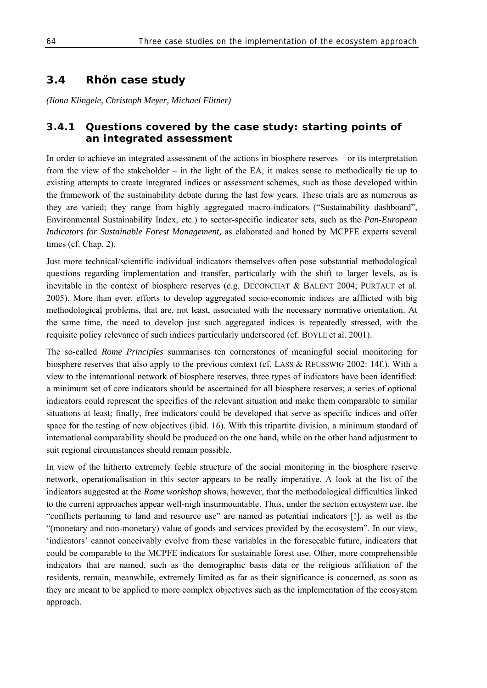# **3.4 Rhön case study**

*(Ilona Klingele, Christoph Meyer, Michael Flitner)* 

# **3.4.1 Questions covered by the case study: starting points of an integrated assessment**

In order to achieve an integrated assessment of the actions in biosphere reserves – or its interpretation from the view of the stakeholder – in the light of the EA, it makes sense to methodically tie up to existing attempts to create integrated indices or assessment schemes, such as those developed within the framework of the sustainability debate during the last few years. These trials are as numerous as they are varied; they range from highly aggregated macro-indicators ("Sustainability dashboard", Environmental Sustainability Index, etc.) to sector-specific indicator sets, such as the *Pan-European Indicators for Sustainable Forest Management,* as elaborated and honed by MCPFE experts several times (cf. Chap. 2).

Just more technical/scientific individual indicators themselves often pose substantial methodological questions regarding implementation and transfer, particularly with the shift to larger levels, as is inevitable in the context of biosphere reserves (e.g. DECONCHAT & BALENT 2004; PURTAUF et al. 2005). More than ever, efforts to develop aggregated socio-economic indices are afflicted with big methodological problems, that are, not least, associated with the necessary normative orientation. At the same time, the need to develop just such aggregated indices is repeatedly stressed, with the requisite policy relevance of such indices particularly underscored (cf. BOYLE et al. 2001).

The so-called *Rome Principles* summarises ten cornerstones of meaningful social monitoring for biosphere reserves that also apply to the previous context (cf. LASS & REUSSWIG 2002: 14f.). With a view to the international network of biosphere reserves, three types of indicators have been identified: a minimum set of core indicators should be ascertained for all biosphere reserves; a series of optional indicators could represent the specifics of the relevant situation and make them comparable to similar situations at least; finally, free indicators could be developed that serve as specific indices and offer space for the testing of new objectives (ibid. 16). With this tripartite division, a minimum standard of international comparability should be produced on the one hand, while on the other hand adjustment to suit regional circumstances should remain possible.

In view of the hitherto extremely feeble structure of the social monitoring in the biosphere reserve network, operationalisation in this sector appears to be really imperative. A look at the list of the indicators suggested at the *Rome workshop* shows, however, that the methodological difficulties linked to the current approaches appear well-nigh insurmountable. Thus, under the section *ecosystem use*, the "conflicts pertaining to land and resource use" are named as potential indicators [!], as well as the "(monetary and non-monetary) value of goods and services provided by the ecosystem". In our view, 'indicators' cannot conceivably evolve from these variables in the foreseeable future, indicators that could be comparable to the MCPFE indicators for sustainable forest use. Other, more comprehensible indicators that are named, such as the demographic basis data or the religious affiliation of the residents, remain, meanwhile, extremely limited as far as their significance is concerned, as soon as they are meant to be applied to more complex objectives such as the implementation of the ecosystem approach.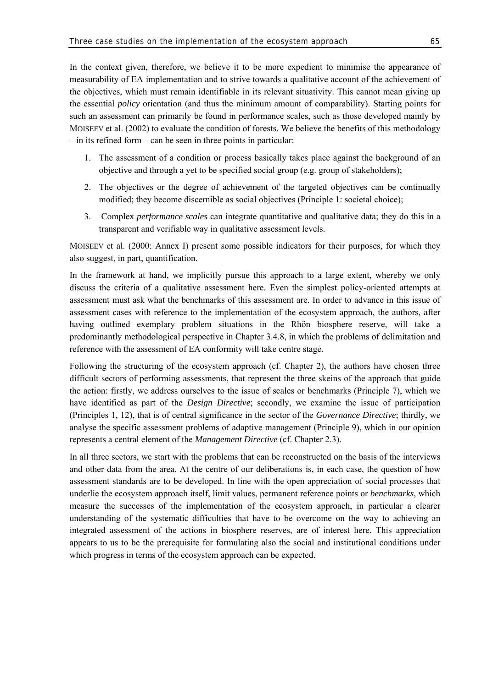In the context given, therefore, we believe it to be more expedient to minimise the appearance of measurability of EA implementation and to strive towards a qualitative account of the achievement of the objectives, which must remain identifiable in its relevant situativity. This cannot mean giving up the essential *policy* orientation (and thus the minimum amount of comparability). Starting points for such an assessment can primarily be found in performance scales, such as those developed mainly by MOISEEV et al. (2002) to evaluate the condition of forests. We believe the benefits of this methodology – in its refined form – can be seen in three points in particular:

- 1. The assessment of a condition or process basically takes place against the background of an objective and through a yet to be specified social group (e.g. group of stakeholders);
- 2. The objectives or the degree of achievement of the targeted objectives can be continually modified; they become discernible as social objectives (Principle 1: societal choice);
- 3. Complex *performance scales* can integrate quantitative and qualitative data; they do this in a transparent and verifiable way in qualitative assessment levels.

MOISEEV et al. (2000: Annex I) present some possible indicators for their purposes, for which they also suggest, in part, quantification.

In the framework at hand, we implicitly pursue this approach to a large extent, whereby we only discuss the criteria of a qualitative assessment here. Even the simplest policy-oriented attempts at assessment must ask what the benchmarks of this assessment are. In order to advance in this issue of assessment cases with reference to the implementation of the ecosystem approach, the authors, after having outlined exemplary problem situations in the Rhön biosphere reserve, will take a predominantly methodological perspective in Chapter 3.4.8, in which the problems of delimitation and reference with the assessment of EA conformity will take centre stage.

Following the structuring of the ecosystem approach (cf. Chapter 2), the authors have chosen three difficult sectors of performing assessments, that represent the three skeins of the approach that guide the action: firstly, we address ourselves to the issue of scales or benchmarks (Principle 7), which we have identified as part of the *Design Directive*; secondly, we examine the issue of participation (Principles 1, 12), that is of central significance in the sector of the *Governance Directive*; thirdly, we analyse the specific assessment problems of adaptive management (Principle 9), which in our opinion represents a central element of the *Management Directive* (cf. Chapter 2.3).

In all three sectors, we start with the problems that can be reconstructed on the basis of the interviews and other data from the area. At the centre of our deliberations is, in each case, the question of how assessment standards are to be developed. In line with the open appreciation of social processes that underlie the ecosystem approach itself, limit values, permanent reference points or *benchmarks*, which measure the successes of the implementation of the ecosystem approach, in particular a clearer understanding of the systematic difficulties that have to be overcome on the way to achieving an integrated assessment of the actions in biosphere reserves, are of interest here. This appreciation appears to us to be the prerequisite for formulating also the social and institutional conditions under which progress in terms of the ecosystem approach can be expected.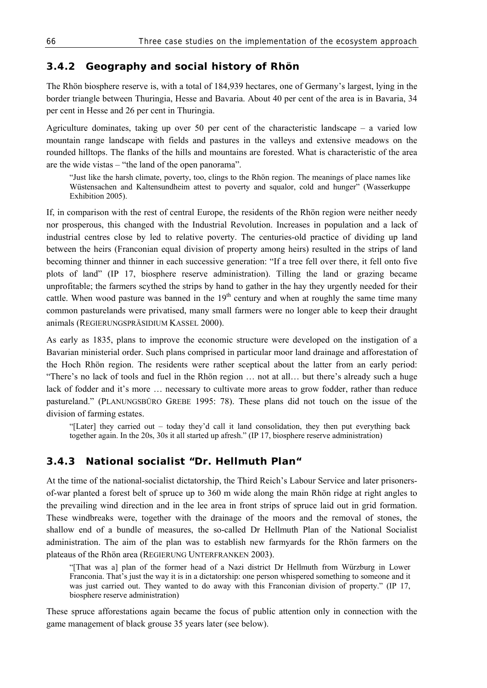### **3.4.2 Geography and social history of Rhön**

The Rhön biosphere reserve is, with a total of 184,939 hectares, one of Germany's largest, lying in the border triangle between Thuringia, Hesse and Bavaria. About 40 per cent of the area is in Bavaria, 34 per cent in Hesse and 26 per cent in Thuringia.

Agriculture dominates, taking up over 50 per cent of the characteristic landscape  $-$  a varied low mountain range landscape with fields and pastures in the valleys and extensive meadows on the rounded hilltops. The flanks of the hills and mountains are forested. What is characteristic of the area are the wide vistas – "the land of the open panorama".

"Just like the harsh climate, poverty, too, clings to the Rhön region. The meanings of place names like Wüstensachen and Kaltensundheim attest to poverty and squalor, cold and hunger" (Wasserkuppe Exhibition 2005).

If, in comparison with the rest of central Europe, the residents of the Rhön region were neither needy nor prosperous, this changed with the Industrial Revolution. Increases in population and a lack of industrial centres close by led to relative poverty. The centuries-old practice of dividing up land between the heirs (Franconian equal division of property among heirs) resulted in the strips of land becoming thinner and thinner in each successive generation: "If a tree fell over there, it fell onto five plots of land" (IP 17, biosphere reserve administration). Tilling the land or grazing became unprofitable; the farmers scythed the strips by hand to gather in the hay they urgently needed for their cattle. When wood pasture was banned in the 19<sup>th</sup> century and when at roughly the same time many common pasturelands were privatised, many small farmers were no longer able to keep their draught animals (REGIERUNGSPRÄSIDIUM KASSEL 2000).

As early as 1835, plans to improve the economic structure were developed on the instigation of a Bavarian ministerial order. Such plans comprised in particular moor land drainage and afforestation of the Hoch Rhön region. The residents were rather sceptical about the latter from an early period: "There's no lack of tools and fuel in the Rhön region … not at all… but there's already such a huge lack of fodder and it's more … necessary to cultivate more areas to grow fodder, rather than reduce pastureland." (PLANUNGSBÜRO GREBE 1995: 78). These plans did not touch on the issue of the division of farming estates.

"[Later] they carried out – today they'd call it land consolidation, they then put everything back together again. In the 20s, 30s it all started up afresh." (IP 17, biosphere reserve administration)

### **3.4.3 National socialist "Dr. Hellmuth Plan"**

At the time of the national-socialist dictatorship, the Third Reich's Labour Service and later prisonersof-war planted a forest belt of spruce up to 360 m wide along the main Rhön ridge at right angles to the prevailing wind direction and in the lee area in front strips of spruce laid out in grid formation. These windbreaks were, together with the drainage of the moors and the removal of stones, the shallow end of a bundle of measures, the so-called Dr Hellmuth Plan of the National Socialist administration. The aim of the plan was to establish new farmyards for the Rhön farmers on the plateaus of the Rhön area (REGIERUNG UNTERFRANKEN 2003).

"[That was a] plan of the former head of a Nazi district Dr Hellmuth from Würzburg in Lower Franconia. That's just the way it is in a dictatorship: one person whispered something to someone and it was just carried out. They wanted to do away with this Franconian division of property." (IP 17, biosphere reserve administration)

These spruce afforestations again became the focus of public attention only in connection with the game management of black grouse 35 years later (see below).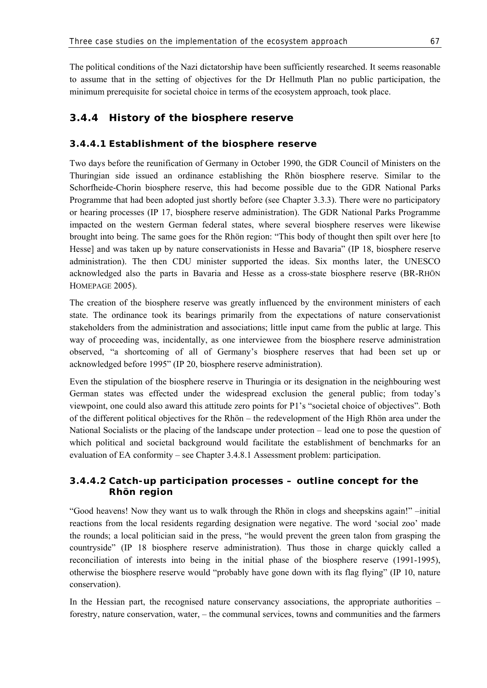The political conditions of the Nazi dictatorship have been sufficiently researched. It seems reasonable to assume that in the setting of objectives for the Dr Hellmuth Plan no public participation, the minimum prerequisite for societal choice in terms of the ecosystem approach, took place.

## **3.4.4 History of the biosphere reserve**

### **3.4.4.1 Establishment of the biosphere reserve**

Two days before the reunification of Germany in October 1990, the GDR Council of Ministers on the Thuringian side issued an ordinance establishing the Rhön biosphere reserve. Similar to the Schorfheide-Chorin biosphere reserve, this had become possible due to the GDR National Parks Programme that had been adopted just shortly before (see Chapter 3.3.3). There were no participatory or hearing processes (IP 17, biosphere reserve administration). The GDR National Parks Programme impacted on the western German federal states, where several biosphere reserves were likewise brought into being. The same goes for the Rhön region: "This body of thought then spilt over here [to Hesse] and was taken up by nature conservationists in Hesse and Bavaria" (IP 18, biosphere reserve administration). The then CDU minister supported the ideas. Six months later, the UNESCO acknowledged also the parts in Bavaria and Hesse as a cross-state biosphere reserve (BR-RHÖN HOMEPAGE 2005).

The creation of the biosphere reserve was greatly influenced by the environment ministers of each state. The ordinance took its bearings primarily from the expectations of nature conservationist stakeholders from the administration and associations; little input came from the public at large. This way of proceeding was, incidentally, as one interviewee from the biosphere reserve administration observed, "a shortcoming of all of Germany's biosphere reserves that had been set up or acknowledged before 1995" (IP 20, biosphere reserve administration).

Even the stipulation of the biosphere reserve in Thuringia or its designation in the neighbouring west German states was effected under the widespread exclusion the general public; from today's viewpoint, one could also award this attitude zero points for P1's "societal choice of objectives". Both of the different political objectives for the Rhön – the redevelopment of the High Rhön area under the National Socialists or the placing of the landscape under protection – lead one to pose the question of which political and societal background would facilitate the establishment of benchmarks for an evaluation of EA conformity – see Chapter 3.4.8.1 Assessment problem: participation.

### **3.4.4.2 Catch-up participation processes – outline concept for the Rhön region**

"Good heavens! Now they want us to walk through the Rhön in clogs and sheepskins again!" –initial reactions from the local residents regarding designation were negative. The word 'social zoo' made the rounds; a local politician said in the press, "he would prevent the green talon from grasping the countryside" (IP 18 biosphere reserve administration). Thus those in charge quickly called a reconciliation of interests into being in the initial phase of the biosphere reserve (1991-1995), otherwise the biosphere reserve would "probably have gone down with its flag flying" (IP 10, nature conservation).

In the Hessian part, the recognised nature conservancy associations, the appropriate authorities – forestry, nature conservation, water, – the communal services, towns and communities and the farmers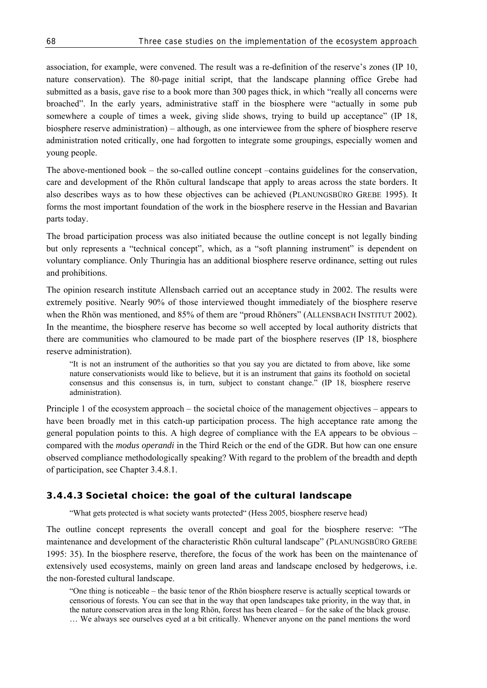association, for example, were convened. The result was a re-definition of the reserve's zones (IP 10, nature conservation). The 80-page initial script, that the landscape planning office Grebe had submitted as a basis, gave rise to a book more than 300 pages thick, in which "really all concerns were broached". In the early years, administrative staff in the biosphere were "actually in some pub somewhere a couple of times a week, giving slide shows, trying to build up acceptance" (IP 18, biosphere reserve administration) – although, as one interviewee from the sphere of biosphere reserve administration noted critically, one had forgotten to integrate some groupings, especially women and young people.

The above-mentioned book  $-$  the so-called outline concept  $-$ contains guidelines for the conservation, care and development of the Rhön cultural landscape that apply to areas across the state borders. It also describes ways as to how these objectives can be achieved (PLANUNGSBÜRO GREBE 1995). It forms the most important foundation of the work in the biosphere reserve in the Hessian and Bavarian parts today.

The broad participation process was also initiated because the outline concept is not legally binding but only represents a "technical concept", which, as a "soft planning instrument" is dependent on voluntary compliance. Only Thuringia has an additional biosphere reserve ordinance, setting out rules and prohibitions.

The opinion research institute Allensbach carried out an acceptance study in 2002. The results were extremely positive. Nearly 90% of those interviewed thought immediately of the biosphere reserve when the Rhön was mentioned, and 85% of them are "proud Rhöners" (ALLENSBACH INSTITUT 2002). In the meantime, the biosphere reserve has become so well accepted by local authority districts that there are communities who clamoured to be made part of the biosphere reserves (IP 18, biosphere reserve administration).

"It is not an instrument of the authorities so that you say you are dictated to from above, like some nature conservationists would like to believe, but it is an instrument that gains its foothold on societal consensus and this consensus is, in turn, subject to constant change." (IP 18, biosphere reserve administration).

Principle 1 of the ecosystem approach – the societal choice of the management objectives – appears to have been broadly met in this catch-up participation process. The high acceptance rate among the general population points to this. A high degree of compliance with the EA appears to be obvious – compared with the *modus operandi* in the Third Reich or the end of the GDR. But how can one ensure observed compliance methodologically speaking? With regard to the problem of the breadth and depth of participation, see Chapter 3.4.8.1.

#### **3.4.4.3 Societal choice: the goal of the cultural landscape**

"What gets protected is what society wants protected" (Hess 2005, biosphere reserve head)

The outline concept represents the overall concept and goal for the biosphere reserve: "The maintenance and development of the characteristic Rhön cultural landscape" (PLANUNGSBÜRO GREBE 1995: 35). In the biosphere reserve, therefore, the focus of the work has been on the maintenance of extensively used ecosystems, mainly on green land areas and landscape enclosed by hedgerows, i.e. the non-forested cultural landscape.

<sup>&</sup>quot;One thing is noticeable – the basic tenor of the Rhön biosphere reserve is actually sceptical towards or censorious of forests. You can see that in the way that open landscapes take priority, in the way that, in the nature conservation area in the long Rhön, forest has been cleared – for the sake of the black grouse. … We always see ourselves eyed at a bit critically. Whenever anyone on the panel mentions the word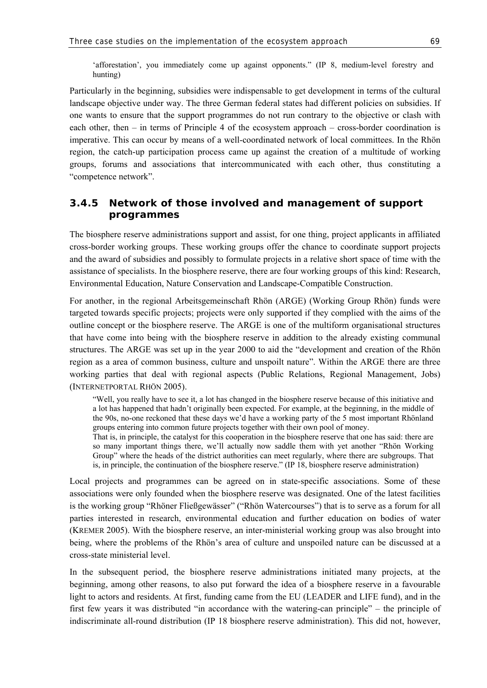'afforestation', you immediately come up against opponents." (IP 8, medium-level forestry and hunting)

Particularly in the beginning, subsidies were indispensable to get development in terms of the cultural landscape objective under way. The three German federal states had different policies on subsidies. If one wants to ensure that the support programmes do not run contrary to the objective or clash with each other, then – in terms of Principle 4 of the ecosystem approach – cross-border coordination is imperative. This can occur by means of a well-coordinated network of local committees. In the Rhön region, the catch-up participation process came up against the creation of a multitude of working groups, forums and associations that intercommunicated with each other, thus constituting a "competence network".

### **3.4.5 Network of those involved and management of support programmes**

The biosphere reserve administrations support and assist, for one thing, project applicants in affiliated cross-border working groups. These working groups offer the chance to coordinate support projects and the award of subsidies and possibly to formulate projects in a relative short space of time with the assistance of specialists. In the biosphere reserve, there are four working groups of this kind: Research, Environmental Education, Nature Conservation and Landscape-Compatible Construction.

For another, in the regional Arbeitsgemeinschaft Rhön (ARGE) (Working Group Rhön) funds were targeted towards specific projects; projects were only supported if they complied with the aims of the outline concept or the biosphere reserve. The ARGE is one of the multiform organisational structures that have come into being with the biosphere reserve in addition to the already existing communal structures. The ARGE was set up in the year 2000 to aid the "development and creation of the Rhön region as a area of common business, culture and unspoilt nature". Within the ARGE there are three working parties that deal with regional aspects (Public Relations, Regional Management, Jobs) (INTERNETPORTAL RHÖN 2005).

"Well, you really have to see it, a lot has changed in the biosphere reserve because of this initiative and a lot has happened that hadn't originally been expected. For example, at the beginning, in the middle of the 90s, no-one reckoned that these days we'd have a working party of the 5 most important Rhönland groups entering into common future projects together with their own pool of money.

That is, in principle, the catalyst for this cooperation in the biosphere reserve that one has said: there are so many important things there, we'll actually now saddle them with yet another "Rhön Working Group" where the heads of the district authorities can meet regularly, where there are subgroups. That is, in principle, the continuation of the biosphere reserve." (IP 18, biosphere reserve administration)

Local projects and programmes can be agreed on in state-specific associations. Some of these associations were only founded when the biosphere reserve was designated. One of the latest facilities is the working group "Rhöner Fließgewässer" ("Rhön Watercourses") that is to serve as a forum for all parties interested in research, environmental education and further education on bodies of water (KREMER 2005). With the biosphere reserve, an inter-ministerial working group was also brought into being, where the problems of the Rhön's area of culture and unspoiled nature can be discussed at a cross-state ministerial level.

In the subsequent period, the biosphere reserve administrations initiated many projects, at the beginning, among other reasons, to also put forward the idea of a biosphere reserve in a favourable light to actors and residents. At first, funding came from the EU (LEADER and LIFE fund), and in the first few years it was distributed "in accordance with the watering-can principle" – the principle of indiscriminate all-round distribution (IP 18 biosphere reserve administration). This did not, however,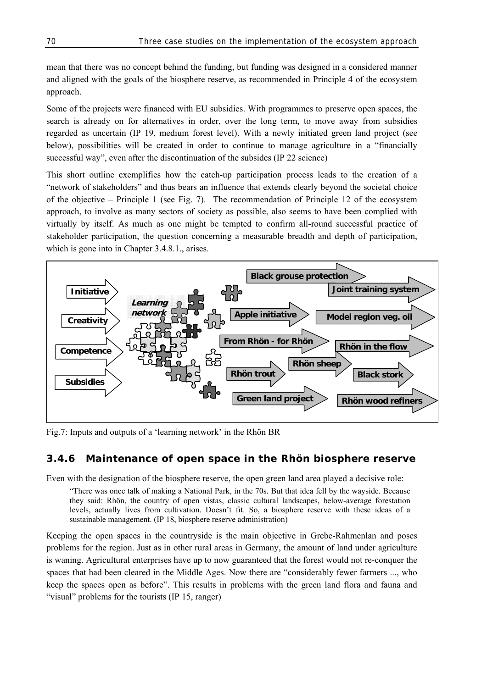mean that there was no concept behind the funding, but funding was designed in a considered manner and aligned with the goals of the biosphere reserve, as recommended in Principle 4 of the ecosystem approach.

Some of the projects were financed with EU subsidies. With programmes to preserve open spaces, the search is already on for alternatives in order, over the long term, to move away from subsidies regarded as uncertain (IP 19, medium forest level). With a newly initiated green land project (see below), possibilities will be created in order to continue to manage agriculture in a "financially successful way", even after the discontinuation of the subsides (IP 22 science)

This short outline exemplifies how the catch-up participation process leads to the creation of a "network of stakeholders" and thus bears an influence that extends clearly beyond the societal choice of the objective – Principle 1 (see Fig. 7). The recommendation of Principle 12 of the ecosystem approach, to involve as many sectors of society as possible, also seems to have been complied with virtually by itself. As much as one might be tempted to confirm all-round successful practice of stakeholder participation, the question concerning a measurable breadth and depth of participation, which is gone into in Chapter 3.4.8.1., arises.



Fig.7: Inputs and outputs of a 'learning network' in the Rhön BR

#### **3.4.6 Maintenance of open space in the Rhön biosphere reserve**

Even with the designation of the biosphere reserve, the open green land area played a decisive role:

"There was once talk of making a National Park, in the 70s. But that idea fell by the wayside. Because they said: Rhön, the country of open vistas, classic cultural landscapes, below-average forestation levels, actually lives from cultivation. Doesn't fit. So, a biosphere reserve with these ideas of a sustainable management. (IP 18, biosphere reserve administration)

Keeping the open spaces in the countryside is the main objective in Grebe-Rahmenlan and poses problems for the region. Just as in other rural areas in Germany, the amount of land under agriculture is waning. Agricultural enterprises have up to now guaranteed that the forest would not re-conquer the spaces that had been cleared in the Middle Ages. Now there are "considerably fewer farmers ..., who keep the spaces open as before". This results in problems with the green land flora and fauna and "visual" problems for the tourists (IP 15, ranger)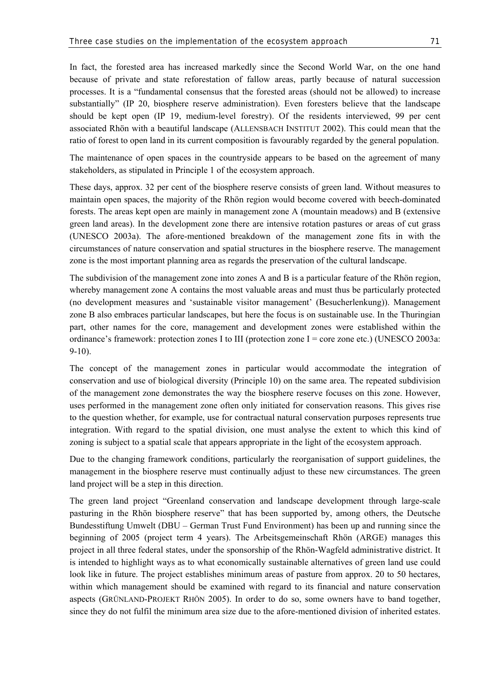In fact, the forested area has increased markedly since the Second World War, on the one hand because of private and state reforestation of fallow areas, partly because of natural succession processes. It is a "fundamental consensus that the forested areas (should not be allowed) to increase substantially" (IP 20, biosphere reserve administration). Even foresters believe that the landscape should be kept open (IP 19, medium-level forestry). Of the residents interviewed, 99 per cent associated Rhön with a beautiful landscape (ALLENSBACH INSTITUT 2002). This could mean that the ratio of forest to open land in its current composition is favourably regarded by the general population.

The maintenance of open spaces in the countryside appears to be based on the agreement of many stakeholders, as stipulated in Principle 1 of the ecosystem approach.

These days, approx. 32 per cent of the biosphere reserve consists of green land. Without measures to maintain open spaces, the majority of the Rhön region would become covered with beech-dominated forests. The areas kept open are mainly in management zone A (mountain meadows) and B (extensive green land areas). In the development zone there are intensive rotation pastures or areas of cut grass (UNESCO 2003a). The afore-mentioned breakdown of the management zone fits in with the circumstances of nature conservation and spatial structures in the biosphere reserve. The management zone is the most important planning area as regards the preservation of the cultural landscape.

The subdivision of the management zone into zones A and B is a particular feature of the Rhön region, whereby management zone A contains the most valuable areas and must thus be particularly protected (no development measures and 'sustainable visitor management' (Besucherlenkung)). Management zone B also embraces particular landscapes, but here the focus is on sustainable use. In the Thuringian part, other names for the core, management and development zones were established within the ordinance's framework: protection zones I to III (protection zone I = core zone etc.) (UNESCO 2003a: 9-10).

The concept of the management zones in particular would accommodate the integration of conservation and use of biological diversity (Principle 10) on the same area. The repeated subdivision of the management zone demonstrates the way the biosphere reserve focuses on this zone. However, uses performed in the management zone often only initiated for conservation reasons. This gives rise to the question whether, for example, use for contractual natural conservation purposes represents true integration. With regard to the spatial division, one must analyse the extent to which this kind of zoning is subject to a spatial scale that appears appropriate in the light of the ecosystem approach.

Due to the changing framework conditions, particularly the reorganisation of support guidelines, the management in the biosphere reserve must continually adjust to these new circumstances. The green land project will be a step in this direction.

The green land project "Greenland conservation and landscape development through large-scale pasturing in the Rhön biosphere reserve" that has been supported by, among others, the Deutsche Bundesstiftung Umwelt (DBU – German Trust Fund Environment) has been up and running since the beginning of 2005 (project term 4 years). The Arbeitsgemeinschaft Rhön (ARGE) manages this project in all three federal states, under the sponsorship of the Rhön-Wagfeld administrative district. It is intended to highlight ways as to what economically sustainable alternatives of green land use could look like in future. The project establishes minimum areas of pasture from approx. 20 to 50 hectares, within which management should be examined with regard to its financial and nature conservation aspects (GRÜNLAND-PROJEKT RHÖN 2005). In order to do so, some owners have to band together, since they do not fulfil the minimum area size due to the afore-mentioned division of inherited estates.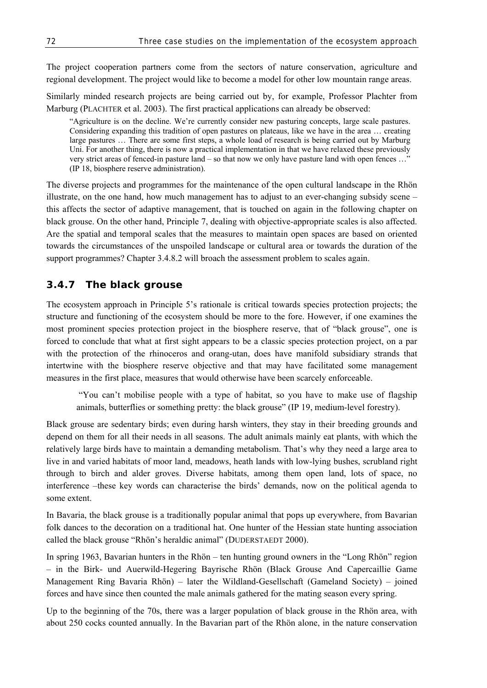The project cooperation partners come from the sectors of nature conservation, agriculture and regional development. The project would like to become a model for other low mountain range areas.

Similarly minded research projects are being carried out by, for example, Professor Plachter from Marburg (PLACHTER et al. 2003). The first practical applications can already be observed:

"Agriculture is on the decline. We're currently consider new pasturing concepts, large scale pastures. Considering expanding this tradition of open pastures on plateaus, like we have in the area … creating large pastures … There are some first steps, a whole load of research is being carried out by Marburg Uni. For another thing, there is now a practical implementation in that we have relaxed these previously very strict areas of fenced-in pasture land – so that now we only have pasture land with open fences ... (IP 18, biosphere reserve administration).

The diverse projects and programmes for the maintenance of the open cultural landscape in the Rhön illustrate, on the one hand, how much management has to adjust to an ever-changing subsidy scene – this affects the sector of adaptive management, that is touched on again in the following chapter on black grouse. On the other hand, Principle 7, dealing with objective-appropriate scales is also affected. Are the spatial and temporal scales that the measures to maintain open spaces are based on oriented towards the circumstances of the unspoiled landscape or cultural area or towards the duration of the support programmes? Chapter 3.4.8.2 will broach the assessment problem to scales again.

### **3.4.7 The black grouse**

The ecosystem approach in Principle 5's rationale is critical towards species protection projects; the structure and functioning of the ecosystem should be more to the fore. However, if one examines the most prominent species protection project in the biosphere reserve, that of "black grouse", one is forced to conclude that what at first sight appears to be a classic species protection project, on a par with the protection of the rhinoceros and orang-utan, does have manifold subsidiary strands that intertwine with the biosphere reserve objective and that may have facilitated some management measures in the first place, measures that would otherwise have been scarcely enforceable.

 "You can't mobilise people with a type of habitat, so you have to make use of flagship animals, butterflies or something pretty: the black grouse" (IP 19, medium-level forestry).

Black grouse are sedentary birds; even during harsh winters, they stay in their breeding grounds and depend on them for all their needs in all seasons. The adult animals mainly eat plants, with which the relatively large birds have to maintain a demanding metabolism. That's why they need a large area to live in and varied habitats of moor land, meadows, heath lands with low-lying bushes, scrubland right through to birch and alder groves. Diverse habitats, among them open land, lots of space, no interference –these key words can characterise the birds' demands, now on the political agenda to some extent.

In Bavaria, the black grouse is a traditionally popular animal that pops up everywhere, from Bavarian folk dances to the decoration on a traditional hat. One hunter of the Hessian state hunting association called the black grouse "Rhön's heraldic animal" (DUDERSTAEDT 2000).

In spring 1963, Bavarian hunters in the Rhön – ten hunting ground owners in the "Long Rhön" region – in the Birk- und Auerwild-Hegering Bayrische Rhön (Black Grouse And Capercaillie Game Management Ring Bavaria Rhön) – later the Wildland-Gesellschaft (Gameland Society) – joined forces and have since then counted the male animals gathered for the mating season every spring.

Up to the beginning of the 70s, there was a larger population of black grouse in the Rhön area, with about 250 cocks counted annually. In the Bavarian part of the Rhön alone, in the nature conservation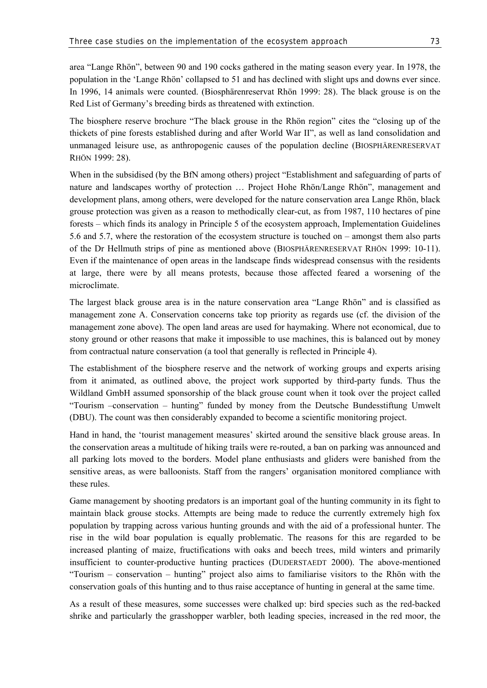area "Lange Rhön", between 90 and 190 cocks gathered in the mating season every year. In 1978, the population in the 'Lange Rhön' collapsed to 51 and has declined with slight ups and downs ever since. In 1996, 14 animals were counted. (Biosphärenreservat Rhön 1999: 28). The black grouse is on the Red List of Germany's breeding birds as threatened with extinction.

The biosphere reserve brochure "The black grouse in the Rhön region" cites the "closing up of the thickets of pine forests established during and after World War II", as well as land consolidation and unmanaged leisure use, as anthropogenic causes of the population decline (BIOSPHÄRENRESERVAT RHÖN 1999: 28).

When in the subsidised (by the BfN among others) project "Establishment and safeguarding of parts of nature and landscapes worthy of protection … Project Hohe Rhön/Lange Rhön", management and development plans, among others, were developed for the nature conservation area Lange Rhön, black grouse protection was given as a reason to methodically clear-cut, as from 1987, 110 hectares of pine forests – which finds its analogy in Principle 5 of the ecosystem approach, Implementation Guidelines 5.6 and 5.7, where the restoration of the ecosystem structure is touched on – amongst them also parts of the Dr Hellmuth strips of pine as mentioned above (BIOSPHÄRENRESERVAT RHÖN 1999: 10-11). Even if the maintenance of open areas in the landscape finds widespread consensus with the residents at large, there were by all means protests, because those affected feared a worsening of the microclimate.

The largest black grouse area is in the nature conservation area "Lange Rhön" and is classified as management zone A. Conservation concerns take top priority as regards use (cf. the division of the management zone above). The open land areas are used for haymaking. Where not economical, due to stony ground or other reasons that make it impossible to use machines, this is balanced out by money from contractual nature conservation (a tool that generally is reflected in Principle 4).

The establishment of the biosphere reserve and the network of working groups and experts arising from it animated, as outlined above, the project work supported by third-party funds. Thus the Wildland GmbH assumed sponsorship of the black grouse count when it took over the project called "Tourism –conservation – hunting" funded by money from the Deutsche Bundesstiftung Umwelt (DBU). The count was then considerably expanded to become a scientific monitoring project.

Hand in hand, the 'tourist management measures' skirted around the sensitive black grouse areas. In the conservation areas a multitude of hiking trails were re-routed, a ban on parking was announced and all parking lots moved to the borders. Model plane enthusiasts and gliders were banished from the sensitive areas, as were balloonists. Staff from the rangers' organisation monitored compliance with these rules.

Game management by shooting predators is an important goal of the hunting community in its fight to maintain black grouse stocks. Attempts are being made to reduce the currently extremely high fox population by trapping across various hunting grounds and with the aid of a professional hunter. The rise in the wild boar population is equally problematic. The reasons for this are regarded to be increased planting of maize, fructifications with oaks and beech trees, mild winters and primarily insufficient to counter-productive hunting practices (DUDERSTAEDT 2000). The above-mentioned "Tourism – conservation – hunting" project also aims to familiarise visitors to the Rhön with the conservation goals of this hunting and to thus raise acceptance of hunting in general at the same time.

As a result of these measures, some successes were chalked up: bird species such as the red-backed shrike and particularly the grasshopper warbler, both leading species, increased in the red moor, the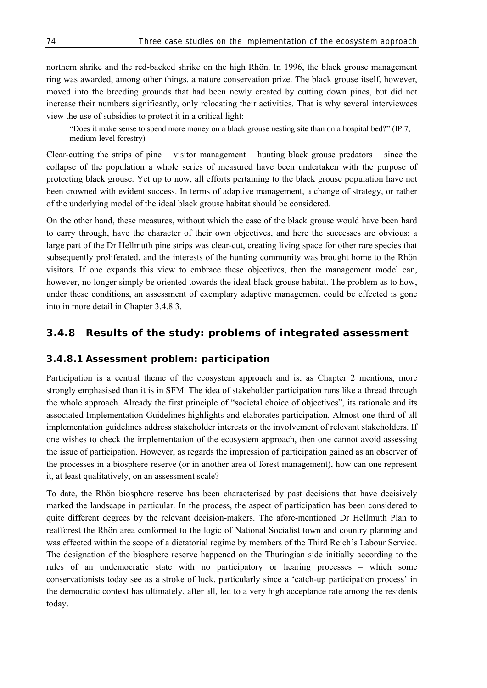northern shrike and the red-backed shrike on the high Rhön. In 1996, the black grouse management ring was awarded, among other things, a nature conservation prize. The black grouse itself, however, moved into the breeding grounds that had been newly created by cutting down pines, but did not increase their numbers significantly, only relocating their activities. That is why several interviewees view the use of subsidies to protect it in a critical light:

"Does it make sense to spend more money on a black grouse nesting site than on a hospital bed?" (IP 7, medium-level forestry)

Clear-cutting the strips of pine – visitor management – hunting black grouse predators – since the collapse of the population a whole series of measured have been undertaken with the purpose of protecting black grouse. Yet up to now, all efforts pertaining to the black grouse population have not been crowned with evident success. In terms of adaptive management, a change of strategy, or rather of the underlying model of the ideal black grouse habitat should be considered.

On the other hand, these measures, without which the case of the black grouse would have been hard to carry through, have the character of their own objectives, and here the successes are obvious: a large part of the Dr Hellmuth pine strips was clear-cut, creating living space for other rare species that subsequently proliferated, and the interests of the hunting community was brought home to the Rhön visitors. If one expands this view to embrace these objectives, then the management model can, however, no longer simply be oriented towards the ideal black grouse habitat. The problem as to how, under these conditions, an assessment of exemplary adaptive management could be effected is gone into in more detail in Chapter 3.4.8.3.

### **3.4.8 Results of the study: problems of integrated assessment**

#### **3.4.8.1 Assessment problem: participation**

Participation is a central theme of the ecosystem approach and is, as Chapter 2 mentions, more strongly emphasised than it is in SFM. The idea of stakeholder participation runs like a thread through the whole approach. Already the first principle of "societal choice of objectives", its rationale and its associated Implementation Guidelines highlights and elaborates participation. Almost one third of all implementation guidelines address stakeholder interests or the involvement of relevant stakeholders. If one wishes to check the implementation of the ecosystem approach, then one cannot avoid assessing the issue of participation. However, as regards the impression of participation gained as an observer of the processes in a biosphere reserve (or in another area of forest management), how can one represent it, at least qualitatively, on an assessment scale?

To date, the Rhön biosphere reserve has been characterised by past decisions that have decisively marked the landscape in particular. In the process, the aspect of participation has been considered to quite different degrees by the relevant decision-makers. The afore-mentioned Dr Hellmuth Plan to reafforest the Rhön area conformed to the logic of National Socialist town and country planning and was effected within the scope of a dictatorial regime by members of the Third Reich's Labour Service. The designation of the biosphere reserve happened on the Thuringian side initially according to the rules of an undemocratic state with no participatory or hearing processes – which some conservationists today see as a stroke of luck, particularly since a 'catch-up participation process' in the democratic context has ultimately, after all, led to a very high acceptance rate among the residents today.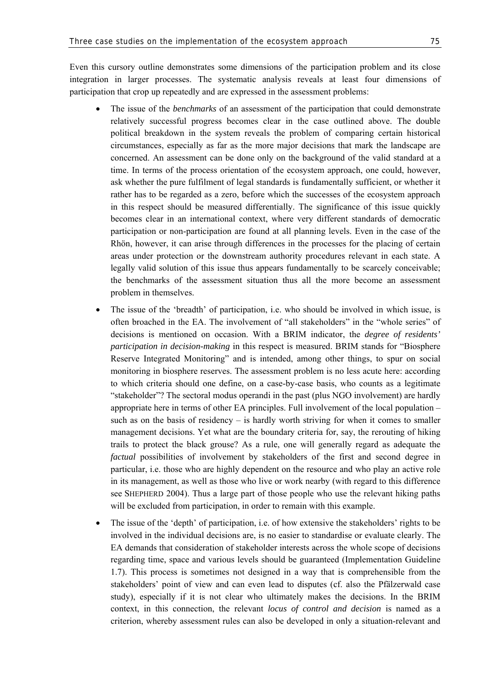Even this cursory outline demonstrates some dimensions of the participation problem and its close integration in larger processes. The systematic analysis reveals at least four dimensions of participation that crop up repeatedly and are expressed in the assessment problems:

- The issue of the *benchmarks* of an assessment of the participation that could demonstrate relatively successful progress becomes clear in the case outlined above. The double political breakdown in the system reveals the problem of comparing certain historical circumstances, especially as far as the more major decisions that mark the landscape are concerned. An assessment can be done only on the background of the valid standard at a time. In terms of the process orientation of the ecosystem approach, one could, however, ask whether the pure fulfilment of legal standards is fundamentally sufficient, or whether it rather has to be regarded as a zero, before which the successes of the ecosystem approach in this respect should be measured differentially. The significance of this issue quickly becomes clear in an international context, where very different standards of democratic participation or non-participation are found at all planning levels. Even in the case of the Rhön, however, it can arise through differences in the processes for the placing of certain areas under protection or the downstream authority procedures relevant in each state. A legally valid solution of this issue thus appears fundamentally to be scarcely conceivable; the benchmarks of the assessment situation thus all the more become an assessment problem in themselves.
- The issue of the 'breadth' of participation, i.e. who should be involved in which issue, is often broached in the EA. The involvement of "all stakeholders" in the "whole series" of decisions is mentioned on occasion. With a BRIM indicator, the *degree of residents' participation in decision-making* in this respect is measured. BRIM stands for "Biosphere Reserve Integrated Monitoring" and is intended, among other things, to spur on social monitoring in biosphere reserves. The assessment problem is no less acute here: according to which criteria should one define, on a case-by-case basis, who counts as a legitimate "stakeholder"? The sectoral modus operandi in the past (plus NGO involvement) are hardly appropriate here in terms of other EA principles. Full involvement of the local population – such as on the basis of residency  $-$  is hardly worth striving for when it comes to smaller management decisions. Yet what are the boundary criteria for, say, the rerouting of hiking trails to protect the black grouse? As a rule, one will generally regard as adequate the *factual* possibilities of involvement by stakeholders of the first and second degree in particular, i.e. those who are highly dependent on the resource and who play an active role in its management, as well as those who live or work nearby (with regard to this difference see SHEPHERD 2004). Thus a large part of those people who use the relevant hiking paths will be excluded from participation, in order to remain with this example.
- The issue of the 'depth' of participation, i.e. of how extensive the stakeholders' rights to be involved in the individual decisions are, is no easier to standardise or evaluate clearly. The EA demands that consideration of stakeholder interests across the whole scope of decisions regarding time, space and various levels should be guaranteed (Implementation Guideline 1.7). This process is sometimes not designed in a way that is comprehensible from the stakeholders' point of view and can even lead to disputes (cf. also the Pfälzerwald case study), especially if it is not clear who ultimately makes the decisions. In the BRIM context, in this connection, the relevant *locus of control and decision* is named as a criterion, whereby assessment rules can also be developed in only a situation-relevant and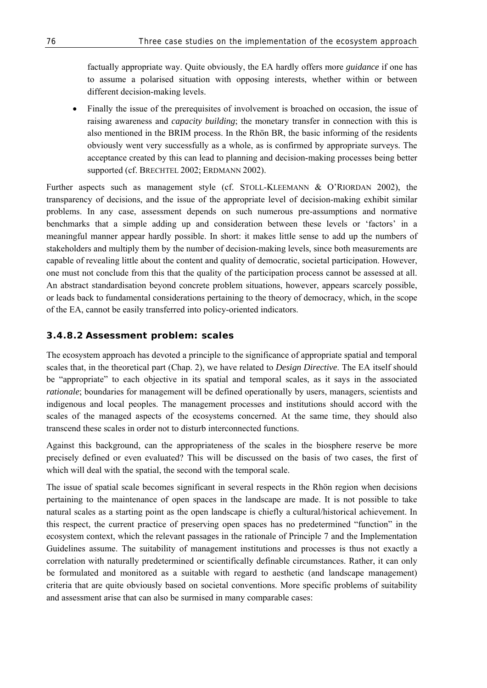factually appropriate way. Quite obviously, the EA hardly offers more *guidance* if one has to assume a polarised situation with opposing interests, whether within or between different decision-making levels.

• Finally the issue of the prerequisites of involvement is broached on occasion, the issue of raising awareness and *capacity building*; the monetary transfer in connection with this is also mentioned in the BRIM process. In the Rhön BR, the basic informing of the residents obviously went very successfully as a whole, as is confirmed by appropriate surveys. The acceptance created by this can lead to planning and decision-making processes being better supported (cf. BRECHTEL 2002; ERDMANN 2002).

Further aspects such as management style (cf. STOLL-KLEEMANN & O'RIORDAN 2002), the transparency of decisions, and the issue of the appropriate level of decision-making exhibit similar problems. In any case, assessment depends on such numerous pre-assumptions and normative benchmarks that a simple adding up and consideration between these levels or 'factors' in a meaningful manner appear hardly possible. In short: it makes little sense to add up the numbers of stakeholders and multiply them by the number of decision-making levels, since both measurements are capable of revealing little about the content and quality of democratic, societal participation. However, one must not conclude from this that the quality of the participation process cannot be assessed at all. An abstract standardisation beyond concrete problem situations, however, appears scarcely possible, or leads back to fundamental considerations pertaining to the theory of democracy, which, in the scope of the EA, cannot be easily transferred into policy-oriented indicators.

### **3.4.8.2 Assessment problem: scales**

The ecosystem approach has devoted a principle to the significance of appropriate spatial and temporal scales that, in the theoretical part (Chap. 2), we have related to *Design Directive*. The EA itself should be "appropriate" to each objective in its spatial and temporal scales, as it says in the associated *rationale*; boundaries for management will be defined operationally by users, managers, scientists and indigenous and local peoples. The management processes and institutions should accord with the scales of the managed aspects of the ecosystems concerned. At the same time, they should also transcend these scales in order not to disturb interconnected functions.

Against this background, can the appropriateness of the scales in the biosphere reserve be more precisely defined or even evaluated? This will be discussed on the basis of two cases, the first of which will deal with the spatial, the second with the temporal scale.

The issue of spatial scale becomes significant in several respects in the Rhön region when decisions pertaining to the maintenance of open spaces in the landscape are made. It is not possible to take natural scales as a starting point as the open landscape is chiefly a cultural/historical achievement. In this respect, the current practice of preserving open spaces has no predetermined "function" in the ecosystem context, which the relevant passages in the rationale of Principle 7 and the Implementation Guidelines assume. The suitability of management institutions and processes is thus not exactly a correlation with naturally predetermined or scientifically definable circumstances. Rather, it can only be formulated and monitored as a suitable with regard to aesthetic (and landscape management) criteria that are quite obviously based on societal conventions. More specific problems of suitability and assessment arise that can also be surmised in many comparable cases: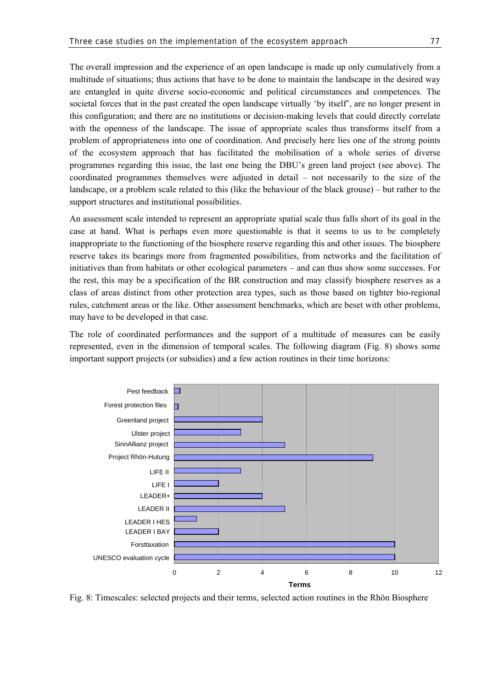The overall impression and the experience of an open landscape is made up only cumulatively from a multitude of situations; thus actions that have to be done to maintain the landscape in the desired way are entangled in quite diverse socio-economic and political circumstances and competences. The societal forces that in the past created the open landscape virtually 'by itself', are no longer present in this configuration; and there are no institutions or decision-making levels that could directly correlate with the openness of the landscape. The issue of appropriate scales thus transforms itself from a problem of appropriateness into one of coordination. And precisely here lies one of the strong points of the ecosystem approach that has facilitated the mobilisation of a whole series of diverse programmes regarding this issue, the last one being the DBU's green land project (see above). The coordinated programmes themselves were adjusted in detail – not necessarily to the size of the landscape, or a problem scale related to this (like the behaviour of the black grouse) – but rather to the support structures and institutional possibilities.

An assessment scale intended to represent an appropriate spatial scale thus falls short of its goal in the case at hand. What is perhaps even more questionable is that it seems to us to be completely inappropriate to the functioning of the biosphere reserve regarding this and other issues. The biosphere reserve takes its bearings more from fragmented possibilities, from networks and the facilitation of initiatives than from habitats or other ecological parameters – and can thus show some successes. For the rest, this may be a specification of the BR construction and may classify biosphere reserves as a class of areas distinct from other protection area types, such as those based on tighter bio-regional rules, catchment areas or the like. Other assessment benchmarks, which are beset with other problems, may have to be developed in that case.

The role of coordinated performances and the support of a multitude of measures can be easily represented, even in the dimension of temporal scales. The following diagram (Fig. 8) shows some important support projects (or subsidies) and a few action routines in their time horizons:



Fig. 8: Timescales: selected projects and their terms, selected action routines in the Rhön Biosphere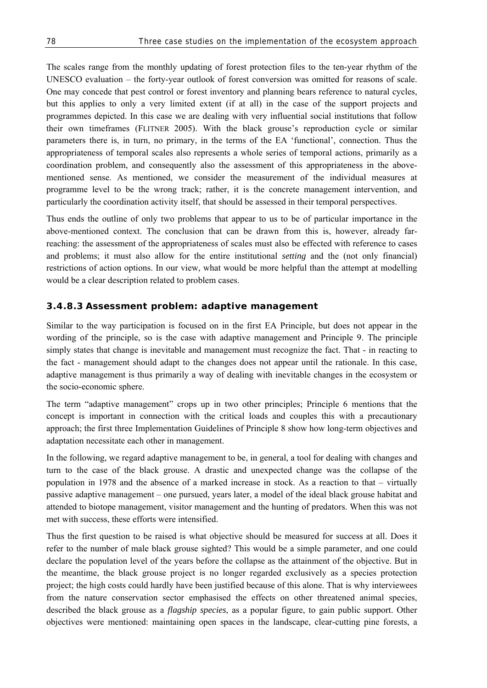The scales range from the monthly updating of forest protection files to the ten-year rhythm of the UNESCO evaluation – the forty-year outlook of forest conversion was omitted for reasons of scale. One may concede that pest control or forest inventory and planning bears reference to natural cycles, but this applies to only a very limited extent (if at all) in the case of the support projects and programmes depicted. In this case we are dealing with very influential social institutions that follow their own timeframes (FLITNER 2005). With the black grouse's reproduction cycle or similar parameters there is, in turn, no primary, in the terms of the EA 'functional', connection. Thus the appropriateness of temporal scales also represents a whole series of temporal actions, primarily as a coordination problem, and consequently also the assessment of this appropriateness in the abovementioned sense. As mentioned, we consider the measurement of the individual measures at programme level to be the wrong track; rather, it is the concrete management intervention, and particularly the coordination activity itself, that should be assessed in their temporal perspectives.

Thus ends the outline of only two problems that appear to us to be of particular importance in the above-mentioned context. The conclusion that can be drawn from this is, however, already farreaching: the assessment of the appropriateness of scales must also be effected with reference to cases and problems; it must also allow for the entire institutional *setting* and the (not only financial) restrictions of action options. In our view, what would be more helpful than the attempt at modelling would be a clear description related to problem cases.

#### **3.4.8.3 Assessment problem: adaptive management**

Similar to the way participation is focused on in the first EA Principle, but does not appear in the wording of the principle, so is the case with adaptive management and Principle 9. The principle simply states that change is inevitable and management must recognize the fact. That - in reacting to the fact - management should adapt to the changes does not appear until the rationale. In this case, adaptive management is thus primarily a way of dealing with inevitable changes in the ecosystem or the socio-economic sphere.

The term "adaptive management" crops up in two other principles; Principle 6 mentions that the concept is important in connection with the critical loads and couples this with a precautionary approach; the first three Implementation Guidelines of Principle 8 show how long-term objectives and adaptation necessitate each other in management.

In the following, we regard adaptive management to be, in general, a tool for dealing with changes and turn to the case of the black grouse. A drastic and unexpected change was the collapse of the population in 1978 and the absence of a marked increase in stock. As a reaction to that – virtually passive adaptive management – one pursued, years later, a model of the ideal black grouse habitat and attended to biotope management, visitor management and the hunting of predators. When this was not met with success, these efforts were intensified.

Thus the first question to be raised is what objective should be measured for success at all. Does it refer to the number of male black grouse sighted? This would be a simple parameter, and one could declare the population level of the years before the collapse as the attainment of the objective. But in the meantime, the black grouse project is no longer regarded exclusively as a species protection project; the high costs could hardly have been justified because of this alone. That is why interviewees from the nature conservation sector emphasised the effects on other threatened animal species, described the black grouse as a *flagship species*, as a popular figure, to gain public support. Other objectives were mentioned: maintaining open spaces in the landscape, clear-cutting pine forests, a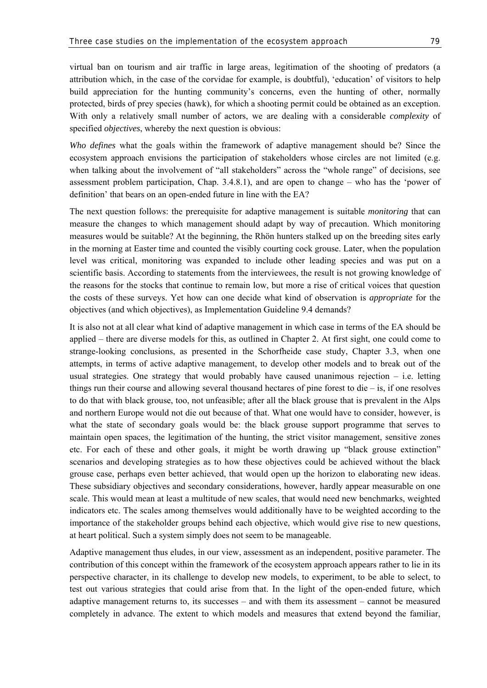virtual ban on tourism and air traffic in large areas, legitimation of the shooting of predators (a attribution which, in the case of the corvidae for example, is doubtful), 'education' of visitors to help build appreciation for the hunting community's concerns, even the hunting of other, normally protected, birds of prey species (hawk), for which a shooting permit could be obtained as an exception. With only a relatively small number of actors, we are dealing with a considerable *complexity* of specified *objectives*, whereby the next question is obvious:

*Who defines* what the goals within the framework of adaptive management should be? Since the ecosystem approach envisions the participation of stakeholders whose circles are not limited (e.g. when talking about the involvement of "all stakeholders" across the "whole range" of decisions, see assessment problem participation, Chap. 3.4.8.1), and are open to change – who has the 'power of definition' that bears on an open-ended future in line with the EA?

The next question follows: the prerequisite for adaptive management is suitable *monitoring* that can measure the changes to which management should adapt by way of precaution. Which monitoring measures would be suitable? At the beginning, the Rhön hunters stalked up on the breeding sites early in the morning at Easter time and counted the visibly courting cock grouse. Later, when the population level was critical, monitoring was expanded to include other leading species and was put on a scientific basis. According to statements from the interviewees, the result is not growing knowledge of the reasons for the stocks that continue to remain low, but more a rise of critical voices that question the costs of these surveys. Yet how can one decide what kind of observation is *appropriate* for the objectives (and which objectives), as Implementation Guideline 9.4 demands?

It is also not at all clear what kind of adaptive management in which case in terms of the EA should be applied – there are diverse models for this, as outlined in Chapter 2. At first sight, one could come to strange-looking conclusions, as presented in the Schorfheide case study, Chapter 3.3, when one attempts, in terms of active adaptive management, to develop other models and to break out of the usual strategies. One strategy that would probably have caused unanimous rejection – i.e. letting things run their course and allowing several thousand hectares of pine forest to die – is, if one resolves to do that with black grouse, too, not unfeasible; after all the black grouse that is prevalent in the Alps and northern Europe would not die out because of that. What one would have to consider, however, is what the state of secondary goals would be: the black grouse support programme that serves to maintain open spaces, the legitimation of the hunting, the strict visitor management, sensitive zones etc. For each of these and other goals, it might be worth drawing up "black grouse extinction" scenarios and developing strategies as to how these objectives could be achieved without the black grouse case, perhaps even better achieved, that would open up the horizon to elaborating new ideas. These subsidiary objectives and secondary considerations, however, hardly appear measurable on one scale. This would mean at least a multitude of new scales, that would need new benchmarks, weighted indicators etc. The scales among themselves would additionally have to be weighted according to the importance of the stakeholder groups behind each objective, which would give rise to new questions, at heart political. Such a system simply does not seem to be manageable.

Adaptive management thus eludes, in our view, assessment as an independent, positive parameter. The contribution of this concept within the framework of the ecosystem approach appears rather to lie in its perspective character, in its challenge to develop new models, to experiment, to be able to select, to test out various strategies that could arise from that. In the light of the open-ended future, which adaptive management returns to, its successes – and with them its assessment – cannot be measured completely in advance. The extent to which models and measures that extend beyond the familiar,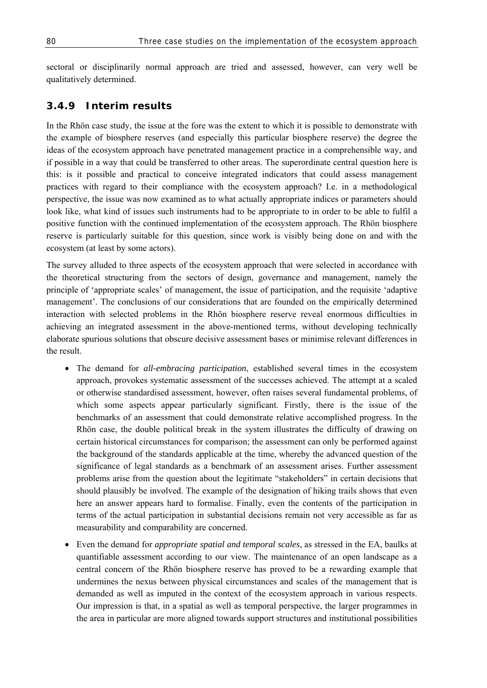sectoral or disciplinarily normal approach are tried and assessed, however, can very well be qualitatively determined.

### **3.4.9 Interim results**

In the Rhön case study, the issue at the fore was the extent to which it is possible to demonstrate with the example of biosphere reserves (and especially this particular biosphere reserve) the degree the ideas of the ecosystem approach have penetrated management practice in a comprehensible way, and if possible in a way that could be transferred to other areas. The superordinate central question here is this: is it possible and practical to conceive integrated indicators that could assess management practices with regard to their compliance with the ecosystem approach? I.e. in a methodological perspective, the issue was now examined as to what actually appropriate indices or parameters should look like, what kind of issues such instruments had to be appropriate to in order to be able to fulfil a positive function with the continued implementation of the ecosystem approach. The Rhön biosphere reserve is particularly suitable for this question, since work is visibly being done on and with the ecosystem (at least by some actors).

The survey alluded to three aspects of the ecosystem approach that were selected in accordance with the theoretical structuring from the sectors of design, governance and management, namely the principle of 'appropriate scales' of management, the issue of participation, and the requisite 'adaptive management'. The conclusions of our considerations that are founded on the empirically determined interaction with selected problems in the Rhön biosphere reserve reveal enormous difficulties in achieving an integrated assessment in the above-mentioned terms, without developing technically elaborate spurious solutions that obscure decisive assessment bases or minimise relevant differences in the result.

- The demand for *all-embracing participation*, established several times in the ecosystem approach, provokes systematic assessment of the successes achieved. The attempt at a scaled or otherwise standardised assessment, however, often raises several fundamental problems, of which some aspects appear particularly significant. Firstly, there is the issue of the benchmarks of an assessment that could demonstrate relative accomplished progress. In the Rhön case, the double political break in the system illustrates the difficulty of drawing on certain historical circumstances for comparison; the assessment can only be performed against the background of the standards applicable at the time, whereby the advanced question of the significance of legal standards as a benchmark of an assessment arises. Further assessment problems arise from the question about the legitimate "stakeholders" in certain decisions that should plausibly be involved. The example of the designation of hiking trails shows that even here an answer appears hard to formalise. Finally, even the contents of the participation in terms of the actual participation in substantial decisions remain not very accessible as far as measurability and comparability are concerned.
- Even the demand for *appropriate spatial and temporal scales*, as stressed in the EA, baulks at quantifiable assessment according to our view. The maintenance of an open landscape as a central concern of the Rhön biosphere reserve has proved to be a rewarding example that undermines the nexus between physical circumstances and scales of the management that is demanded as well as imputed in the context of the ecosystem approach in various respects. Our impression is that, in a spatial as well as temporal perspective, the larger programmes in the area in particular are more aligned towards support structures and institutional possibilities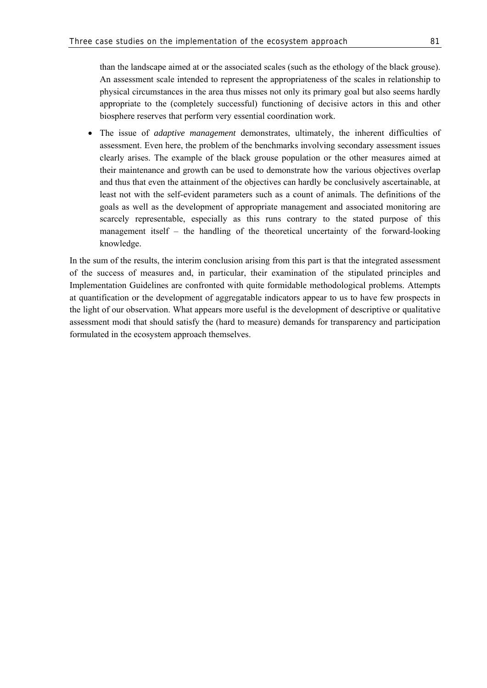• The issue of *adaptive management* demonstrates, ultimately, the inherent difficulties of assessment. Even here, the problem of the benchmarks involving secondary assessment issues clearly arises. The example of the black grouse population or the other measures aimed at their maintenance and growth can be used to demonstrate how the various objectives overlap and thus that even the attainment of the objectives can hardly be conclusively ascertainable, at least not with the self-evident parameters such as a count of animals. The definitions of the goals as well as the development of appropriate management and associated monitoring are scarcely representable, especially as this runs contrary to the stated purpose of this management itself – the handling of the theoretical uncertainty of the forward-looking knowledge.

In the sum of the results, the interim conclusion arising from this part is that the integrated assessment of the success of measures and, in particular, their examination of the stipulated principles and Implementation Guidelines are confronted with quite formidable methodological problems. Attempts at quantification or the development of aggregatable indicators appear to us to have few prospects in the light of our observation. What appears more useful is the development of descriptive or qualitative assessment modi that should satisfy the (hard to measure) demands for transparency and participation formulated in the ecosystem approach themselves.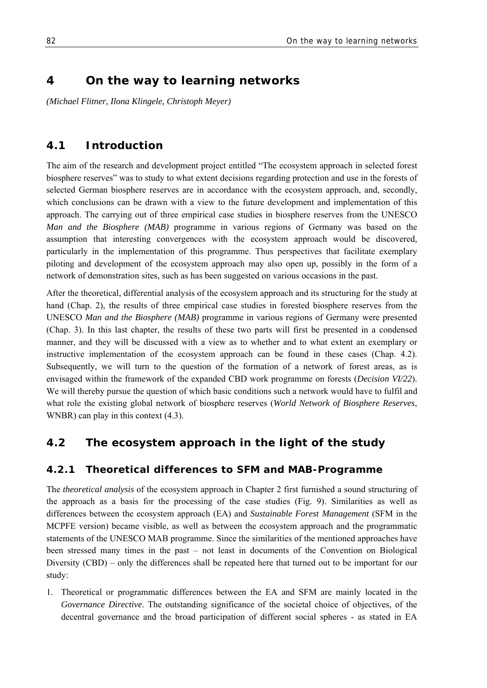# **4 On the way to learning networks**

*(Michael Flitner, Ilona Klingele, Christoph Meyer)* 

# **4.1 Introduction**

The aim of the research and development project entitled "The ecosystem approach in selected forest biosphere reserves" was to study to what extent decisions regarding protection and use in the forests of selected German biosphere reserves are in accordance with the ecosystem approach, and, secondly, which conclusions can be drawn with a view to the future development and implementation of this approach. The carrying out of three empirical case studies in biosphere reserves from the UNESCO *Man and the Biosphere (MAB)* programme in various regions of Germany was based on the assumption that interesting convergences with the ecosystem approach would be discovered, particularly in the implementation of this programme. Thus perspectives that facilitate exemplary piloting and development of the ecosystem approach may also open up, possibly in the form of a network of demonstration sites, such as has been suggested on various occasions in the past.

After the theoretical, differential analysis of the ecosystem approach and its structuring for the study at hand (Chap. 2), the results of three empirical case studies in forested biosphere reserves from the UNESCO *Man and the Biosphere (MAB)* programme in various regions of Germany were presented (Chap. 3). In this last chapter, the results of these two parts will first be presented in a condensed manner, and they will be discussed with a view as to whether and to what extent an exemplary or instructive implementation of the ecosystem approach can be found in these cases (Chap. 4.2). Subsequently, we will turn to the question of the formation of a network of forest areas, as is envisaged within the framework of the expanded CBD work programme on forests (*Decision VI/22*). We will thereby pursue the question of which basic conditions such a network would have to fulfil and what role the existing global network of biosphere reserves (*World Network of Biosphere Reserves*, WNBR) can play in this context (4.3).

# **4.2 The ecosystem approach in the light of the study**

### **4.2.1 Theoretical differences to SFM and MAB-Programme**

The *theoretical analysis* of the ecosystem approach in Chapter 2 first furnished a sound structuring of the approach as a basis for the processing of the case studies (Fig. 9). Similarities as well as differences between the ecosystem approach (EA) and *Sustainable Forest Management* (SFM in the MCPFE version) became visible, as well as between the ecosystem approach and the programmatic statements of the UNESCO MAB programme. Since the similarities of the mentioned approaches have been stressed many times in the past – not least in documents of the Convention on Biological Diversity (CBD) – only the differences shall be repeated here that turned out to be important for our study:

1. Theoretical or programmatic differences between the EA and SFM are mainly located in the *Governance Directive*. The outstanding significance of the societal choice of objectives, of the decentral governance and the broad participation of different social spheres - as stated in EA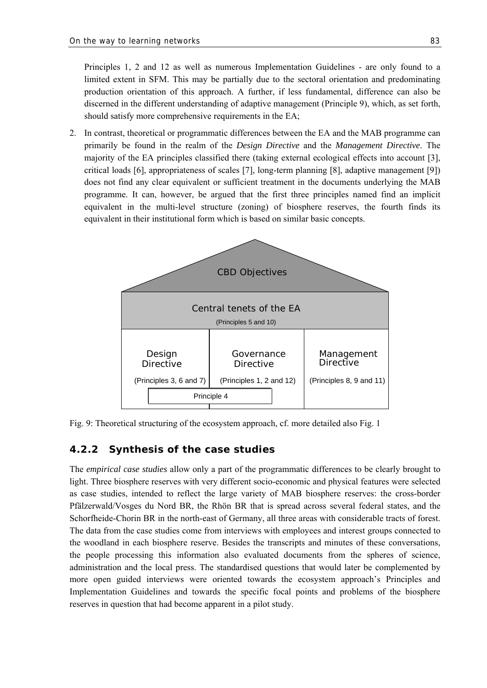Principles 1, 2 and 12 as well as numerous Implementation Guidelines - are only found to a limited extent in SFM. This may be partially due to the sectoral orientation and predominating production orientation of this approach. A further, if less fundamental, difference can also be discerned in the different understanding of adaptive management (Principle 9), which, as set forth, should satisfy more comprehensive requirements in the EA;

2. In contrast, theoretical or programmatic differences between the EA and the MAB programme can primarily be found in the realm of the *Design Directive* and the *Management Directive*. The majority of the EA principles classified there (taking external ecological effects into account [3], critical loads [6], appropriateness of scales [7], long-term planning [8], adaptive management [9]) does not find any clear equivalent or sufficient treatment in the documents underlying the MAB programme. It can, however, be argued that the first three principles named find an implicit equivalent in the multi-level structure (zoning) of biosphere reserves, the fourth finds its equivalent in their institutional form which is based on similar basic concepts.



Fig. 9: Theoretical structuring of the ecosystem approach, cf. more detailed also Fig. 1

#### **4.2.2 Synthesis of the case studies**

The *empirical case studies* allow only a part of the programmatic differences to be clearly brought to light. Three biosphere reserves with very different socio-economic and physical features were selected as case studies, intended to reflect the large variety of MAB biosphere reserves: the cross-border Pfälzerwald/Vosges du Nord BR, the Rhön BR that is spread across several federal states, and the Schorfheide-Chorin BR in the north-east of Germany, all three areas with considerable tracts of forest. The data from the case studies come from interviews with employees and interest groups connected to the woodland in each biosphere reserve. Besides the transcripts and minutes of these conversations, the people processing this information also evaluated documents from the spheres of science, administration and the local press. The standardised questions that would later be complemented by more open guided interviews were oriented towards the ecosystem approach's Principles and Implementation Guidelines and towards the specific focal points and problems of the biosphere reserves in question that had become apparent in a pilot study.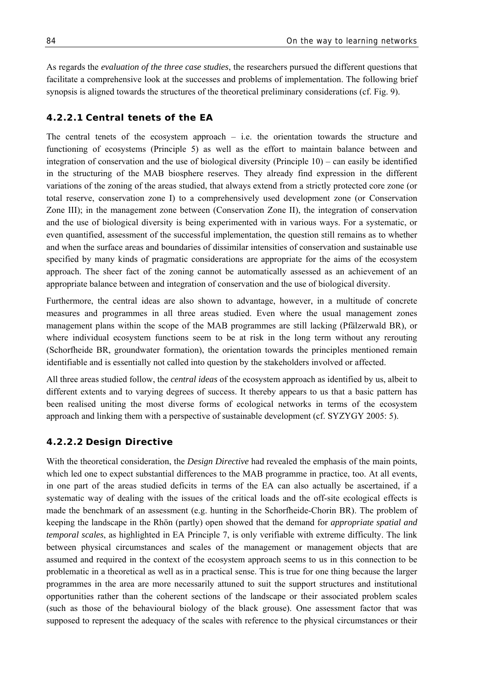As regards the *evaluation of the three case studies*, the researchers pursued the different questions that facilitate a comprehensive look at the successes and problems of implementation. The following brief synopsis is aligned towards the structures of the theoretical preliminary considerations (cf. Fig. 9).

### **4.2.2.1 Central tenets of the EA**

The central tenets of the ecosystem approach – i.e. the orientation towards the structure and functioning of ecosystems (Principle 5) as well as the effort to maintain balance between and integration of conservation and the use of biological diversity (Principle  $10$ ) – can easily be identified in the structuring of the MAB biosphere reserves. They already find expression in the different variations of the zoning of the areas studied, that always extend from a strictly protected core zone (or total reserve, conservation zone I) to a comprehensively used development zone (or Conservation Zone III); in the management zone between (Conservation Zone II), the integration of conservation and the use of biological diversity is being experimented with in various ways. For a systematic, or even quantified, assessment of the successful implementation, the question still remains as to whether and when the surface areas and boundaries of dissimilar intensities of conservation and sustainable use specified by many kinds of pragmatic considerations are appropriate for the aims of the ecosystem approach. The sheer fact of the zoning cannot be automatically assessed as an achievement of an appropriate balance between and integration of conservation and the use of biological diversity.

Furthermore, the central ideas are also shown to advantage, however, in a multitude of concrete measures and programmes in all three areas studied. Even where the usual management zones management plans within the scope of the MAB programmes are still lacking (Pfälzerwald BR), or where individual ecosystem functions seem to be at risk in the long term without any rerouting (Schorfheide BR, groundwater formation), the orientation towards the principles mentioned remain identifiable and is essentially not called into question by the stakeholders involved or affected.

All three areas studied follow, the *central ideas* of the ecosystem approach as identified by us, albeit to different extents and to varying degrees of success. It thereby appears to us that a basic pattern has been realised uniting the most diverse forms of ecological networks in terms of the ecosystem approach and linking them with a perspective of sustainable development (cf. SYZYGY 2005: 5).

#### **4.2.2.2 Design Directive**

With the theoretical consideration, the *Design Directive* had revealed the emphasis of the main points, which led one to expect substantial differences to the MAB programme in practice, too. At all events, in one part of the areas studied deficits in terms of the EA can also actually be ascertained, if a systematic way of dealing with the issues of the critical loads and the off-site ecological effects is made the benchmark of an assessment (e.g. hunting in the Schorfheide-Chorin BR). The problem of keeping the landscape in the Rhön (partly) open showed that the demand for *appropriate spatial and temporal scales*, as highlighted in EA Principle 7, is only verifiable with extreme difficulty. The link between physical circumstances and scales of the management or management objects that are assumed and required in the context of the ecosystem approach seems to us in this connection to be problematic in a theoretical as well as in a practical sense. This is true for one thing because the larger programmes in the area are more necessarily attuned to suit the support structures and institutional opportunities rather than the coherent sections of the landscape or their associated problem scales (such as those of the behavioural biology of the black grouse). One assessment factor that was supposed to represent the adequacy of the scales with reference to the physical circumstances or their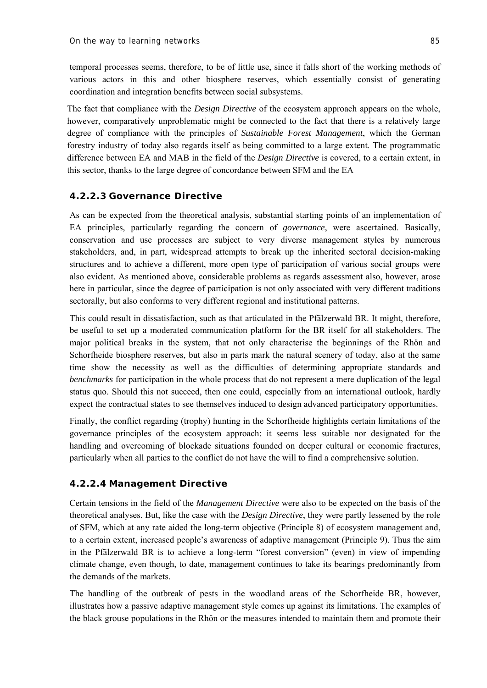temporal processes seems, therefore, to be of little use, since it falls short of the working methods of various actors in this and other biosphere reserves, which essentially consist of generating coordination and integration benefits between social subsystems.

The fact that compliance with the *Design Directive* of the ecosystem approach appears on the whole, however, comparatively unproblematic might be connected to the fact that there is a relatively large degree of compliance with the principles of *Sustainable Forest Management*, which the German forestry industry of today also regards itself as being committed to a large extent. The programmatic difference between EA and MAB in the field of the *Design Directive* is covered, to a certain extent, in this sector, thanks to the large degree of concordance between SFM and the EA

#### **4.2.2.3 Governance Directive**

As can be expected from the theoretical analysis, substantial starting points of an implementation of EA principles, particularly regarding the concern of *governance*, were ascertained. Basically, conservation and use processes are subject to very diverse management styles by numerous stakeholders, and, in part, widespread attempts to break up the inherited sectoral decision-making structures and to achieve a different, more open type of participation of various social groups were also evident. As mentioned above, considerable problems as regards assessment also, however, arose here in particular, since the degree of participation is not only associated with very different traditions sectorally, but also conforms to very different regional and institutional patterns.

This could result in dissatisfaction, such as that articulated in the Pfälzerwald BR. It might, therefore, be useful to set up a moderated communication platform for the BR itself for all stakeholders. The major political breaks in the system, that not only characterise the beginnings of the Rhön and Schorfheide biosphere reserves, but also in parts mark the natural scenery of today, also at the same time show the necessity as well as the difficulties of determining appropriate standards and *benchmarks* for participation in the whole process that do not represent a mere duplication of the legal status quo. Should this not succeed, then one could, especially from an international outlook, hardly expect the contractual states to see themselves induced to design advanced participatory opportunities.

Finally, the conflict regarding (trophy) hunting in the Schorfheide highlights certain limitations of the governance principles of the ecosystem approach: it seems less suitable nor designated for the handling and overcoming of blockade situations founded on deeper cultural or economic fractures, particularly when all parties to the conflict do not have the will to find a comprehensive solution.

#### **4.2.2.4 Management Directive**

Certain tensions in the field of the *Management Directive* were also to be expected on the basis of the theoretical analyses. But, like the case with the *Design Directive*, they were partly lessened by the role of SFM, which at any rate aided the long-term objective (Principle 8) of ecosystem management and, to a certain extent, increased people's awareness of adaptive management (Principle 9). Thus the aim in the Pfälzerwald BR is to achieve a long-term "forest conversion" (even) in view of impending climate change, even though, to date, management continues to take its bearings predominantly from the demands of the markets.

The handling of the outbreak of pests in the woodland areas of the Schorfheide BR, however, illustrates how a passive adaptive management style comes up against its limitations. The examples of the black grouse populations in the Rhön or the measures intended to maintain them and promote their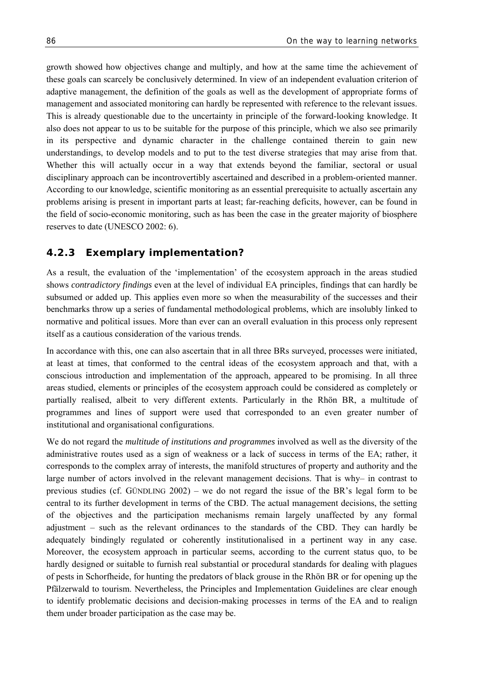growth showed how objectives change and multiply, and how at the same time the achievement of these goals can scarcely be conclusively determined. In view of an independent evaluation criterion of adaptive management, the definition of the goals as well as the development of appropriate forms of management and associated monitoring can hardly be represented with reference to the relevant issues. This is already questionable due to the uncertainty in principle of the forward-looking knowledge. It also does not appear to us to be suitable for the purpose of this principle, which we also see primarily in its perspective and dynamic character in the challenge contained therein to gain new understandings, to develop models and to put to the test diverse strategies that may arise from that. Whether this will actually occur in a way that extends beyond the familiar, sectoral or usual disciplinary approach can be incontrovertibly ascertained and described in a problem-oriented manner. According to our knowledge, scientific monitoring as an essential prerequisite to actually ascertain any problems arising is present in important parts at least; far-reaching deficits, however, can be found in the field of socio-economic monitoring, such as has been the case in the greater majority of biosphere reserves to date (UNESCO 2002: 6).

### **4.2.3 Exemplary implementation?**

As a result, the evaluation of the 'implementation' of the ecosystem approach in the areas studied shows *contradictory findings* even at the level of individual EA principles, findings that can hardly be subsumed or added up. This applies even more so when the measurability of the successes and their benchmarks throw up a series of fundamental methodological problems, which are insolubly linked to normative and political issues. More than ever can an overall evaluation in this process only represent itself as a cautious consideration of the various trends.

In accordance with this, one can also ascertain that in all three BRs surveyed, processes were initiated, at least at times, that conformed to the central ideas of the ecosystem approach and that, with a conscious introduction and implementation of the approach, appeared to be promising. In all three areas studied, elements or principles of the ecosystem approach could be considered as completely or partially realised, albeit to very different extents. Particularly in the Rhön BR, a multitude of programmes and lines of support were used that corresponded to an even greater number of institutional and organisational configurations.

We do not regard the *multitude of institutions and programmes* involved as well as the diversity of the administrative routes used as a sign of weakness or a lack of success in terms of the EA; rather, it corresponds to the complex array of interests, the manifold structures of property and authority and the large number of actors involved in the relevant management decisions. That is why– in contrast to previous studies (cf. GÜNDLING 2002) – we do not regard the issue of the BR's legal form to be central to its further development in terms of the CBD. The actual management decisions, the setting of the objectives and the participation mechanisms remain largely unaffected by any formal adjustment – such as the relevant ordinances to the standards of the CBD. They can hardly be adequately bindingly regulated or coherently institutionalised in a pertinent way in any case. Moreover, the ecosystem approach in particular seems, according to the current status quo, to be hardly designed or suitable to furnish real substantial or procedural standards for dealing with plagues of pests in Schorfheide, for hunting the predators of black grouse in the Rhön BR or for opening up the Pfälzerwald to tourism. Nevertheless, the Principles and Implementation Guidelines are clear enough to identify problematic decisions and decision-making processes in terms of the EA and to realign them under broader participation as the case may be.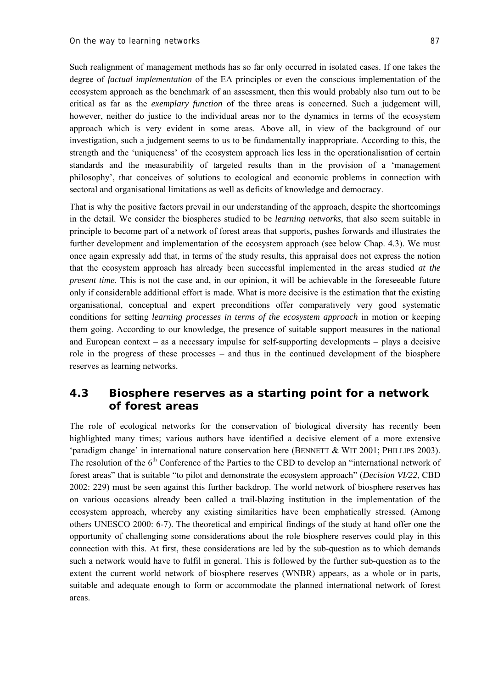Such realignment of management methods has so far only occurred in isolated cases. If one takes the degree of *factual implementation* of the EA principles or even the conscious implementation of the ecosystem approach as the benchmark of an assessment, then this would probably also turn out to be critical as far as the *exemplary function* of the three areas is concerned. Such a judgement will, however, neither do justice to the individual areas nor to the dynamics in terms of the ecosystem approach which is very evident in some areas. Above all, in view of the background of our investigation, such a judgement seems to us to be fundamentally inappropriate. According to this, the strength and the 'uniqueness' of the ecosystem approach lies less in the operationalisation of certain standards and the measurability of targeted results than in the provision of a 'management philosophy', that conceives of solutions to ecological and economic problems in connection with sectoral and organisational limitations as well as deficits of knowledge and democracy.

That is why the positive factors prevail in our understanding of the approach, despite the shortcomings in the detail. We consider the biospheres studied to be *learning networks*, that also seem suitable in principle to become part of a network of forest areas that supports, pushes forwards and illustrates the further development and implementation of the ecosystem approach (see below Chap. 4.3). We must once again expressly add that, in terms of the study results, this appraisal does not express the notion that the ecosystem approach has already been successful implemented in the areas studied *at the present time*. This is not the case and, in our opinion, it will be achievable in the foreseeable future only if considerable additional effort is made. What is more decisive is the estimation that the existing organisational, conceptual and expert preconditions offer comparatively very good systematic conditions for setting *learning processes in terms of the ecosystem approach* in motion or keeping them going. According to our knowledge, the presence of suitable support measures in the national and European context – as a necessary impulse for self-supporting developments – plays a decisive role in the progress of these processes – and thus in the continued development of the biosphere reserves as learning networks.

# **4.3 Biosphere reserves as a starting point for a network of forest areas**

The role of ecological networks for the conservation of biological diversity has recently been highlighted many times; various authors have identified a decisive element of a more extensive 'paradigm change' in international nature conservation here (BENNETT & WIT 2001; PHILLIPS 2003). The resolution of the 6<sup>th</sup> Conference of the Parties to the CBD to develop an "international network of forest areas" that is suitable "to pilot and demonstrate the ecosystem approach" (*Decision VI/22*, CBD 2002: 229) must be seen against this further backdrop. The world network of biosphere reserves has on various occasions already been called a trail-blazing institution in the implementation of the ecosystem approach, whereby any existing similarities have been emphatically stressed. (Among others UNESCO 2000: 6-7). The theoretical and empirical findings of the study at hand offer one the opportunity of challenging some considerations about the role biosphere reserves could play in this connection with this. At first, these considerations are led by the sub-question as to which demands such a network would have to fulfil in general. This is followed by the further sub-question as to the extent the current world network of biosphere reserves (WNBR) appears, as a whole or in parts, suitable and adequate enough to form or accommodate the planned international network of forest areas.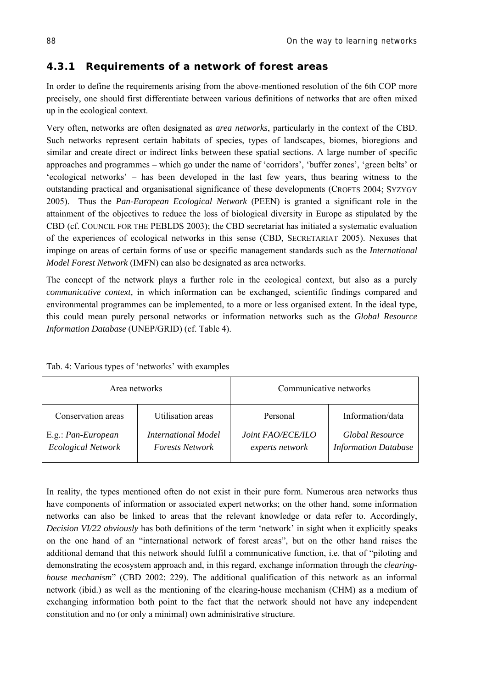# **4.3.1 Requirements of a network of forest areas**

In order to define the requirements arising from the above-mentioned resolution of the 6th COP more precisely, one should first differentiate between various definitions of networks that are often mixed up in the ecological context.

Very often, networks are often designated as *area networks*, particularly in the context of the CBD. Such networks represent certain habitats of species, types of landscapes, biomes, bioregions and similar and create direct or indirect links between these spatial sections. A large number of specific approaches and programmes – which go under the name of 'corridors', 'buffer zones', 'green belts' or 'ecological networks' – has been developed in the last few years, thus bearing witness to the outstanding practical and organisational significance of these developments (CROFTS 2004; SYZYGY 2005). Thus the *Pan-European Ecological Network* (PEEN) is granted a significant role in the attainment of the objectives to reduce the loss of biological diversity in Europe as stipulated by the CBD (cf. COUNCIL FOR THE PEBLDS 2003); the CBD secretariat has initiated a systematic evaluation of the experiences of ecological networks in this sense (CBD, SECRETARIAT 2005). Nexuses that impinge on areas of certain forms of use or specific management standards such as the *International Model Forest Network* (IMFN) can also be designated as area networks.

The concept of the network plays a further role in the ecological context, but also as a purely *communicative context,* in which information can be exchanged, scientific findings compared and environmental programmes can be implemented, to a more or less organised extent. In the ideal type, this could mean purely personal networks or information networks such as the *Global Resource Information Database* (UNEP/GRID) (cf. Table 4).

| Area networks                                   |                                               | Communicative networks               |                                                |
|-------------------------------------------------|-----------------------------------------------|--------------------------------------|------------------------------------------------|
| Conservation areas                              | Utilisation areas                             | Personal                             | Information/data                               |
| E.g.: Pan-European<br><b>Ecological Network</b> | International Model<br><b>Forests Network</b> | Joint FAO/ECE/ILO<br>experts network | Global Resource<br><b>Information Database</b> |

Tab. 4: Various types of 'networks' with examples

In reality, the types mentioned often do not exist in their pure form. Numerous area networks thus have components of information or associated expert networks; on the other hand, some information networks can also be linked to areas that the relevant knowledge or data refer to. Accordingly, *Decision VI/22 obviously* has both definitions of the term 'network' in sight when it explicitly speaks on the one hand of an "international network of forest areas", but on the other hand raises the additional demand that this network should fulfil a communicative function, i.e. that of "piloting and demonstrating the ecosystem approach and, in this regard, exchange information through the *clearinghouse mechanism*" (CBD 2002: 229). The additional qualification of this network as an informal network (ibid.) as well as the mentioning of the clearing-house mechanism (CHM) as a medium of exchanging information both point to the fact that the network should not have any independent constitution and no (or only a minimal) own administrative structure.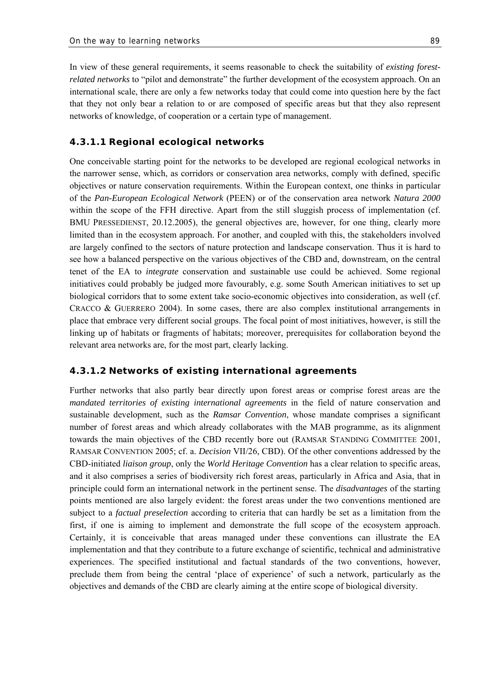In view of these general requirements, it seems reasonable to check the suitability of *existing forestrelated networks* to "pilot and demonstrate" the further development of the ecosystem approach. On an international scale, there are only a few networks today that could come into question here by the fact that they not only bear a relation to or are composed of specific areas but that they also represent networks of knowledge, of cooperation or a certain type of management.

#### **4.3.1.1 Regional ecological networks**

One conceivable starting point for the networks to be developed are regional ecological networks in the narrower sense, which, as corridors or conservation area networks, comply with defined, specific objectives or nature conservation requirements. Within the European context, one thinks in particular of the *Pan-European Ecological Network* (PEEN) or of the conservation area network *Natura 2000*  within the scope of the FFH directive. Apart from the still sluggish process of implementation (cf. BMU PRESSEDIENST, 20.12.2005), the general objectives are, however, for one thing, clearly more limited than in the ecosystem approach. For another, and coupled with this, the stakeholders involved are largely confined to the sectors of nature protection and landscape conservation. Thus it is hard to see how a balanced perspective on the various objectives of the CBD and, downstream, on the central tenet of the EA to *integrate* conservation and sustainable use could be achieved. Some regional initiatives could probably be judged more favourably, e.g. some South American initiatives to set up biological corridors that to some extent take socio-economic objectives into consideration, as well (cf. CRACCO & GUERRERO 2004). In some cases, there are also complex institutional arrangements in place that embrace very different social groups. The focal point of most initiatives, however, is still the linking up of habitats or fragments of habitats; moreover, prerequisites for collaboration beyond the relevant area networks are, for the most part, clearly lacking.

#### **4.3.1.2 Networks of existing international agreements**

Further networks that also partly bear directly upon forest areas or comprise forest areas are the *mandated territories of existing international agreements* in the field of nature conservation and sustainable development, such as the *Ramsar Convention*, whose mandate comprises a significant number of forest areas and which already collaborates with the MAB programme, as its alignment towards the main objectives of the CBD recently bore out (RAMSAR STANDING COMMITTEE 2001, RAMSAR CONVENTION 2005; cf. a. *Decision* VII/26, CBD). Of the other conventions addressed by the CBD-initiated *liaison group*, only the *World Heritage Convention* has a clear relation to specific areas, and it also comprises a series of biodiversity rich forest areas, particularly in Africa and Asia, that in principle could form an international network in the pertinent sense. The *disadvantages* of the starting points mentioned are also largely evident: the forest areas under the two conventions mentioned are subject to a *factual preselection* according to criteria that can hardly be set as a limitation from the first, if one is aiming to implement and demonstrate the full scope of the ecosystem approach. Certainly, it is conceivable that areas managed under these conventions can illustrate the EA implementation and that they contribute to a future exchange of scientific, technical and administrative experiences. The specified institutional and factual standards of the two conventions, however, preclude them from being the central 'place of experience' of such a network, particularly as the objectives and demands of the CBD are clearly aiming at the entire scope of biological diversity.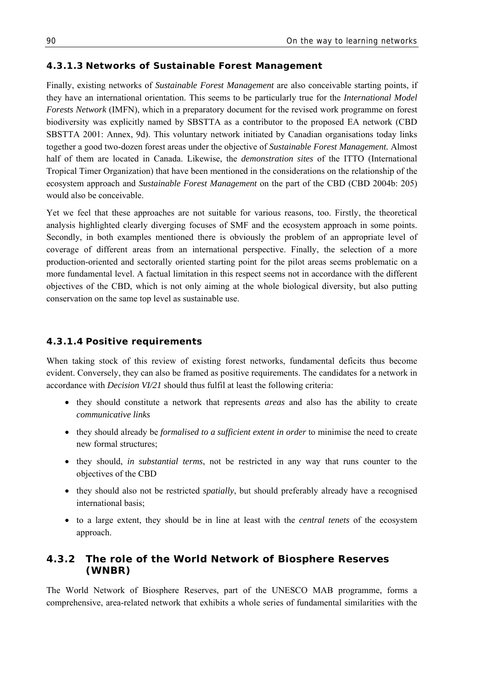#### **4.3.1.3 Networks of Sustainable Forest Management**

Finally, existing networks of *Sustainable Forest Management* are also conceivable starting points, if they have an international orientation. This seems to be particularly true for the *International Model Forests Network* (IMFN), which in a preparatory document for the revised work programme on forest biodiversity was explicitly named by SBSTTA as a contributor to the proposed EA network (CBD SBSTTA 2001: Annex, 9d). This voluntary network initiated by Canadian organisations today links together a good two-dozen forest areas under the objective of *Sustainable Forest Management.* Almost half of them are located in Canada. Likewise, the *demonstration sites* of the ITTO (International Tropical Timer Organization) that have been mentioned in the considerations on the relationship of the ecosystem approach and *Sustainable Forest Management* on the part of the CBD (CBD 2004b: 205) would also be conceivable.

Yet we feel that these approaches are not suitable for various reasons, too. Firstly, the theoretical analysis highlighted clearly diverging focuses of SMF and the ecosystem approach in some points. Secondly, in both examples mentioned there is obviously the problem of an appropriate level of coverage of different areas from an international perspective. Finally, the selection of a more production-oriented and sectorally oriented starting point for the pilot areas seems problematic on a more fundamental level. A factual limitation in this respect seems not in accordance with the different objectives of the CBD, which is not only aiming at the whole biological diversity, but also putting conservation on the same top level as sustainable use.

#### **4.3.1.4 Positive requirements**

When taking stock of this review of existing forest networks, fundamental deficits thus become evident. Conversely, they can also be framed as positive requirements. The candidates for a network in accordance with *Decision VI/21* should thus fulfil at least the following criteria:

- they should constitute a network that represents *areas* and also has the ability to create *communicative links*
- they should already be *formalised to a sufficient extent in order* to minimise the need to create new formal structures;
- they should, *in substantial terms*, not be restricted in any way that runs counter to the objectives of the CBD
- they should also not be restricted *spatially*, but should preferably already have a recognised international basis;
- to a large extent, they should be in line at least with the *central tenets* of the ecosystem approach.

## **4.3.2 The role of the World Network of Biosphere Reserves (WNBR)**

The World Network of Biosphere Reserves, part of the UNESCO MAB programme, forms a comprehensive, area-related network that exhibits a whole series of fundamental similarities with the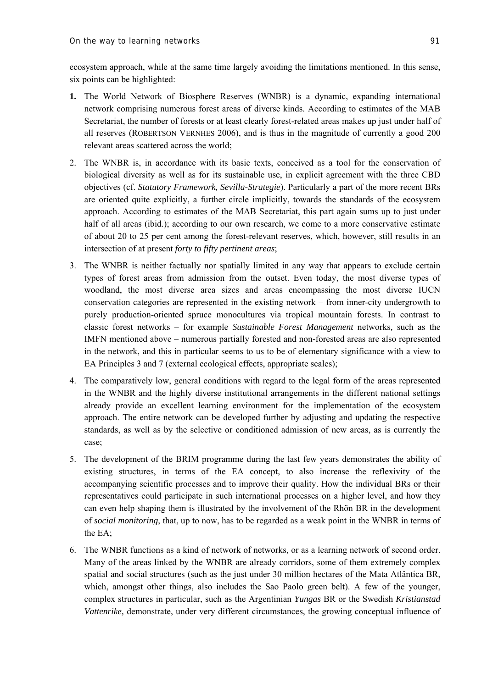ecosystem approach, while at the same time largely avoiding the limitations mentioned. In this sense, six points can be highlighted:

- **1.** The World Network of Biosphere Reserves (WNBR) is a dynamic, expanding international network comprising numerous forest areas of diverse kinds. According to estimates of the MAB Secretariat, the number of forests or at least clearly forest-related areas makes up just under half of all reserves (ROBERTSON VERNHES 2006), and is thus in the magnitude of currently a good 200 relevant areas scattered across the world;
- 2. The WNBR is, in accordance with its basic texts, conceived as a tool for the conservation of biological diversity as well as for its sustainable use, in explicit agreement with the three CBD objectives (cf. *Statutory Framework, Sevilla-Strategie*). Particularly a part of the more recent BRs are oriented quite explicitly, a further circle implicitly, towards the standards of the ecosystem approach. According to estimates of the MAB Secretariat, this part again sums up to just under half of all areas (ibid.); according to our own research, we come to a more conservative estimate of about 20 to 25 per cent among the forest-relevant reserves, which, however, still results in an intersection of at present *forty to fifty pertinent areas*;
- 3. The WNBR is neither factually nor spatially limited in any way that appears to exclude certain types of forest areas from admission from the outset. Even today, the most diverse types of woodland, the most diverse area sizes and areas encompassing the most diverse IUCN conservation categories are represented in the existing network – from inner-city undergrowth to purely production-oriented spruce monocultures via tropical mountain forests. In contrast to classic forest networks – for example *Sustainable Forest Management* networks*,* such as the IMFN mentioned above – numerous partially forested and non-forested areas are also represented in the network, and this in particular seems to us to be of elementary significance with a view to EA Principles 3 and 7 (external ecological effects, appropriate scales);
- 4. The comparatively low, general conditions with regard to the legal form of the areas represented in the WNBR and the highly diverse institutional arrangements in the different national settings already provide an excellent learning environment for the implementation of the ecosystem approach. The entire network can be developed further by adjusting and updating the respective standards, as well as by the selective or conditioned admission of new areas, as is currently the case;
- 5. The development of the BRIM programme during the last few years demonstrates the ability of existing structures, in terms of the EA concept, to also increase the reflexivity of the accompanying scientific processes and to improve their quality. How the individual BRs or their representatives could participate in such international processes on a higher level, and how they can even help shaping them is illustrated by the involvement of the Rhön BR in the development of *social monitoring*, that, up to now, has to be regarded as a weak point in the WNBR in terms of the EA;
- 6. The WNBR functions as a kind of network of networks, or as a learning network of second order. Many of the areas linked by the WNBR are already corridors, some of them extremely complex spatial and social structures (such as the just under 30 million hectares of the Mata Atlântica BR, which, amongst other things, also includes the Sao Paolo green belt). A few of the younger, complex structures in particular, such as the Argentinian *Yungas* BR or the Swedish *Kristianstad Vattenrike,* demonstrate, under very different circumstances, the growing conceptual influence of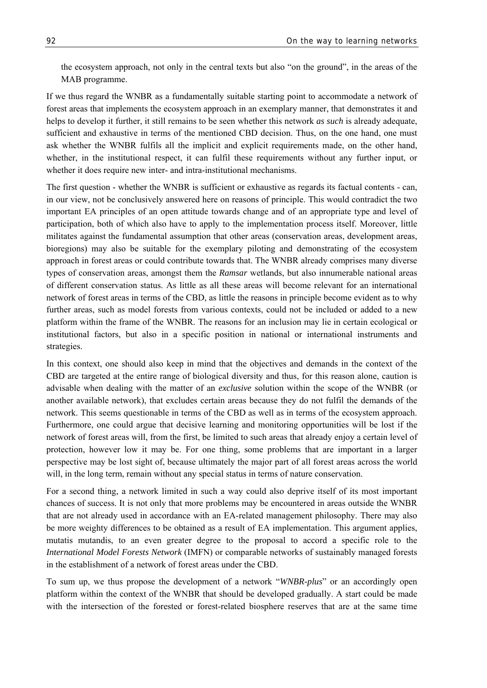the ecosystem approach, not only in the central texts but also "on the ground", in the areas of the MAB programme.

If we thus regard the WNBR as a fundamentally suitable starting point to accommodate a network of forest areas that implements the ecosystem approach in an exemplary manner, that demonstrates it and helps to develop it further, it still remains to be seen whether this network *as such* is already adequate, sufficient and exhaustive in terms of the mentioned CBD decision. Thus, on the one hand, one must ask whether the WNBR fulfils all the implicit and explicit requirements made, on the other hand, whether, in the institutional respect, it can fulfil these requirements without any further input, or whether it does require new inter- and intra-institutional mechanisms.

The first question - whether the WNBR is sufficient or exhaustive as regards its factual contents - can, in our view, not be conclusively answered here on reasons of principle. This would contradict the two important EA principles of an open attitude towards change and of an appropriate type and level of participation, both of which also have to apply to the implementation process itself. Moreover, little militates against the fundamental assumption that other areas (conservation areas, development areas, bioregions) may also be suitable for the exemplary piloting and demonstrating of the ecosystem approach in forest areas or could contribute towards that. The WNBR already comprises many diverse types of conservation areas, amongst them the *Ramsar* wetlands, but also innumerable national areas of different conservation status. As little as all these areas will become relevant for an international network of forest areas in terms of the CBD, as little the reasons in principle become evident as to why further areas, such as model forests from various contexts, could not be included or added to a new platform within the frame of the WNBR. The reasons for an inclusion may lie in certain ecological or institutional factors, but also in a specific position in national or international instruments and strategies.

In this context, one should also keep in mind that the objectives and demands in the context of the CBD are targeted at the entire range of biological diversity and thus, for this reason alone, caution is advisable when dealing with the matter of an *exclusive* solution within the scope of the WNBR (or another available network), that excludes certain areas because they do not fulfil the demands of the network. This seems questionable in terms of the CBD as well as in terms of the ecosystem approach. Furthermore, one could argue that decisive learning and monitoring opportunities will be lost if the network of forest areas will, from the first, be limited to such areas that already enjoy a certain level of protection, however low it may be. For one thing, some problems that are important in a larger perspective may be lost sight of, because ultimately the major part of all forest areas across the world will, in the long term, remain without any special status in terms of nature conservation.

For a second thing, a network limited in such a way could also deprive itself of its most important chances of success. It is not only that more problems may be encountered in areas outside the WNBR that are not already used in accordance with an EA-related management philosophy. There may also be more weighty differences to be obtained as a result of EA implementation. This argument applies, mutatis mutandis, to an even greater degree to the proposal to accord a specific role to the *International Model Forests Network* (IMFN) or comparable networks of sustainably managed forests in the establishment of a network of forest areas under the CBD.

To sum up, we thus propose the development of a network "*WNBR-plus*" or an accordingly open platform within the context of the WNBR that should be developed gradually. A start could be made with the intersection of the forested or forest-related biosphere reserves that are at the same time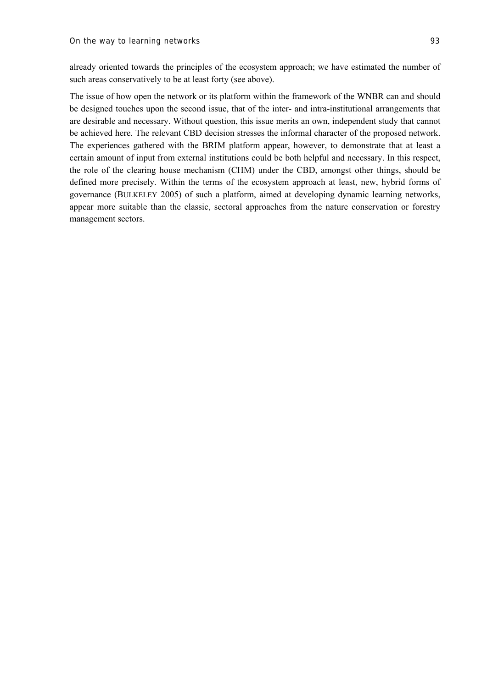already oriented towards the principles of the ecosystem approach; we have estimated the number of such areas conservatively to be at least forty (see above).

The issue of how open the network or its platform within the framework of the WNBR can and should be designed touches upon the second issue, that of the inter- and intra-institutional arrangements that are desirable and necessary. Without question, this issue merits an own, independent study that cannot be achieved here. The relevant CBD decision stresses the informal character of the proposed network. The experiences gathered with the BRIM platform appear, however, to demonstrate that at least a certain amount of input from external institutions could be both helpful and necessary. In this respect, the role of the clearing house mechanism (CHM) under the CBD, amongst other things, should be defined more precisely. Within the terms of the ecosystem approach at least, new, hybrid forms of governance (BULKELEY 2005) of such a platform, aimed at developing dynamic learning networks, appear more suitable than the classic, sectoral approaches from the nature conservation or forestry management sectors.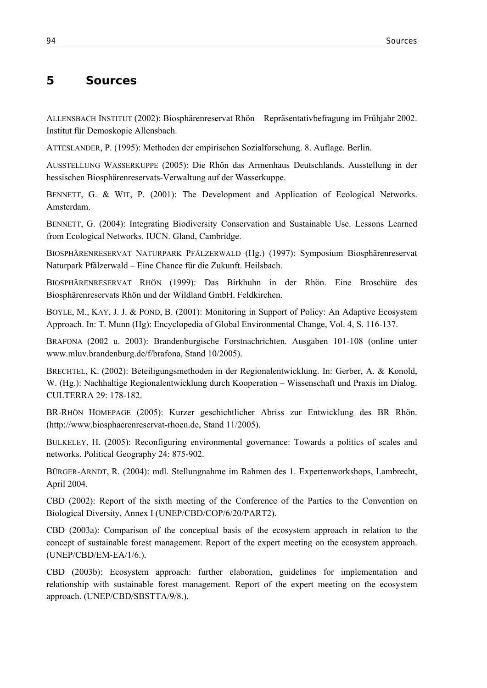# **5 Sources**

ALLENSBACH INSTITUT (2002): Biosphärenreservat Rhön – Repräsentativbefragung im Frühjahr 2002. Institut für Demoskopie Allensbach.

ATTESLANDER, P. (1995): Methoden der empirischen Sozialforschung. 8. Auflage. Berlin.

AUSSTELLUNG WASSERKUPPE (2005): Die Rhön das Armenhaus Deutschlands. Ausstellung in der hessischen Biosphärenreservats-Verwaltung auf der Wasserkuppe.

BENNETT, G. & WIT, P. (2001): The Development and Application of Ecological Networks. Amsterdam.

BENNETT, G. (2004): Integrating Biodiversity Conservation and Sustainable Use. Lessons Learned from Ecological Networks. IUCN. Gland, Cambridge.

BIOSPHÄRENRESERVAT NATURPARK PFÄLZERWALD (Hg.) (1997): Symposium Biosphärenreservat Naturpark Pfälzerwald – Eine Chance für die Zukunft. Heilsbach.

BIOSPHÄRENRESERVAT RHÖN (1999): Das Birkhuhn in der Rhön. Eine Broschüre des Biosphärenreservats Rhön und der Wildland GmbH. Feldkirchen.

BOYLE, M., KAY, J. J. & POND, B. (2001): Monitoring in Support of Policy: An Adaptive Ecosystem Approach. In: T. Munn (Hg): Encyclopedia of Global Environmental Change, Vol. 4, S. 116-137.

BRAFONA (2002 u. 2003): Brandenburgische Forstnachrichten. Ausgaben 101-108 (online unter www.mluv.brandenburg.de/f/brafona, Stand 10/2005).

BRECHTEL, K. (2002): Beteiligungsmethoden in der Regionalentwicklung. In: Gerber, A. & Konold, W. (Hg.): Nachhaltige Regionalentwicklung durch Kooperation – Wissenschaft und Praxis im Dialog. CULTERRA 29: 178-182.

BR-RHÖN HOMEPAGE (2005): Kurzer geschichtlicher Abriss zur Entwicklung des BR Rhön. (http://www.biosphaerenreservat-rhoen.de, Stand 11/2005).

BULKELEY, H. (2005): Reconfiguring environmental governance: Towards a politics of scales and networks. Political Geography 24: 875-902.

BÜRGER-ARNDT, R. (2004): mdl. Stellungnahme im Rahmen des 1. Expertenworkshops, Lambrecht, April 2004.

CBD (2002): Report of the sixth meeting of the Conference of the Parties to the Convention on Biological Diversity, Annex I (UNEP/CBD/COP/6/20/PART2).

CBD (2003a): Comparison of the conceptual basis of the ecosystem approach in relation to the concept of sustainable forest management. Report of the expert meeting on the ecosystem approach. (UNEP/CBD/EM-EA/1/6.).

CBD (2003b): Ecosystem approach: further elaboration, guidelines for implementation and relationship with sustainable forest management. Report of the expert meeting on the ecosystem approach. (UNEP/CBD/SBSTTA/9/8.).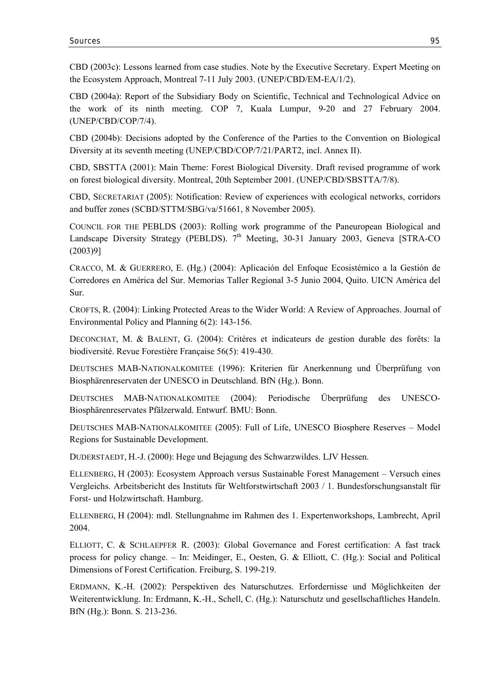CBD (2003c): Lessons learned from case studies. Note by the Executive Secretary. Expert Meeting on the Ecosystem Approach, Montreal 7-11 July 2003. (UNEP/CBD/EM-EA/1/2).

CBD (2004a): Report of the Subsidiary Body on Scientific, Technical and Technological Advice on the work of its ninth meeting. COP 7, Kuala Lumpur, 9-20 and 27 February 2004. (UNEP/CBD/COP/7/4).

CBD (2004b): Decisions adopted by the Conference of the Parties to the Convention on Biological Diversity at its seventh meeting (UNEP/CBD/COP/7/21/PART2, incl. Annex II).

CBD, SBSTTA (2001): Main Theme: Forest Biological Diversity. Draft revised programme of work on forest biological diversity. Montreal, 20th September 2001. (UNEP/CBD/SBSTTA/7/8).

CBD, SECRETARIAT (2005): Notification: Review of experiences with ecological networks, corridors and buffer zones (SCBD/STTM/SBG/va/51661, 8 November 2005).

COUNCIL FOR THE PEBLDS (2003): Rolling work programme of the Paneuropean Biological and Landscape Diversity Strategy (PEBLDS).  $7<sup>th</sup>$  Meeting, 30-31 January 2003, Geneva [STRA-CO (2003)9]

CRACCO, M. & GUERRERO, E. (Hg.) (2004): Aplicación del Enfoque Ecosistémico a la Gestión de Corredores en América del Sur. Memorias Taller Regional 3-5 Junio 2004, Quito. UICN América del Sur.

CROFTS, R. (2004): Linking Protected Areas to the Wider World: A Review of Approaches. Journal of Environmental Policy and Planning 6(2): 143-156.

DECONCHAT, M. & BALENT, G. (2004): Critères et indicateurs de gestion durable des forêts: la biodiversité. Revue Forestière Française 56(5): 419-430.

DEUTSCHES MAB-NATIONALKOMITEE (1996): Kriterien für Anerkennung und Überprüfung von Biosphärenreservaten der UNESCO in Deutschland. BfN (Hg.). Bonn.

DEUTSCHES MAB-NATIONALKOMITEE (2004): Periodische Überprüfung des UNESCO-Biosphärenreservates Pfälzerwald. Entwurf. BMU: Bonn.

DEUTSCHES MAB-NATIONALKOMITEE (2005): Full of Life, UNESCO Biosphere Reserves – Model Regions for Sustainable Development.

DUDERSTAEDT, H.-J. (2000): Hege und Bejagung des Schwarzwildes. LJV Hessen.

ELLENBERG, H (2003): Ecosystem Approach versus Sustainable Forest Management – Versuch eines Vergleichs. Arbeitsbericht des Instituts für Weltforstwirtschaft 2003 / 1. Bundesforschungsanstalt für Forst- und Holzwirtschaft. Hamburg.

ELLENBERG, H (2004): mdl. Stellungnahme im Rahmen des 1. Expertenworkshops, Lambrecht, April 2004.

ELLIOTT, C. & SCHLAEPFER R. (2003): Global Governance and Forest certification: A fast track process for policy change. – In: Meidinger, E., Oesten, G. & Elliott, C. (Hg.): Social and Political Dimensions of Forest Certification. Freiburg, S. 199-219.

ERDMANN, K.-H. (2002): Perspektiven des Naturschutzes. Erfordernisse und Möglichkeiten der Weiterentwicklung. In: Erdmann, K.-H., Schell, C. (Hg.): Naturschutz und gesellschaftliches Handeln. BfN (Hg.): Bonn. S. 213-236.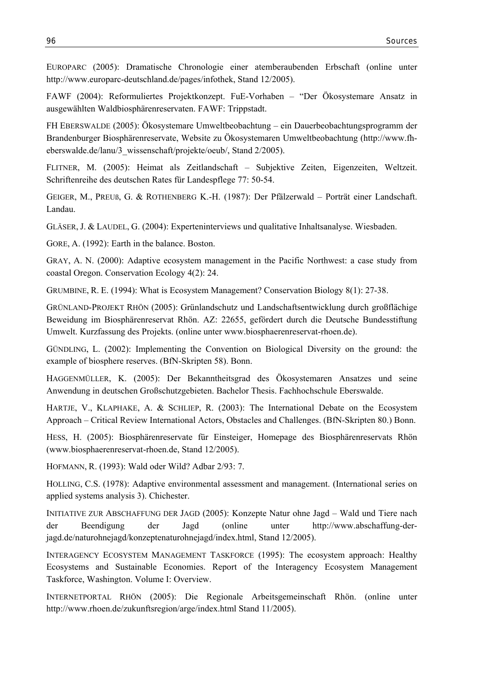EUROPARC (2005): Dramatische Chronologie einer atemberaubenden Erbschaft (online unter http://www.europarc-deutschland.de/pages/infothek, Stand 12/2005).

FAWF (2004): Reformuliertes Projektkonzept. FuE-Vorhaben – "Der Ökosystemare Ansatz in ausgewählten Waldbiosphärenreservaten. FAWF: Trippstadt.

FH EBERSWALDE (2005): Ökosystemare Umweltbeobachtung – ein Dauerbeobachtungsprogramm der Brandenburger Biosphärenreservate, Website zu Ökosystemaren Umweltbeobachtung (http://www.fheberswalde.de/lanu/3\_wissenschaft/projekte/oeub/, Stand 2/2005).

FLITNER, M. (2005): Heimat als Zeitlandschaft – Subjektive Zeiten, Eigenzeiten, Weltzeit. Schriftenreihe des deutschen Rates für Landespflege 77: 50-54.

GEIGER, M., PREUß, G. & ROTHENBERG K.-H. (1987): Der Pfälzerwald – Porträt einer Landschaft. Landau.

GLÄSER, J. & LAUDEL, G. (2004): Experteninterviews und qualitative Inhaltsanalyse. Wiesbaden.

GORE, A. (1992): Earth in the balance. Boston.

GRAY, A. N. (2000): Adaptive ecosystem management in the Pacific Northwest: a case study from coastal Oregon. Conservation Ecology 4(2): 24.

GRUMBINE, R. E. (1994): What is Ecosystem Management? Conservation Biology 8(1): 27-38.

GRÜNLAND-PROJEKT RHÖN (2005): Grünlandschutz und Landschaftsentwicklung durch großflächige Beweidung im Biosphärenreservat Rhön. AZ: 22655, gefördert durch die Deutsche Bundesstiftung Umwelt. Kurzfassung des Projekts. (online unter www.biosphaerenreservat-rhoen.de).

GÜNDLING, L. (2002): Implementing the Convention on Biological Diversity on the ground: the example of biosphere reserves. (BfN-Skripten 58). Bonn.

HAGGENMÜLLER, K. (2005): Der Bekanntheitsgrad des Ökosystemaren Ansatzes und seine Anwendung in deutschen Großschutzgebieten. Bachelor Thesis. Fachhochschule Eberswalde.

HARTJE, V., KLAPHAKE, A. & SCHLIEP, R. (2003): The International Debate on the Ecosystem Approach – Critical Review International Actors, Obstacles and Challenges. (BfN-Skripten 80.) Bonn.

HESS, H. (2005): Biosphärenreservate für Einsteiger, Homepage des Biosphärenreservats Rhön (www.biosphaerenreservat-rhoen.de, Stand 12/2005).

HOFMANN, R. (1993): Wald oder Wild? Adbar 2/93: 7.

HOLLING, C.S. (1978): Adaptive environmental assessment and management. (International series on applied systems analysis 3). Chichester.

INITIATIVE ZUR ABSCHAFFUNG DER JAGD (2005): Konzepte Natur ohne Jagd – Wald und Tiere nach der Beendigung der Jagd (online unter http://www.abschaffung-derjagd.de/naturohnejagd/konzeptenaturohnejagd/index.html, Stand 12/2005).

INTERAGENCY ECOSYSTEM MANAGEMENT TASKFORCE (1995): The ecosystem approach: Healthy Ecosystems and Sustainable Economies. Report of the Interagency Ecosystem Management Taskforce, Washington. Volume I: Overview.

INTERNETPORTAL RHÖN (2005): Die Regionale Arbeitsgemeinschaft Rhön. (online unter http://www.rhoen.de/zukunftsregion/arge/index.html Stand 11/2005).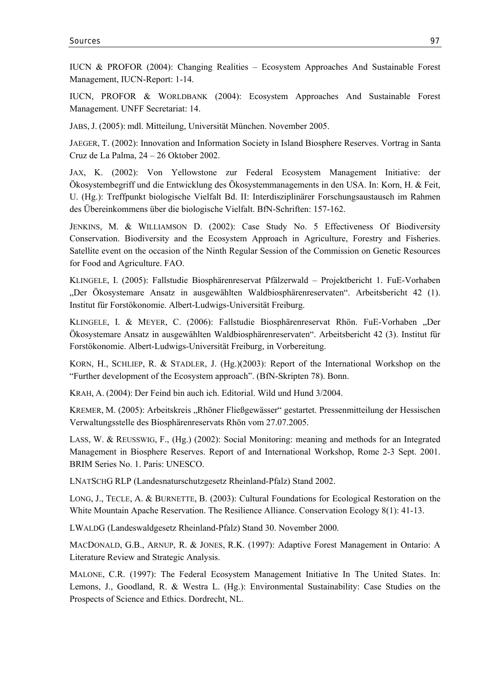IUCN & PROFOR (2004): Changing Realities – Ecosystem Approaches And Sustainable Forest Management, IUCN-Report: 1-14.

IUCN, PROFOR & WORLDBANK (2004): Ecosystem Approaches And Sustainable Forest Management. UNFF Secretariat: 14.

JABS, J. (2005): mdl. Mitteilung, Universität München. November 2005.

JAEGER, T. (2002): Innovation and Information Society in Island Biosphere Reserves. Vortrag in Santa Cruz de La Palma, 24 – 26 Oktober 2002.

JAX, K. (2002): Von Yellowstone zur Federal Ecosystem Management Initiative: der Ökosystembegriff und die Entwicklung des Ökosystemmanagements in den USA. In: Korn, H. & Feit, U. (Hg.): Treffpunkt biologische Vielfalt Bd. II: Interdisziplinärer Forschungsaustausch im Rahmen des Übereinkommens über die biologische Vielfalt. BfN-Schriften: 157-162.

JENKINS, M. & WILLIAMSON D. (2002): Case Study No. 5 Effectiveness Of Biodiversity Conservation. Biodiversity and the Ecosystem Approach in Agriculture, Forestry and Fisheries. Satellite event on the occasion of the Ninth Regular Session of the Commission on Genetic Resources for Food and Agriculture. FAO.

KLINGELE, I. (2005): Fallstudie Biosphärenreservat Pfälzerwald – Projektbericht 1. FuE-Vorhaben "Der Ökosystemare Ansatz in ausgewählten Waldbiosphärenreservaten". Arbeitsbericht 42 (1). Institut für Forstökonomie. Albert-Ludwigs-Universität Freiburg.

KLINGELE, I. & MEYER, C. (2006): Fallstudie Biosphärenreservat Rhön. FuE-Vorhaben "Der Ökosystemare Ansatz in ausgewählten Waldbiosphärenreservaten". Arbeitsbericht 42 (3). Institut für Forstökonomie. Albert-Ludwigs-Universität Freiburg, in Vorbereitung.

KORN, H., SCHLIEP, R. & STADLER, J. (Hg.)(2003): Report of the International Workshop on the "Further development of the Ecosystem approach". (BfN-Skripten 78). Bonn.

KRAH, A. (2004): Der Feind bin auch ich. Editorial. Wild und Hund 3/2004.

KREMER, M. (2005): Arbeitskreis "Rhöner Fließgewässer" gestartet. Pressenmitteilung der Hessischen Verwaltungsstelle des Biosphärenreservats Rhön vom 27.07.2005.

LASS, W. & REUSSWIG, F., (Hg.) (2002): Social Monitoring: meaning and methods for an Integrated Management in Biosphere Reserves. Report of and International Workshop, Rome 2-3 Sept. 2001. BRIM Series No. 1. Paris: UNESCO.

LNATSCHG RLP (Landesnaturschutzgesetz Rheinland-Pfalz) Stand 2002.

LONG, J., TECLE, A. & BURNETTE, B. (2003): Cultural Foundations for Ecological Restoration on the White Mountain Apache Reservation. The Resilience Alliance. Conservation Ecology 8(1): 41-13.

LWALDG (Landeswaldgesetz Rheinland-Pfalz) Stand 30. November 2000.

MACDONALD, G.B., ARNUP, R. & JONES, R.K. (1997): Adaptive Forest Management in Ontario: A Literature Review and Strategic Analysis.

MALONE, C.R. (1997): The Federal Ecosystem Management Initiative In The United States. In: Lemons, J., Goodland, R. & Westra L. (Hg.): Environmental Sustainability: Case Studies on the Prospects of Science and Ethics. Dordrecht, NL.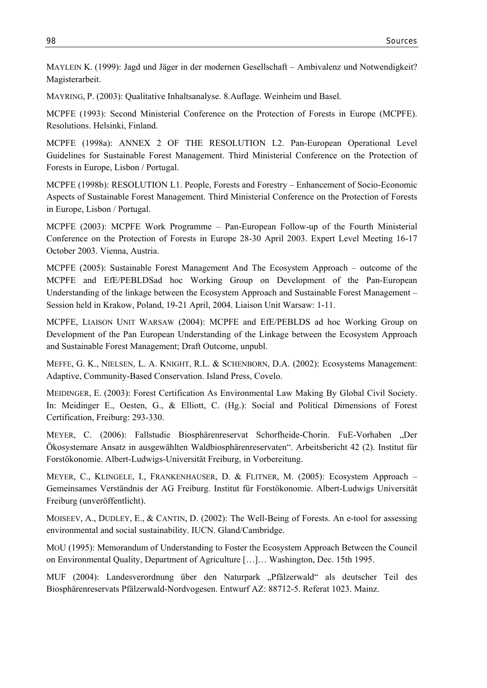MAYLEIN K. (1999): Jagd und Jäger in der modernen Gesellschaft – Ambivalenz und Notwendigkeit? Magisterarbeit.

MAYRING, P. (2003): Qualitative Inhaltsanalyse. 8.Auflage. Weinheim und Basel.

MCPFE (1993): Second Ministerial Conference on the Protection of Forests in Europe (MCPFE). Resolutions. Helsinki, Finland.

MCPFE (1998a): ANNEX 2 OF THE RESOLUTION L2. Pan-European Operational Level Guidelines for Sustainable Forest Management. Third Ministerial Conference on the Protection of Forests in Europe, Lisbon / Portugal.

MCPFE (1998b): RESOLUTION L1. People, Forests and Forestry – Enhancement of Socio-Economic Aspects of Sustainable Forest Management. Third Ministerial Conference on the Protection of Forests in Europe, Lisbon / Portugal.

MCPFE (2003): MCPFE Work Programme – Pan-European Follow-up of the Fourth Ministerial Conference on the Protection of Forests in Europe 28-30 April 2003. Expert Level Meeting 16-17 October 2003. Vienna, Austria.

MCPFE (2005): Sustainable Forest Management And The Ecosystem Approach – outcome of the MCPFE and EfE/PEBLDSad hoc Working Group on Development of the Pan-European Understanding of the linkage between the Ecosystem Approach and Sustainable Forest Management – Session held in Krakow, Poland, 19-21 April, 2004. Liaison Unit Warsaw: 1-11.

MCPFE, LIAISON UNIT WARSAW (2004): MCPFE and EfE/PEBLDS ad hoc Working Group on Development of the Pan European Understanding of the Linkage between the Ecosystem Approach and Sustainable Forest Management; Draft Outcome, unpubl.

MEFFE, G. K., NIELSEN, L. A. KNIGHT, R.L. & SCHENBORN, D.A. (2002): Ecosystems Management: Adaptive, Community-Based Conservation. Island Press, Covelo.

MEIDINGER, E. (2003): Forest Certification As Environmental Law Making By Global Civil Society. In: Meidinger E., Oesten, G., & Elliott, C. (Hg.): Social and Political Dimensions of Forest Certification, Freiburg: 293-330.

MEYER, C. (2006): Fallstudie Biosphärenreservat Schorfheide-Chorin. FuE-Vorhaben "Der Ökosystemare Ansatz in ausgewählten Waldbiosphärenreservaten". Arbeitsbericht 42 (2). Institut für Forstökonomie. Albert-Ludwigs-Universität Freiburg, in Vorbereitung.

MEYER, C., KLINGELE, I., FRANKENHAUSER, D. & FLITNER, M. (2005): Ecosystem Approach – Gemeinsames Verständnis der AG Freiburg. Institut für Forstökonomie. Albert-Ludwigs Universität Freiburg (unveröffentlicht).

MOISEEV, A., DUDLEY, E., & CANTIN, D. (2002): The Well-Being of Forests. An e-tool for assessing environmental and social sustainability. IUCN. Gland/Cambridge.

MOU (1995): Memorandum of Understanding to Foster the Ecosystem Approach Between the Council on Environmental Quality, Department of Agriculture […]… Washington, Dec. 15th 1995.

MUF (2004): Landesverordnung über den Naturpark "Pfälzerwald" als deutscher Teil des Biosphärenreservats Pfälzerwald-Nordvogesen. Entwurf AZ: 88712-5. Referat 1023. Mainz.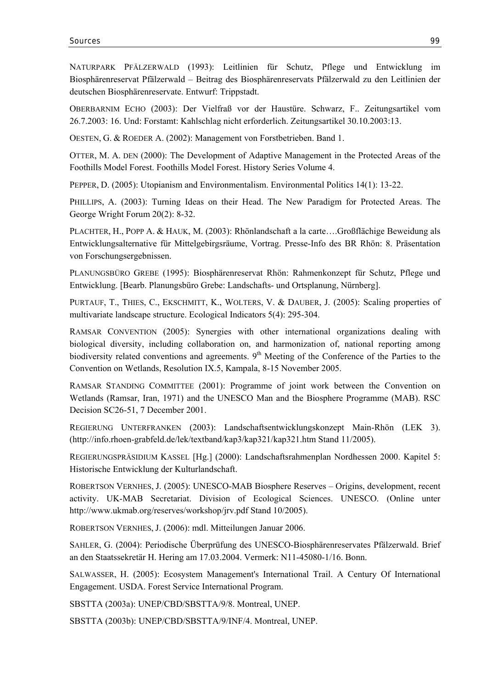NATURPARK PFÄLZERWALD (1993): Leitlinien für Schutz, Pflege und Entwicklung im Biosphärenreservat Pfälzerwald – Beitrag des Biosphärenreservats Pfälzerwald zu den Leitlinien der deutschen Biosphärenreservate. Entwurf: Trippstadt.

OBERBARNIM ECHO (2003): Der Vielfraß vor der Haustüre. Schwarz, F.. Zeitungsartikel vom 26.7.2003: 16. Und: Forstamt: Kahlschlag nicht erforderlich. Zeitungsartikel 30.10.2003:13.

OESTEN, G. & ROEDER A. (2002): Management von Forstbetrieben. Band 1.

OTTER, M. A. DEN (2000): The Development of Adaptive Management in the Protected Areas of the Foothills Model Forest. Foothills Model Forest. History Series Volume 4.

PEPPER, D. (2005): Utopianism and Environmentalism. Environmental Politics 14(1): 13-22.

PHILLIPS, A. (2003): Turning Ideas on their Head. The New Paradigm for Protected Areas. The George Wright Forum 20(2): 8-32.

PLACHTER, H., POPP A. & HAUK, M. (2003): Rhönlandschaft a la carte….Großflächige Beweidung als Entwicklungsalternative für Mittelgebirgsräume, Vortrag. Presse-Info des BR Rhön: 8. Präsentation von Forschungsergebnissen.

PLANUNGSBÜRO GREBE (1995): Biosphärenreservat Rhön: Rahmenkonzept für Schutz, Pflege und Entwicklung. [Bearb. Planungsbüro Grebe: Landschafts- und Ortsplanung, Nürnberg].

PURTAUF, T., THIES, C., EKSCHMITT, K., WOLTERS, V. & DAUBER, J. (2005): Scaling properties of multivariate landscape structure. Ecological Indicators 5(4): 295-304.

RAMSAR CONVENTION (2005): Synergies with other international organizations dealing with biological diversity, including collaboration on, and harmonization of, national reporting among biodiversity related conventions and agreements.  $9<sup>th</sup>$  Meeting of the Conference of the Parties to the Convention on Wetlands, Resolution IX.5, Kampala, 8-15 November 2005.

RAMSAR STANDING COMMITTEE (2001): Programme of joint work between the Convention on Wetlands (Ramsar, Iran, 1971) and the UNESCO Man and the Biosphere Programme (MAB). RSC Decision SC26-51, 7 December 2001.

REGIERUNG UNTERFRANKEN (2003): Landschaftsentwicklungskonzept Main-Rhön (LEK 3). (http://info.rhoen-grabfeld.de/lek/textband/kap3/kap321/kap321.htm Stand 11/2005).

REGIERUNGSPRÄSIDIUM KASSEL [Hg.] (2000): Landschaftsrahmenplan Nordhessen 2000. Kapitel 5: Historische Entwicklung der Kulturlandschaft.

ROBERTSON VERNHES, J. (2005): UNESCO-MAB Biosphere Reserves – Origins, development, recent activity. UK-MAB Secretariat. Division of Ecological Sciences. UNESCO. (Online unter http://www.ukmab.org/reserves/workshop/jrv.pdf Stand 10/2005).

ROBERTSON VERNHES, J. (2006): mdl. Mitteilungen Januar 2006.

SAHLER, G. (2004): Periodische Überprüfung des UNESCO-Biosphärenreservates Pfälzerwald. Brief an den Staatssekretär H. Hering am 17.03.2004. Vermerk: N11-45080-1/16. Bonn.

SALWASSER, H. (2005): Ecosystem Management's International Trail. A Century Of International Engagement. USDA. Forest Service International Program.

SBSTTA (2003a): UNEP/CBD/SBSTTA/9/8. Montreal, UNEP.

SBSTTA (2003b): UNEP/CBD/SBSTTA/9/INF/4. Montreal, UNEP.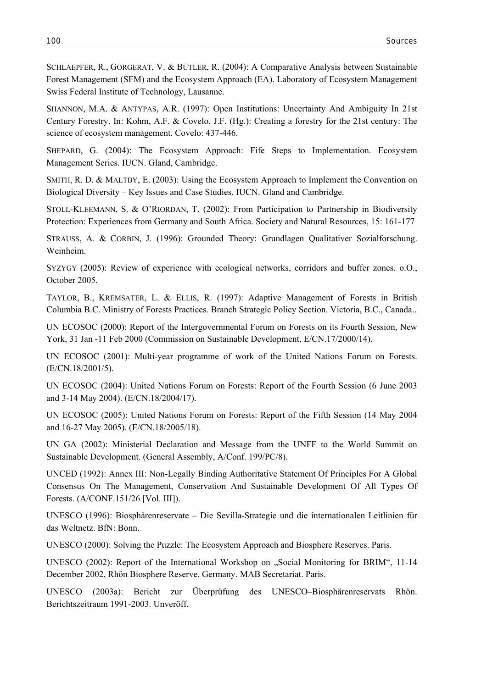SCHLAEPFER, R., GORGERAT, V. & BÜTLER, R. (2004): A Comparative Analysis between Sustainable Forest Management (SFM) and the Ecosystem Approach (EA). Laboratory of Ecosystem Management Swiss Federal Institute of Technology, Lausanne.

SHANNON, M.A. & ANTYPAS, A.R. (1997): Open Institutions: Uncertainty And Ambiguity In 21st Century Forestry. In: Kohm, A.F. & Covelo, J.F. (Hg.): Creating a forestry for the 21st century: The science of ecosystem management. Covelo: 437-446.

SHEPARD, G. (2004): The Ecosystem Approach: Fife Steps to Implementation. Ecosystem Management Series. IUCN. Gland, Cambridge.

SMITH, R. D. & MALTBY, E. (2003): Using the Ecosystem Approach to Implement the Convention on Biological Diversity – Key Issues and Case Studies. IUCN. Gland and Cambridge.

STOLL-KLEEMANN, S. & O'RIORDAN, T. (2002): From Participation to Partnership in Biodiversity Protection: Experiences from Germany and South Africa. Society and Natural Resources, 15: 161-177

STRAUSS, A. & CORBIN, J. (1996): Grounded Theory: Grundlagen Qualitativer Sozialforschung. Weinheim.

SYZYGY (2005): Review of experience with ecological networks, corridors and buffer zones. o.O., October 2005.

TAYLOR, B., KREMSATER, L. & ELLIS, R. (1997): Adaptive Management of Forests in British Columbia B.C. Ministry of Forests Practices. Branch Strategic Policy Section. Victoria, B.C., Canada..

UN ECOSOC (2000): Report of the Intergovernmental Forum on Forests on its Fourth Session, New York, 31 Jan -11 Feb 2000 (Commission on Sustainable Development, E/CN.17/2000/14).

UN ECOSOC (2001): Multi-year programme of work of the United Nations Forum on Forests. (E/CN.18/2001/5).

UN ECOSOC (2004): United Nations Forum on Forests: Report of the Fourth Session (6 June 2003 and 3-14 May 2004). (E/CN.18/2004/17).

UN ECOSOC (2005): United Nations Forum on Forests: Report of the Fifth Session (14 May 2004 and 16-27 May 2005). (E/CN.18/2005/18).

UN GA (2002): Ministerial Declaration and Message from the UNFF to the World Summit on Sustainable Development. (General Assembly, A/Conf. 199/PC/8).

UNCED (1992): Annex III: Non-Legally Binding Authoritative Statement Of Principles For A Global Consensus On The Management, Conservation And Sustainable Development Of All Types Of Forests. (A/CONF.151/26 [Vol. III]).

UNESCO (1996): Biosphärenreservate – Die Sevilla-Strategie und die internationalen Leitlinien für das Weltnetz. BfN: Bonn.

UNESCO (2000): Solving the Puzzle: The Ecosystem Approach and Biosphere Reserves. Paris.

UNESCO (2002): Report of the International Workshop on "Social Monitoring for BRIM", 11-14 December 2002, Rhön Biosphere Reserve, Germany. MAB Secretariat. Paris.

UNESCO (2003a): Bericht zur Überprüfung des UNESCO–Biosphärenreservats Rhön. Berichtszeitraum 1991-2003. Unveröff.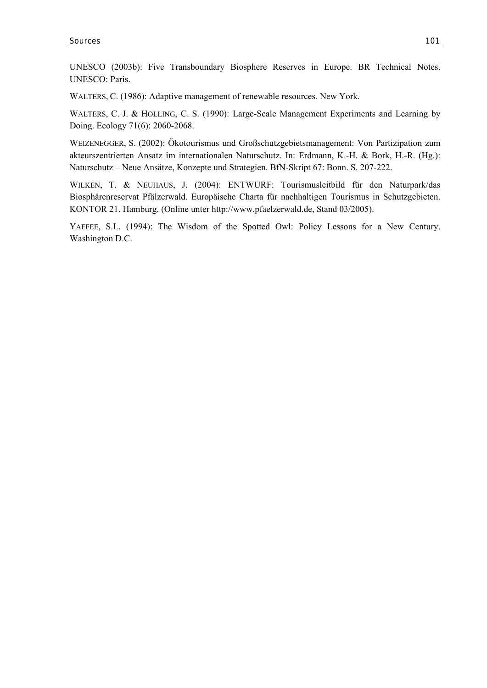UNESCO (2003b): Five Transboundary Biosphere Reserves in Europe. BR Technical Notes. UNESCO: Paris.

WALTERS, C. (1986): Adaptive management of renewable resources. New York.

WALTERS, C. J. & HOLLING, C. S. (1990): Large-Scale Management Experiments and Learning by Doing. Ecology 71(6): 2060-2068.

WEIZENEGGER, S. (2002): Ökotourismus und Großschutzgebietsmanagement: Von Partizipation zum akteurszentrierten Ansatz im internationalen Naturschutz. In: Erdmann, K.-H. & Bork, H.-R. (Hg.): Naturschutz – Neue Ansätze, Konzepte und Strategien. BfN-Skript 67: Bonn. S. 207-222.

WILKEN, T. & NEUHAUS, J. (2004): ENTWURF: Tourismusleitbild für den Naturpark/das Biosphärenreservat Pfälzerwald. Europäische Charta für nachhaltigen Tourismus in Schutzgebieten. KONTOR 21. Hamburg. (Online unter http://www.pfaelzerwald.de, Stand 03/2005).

YAFFEE, S.L. (1994): The Wisdom of the Spotted Owl: Policy Lessons for a New Century. Washington D.C.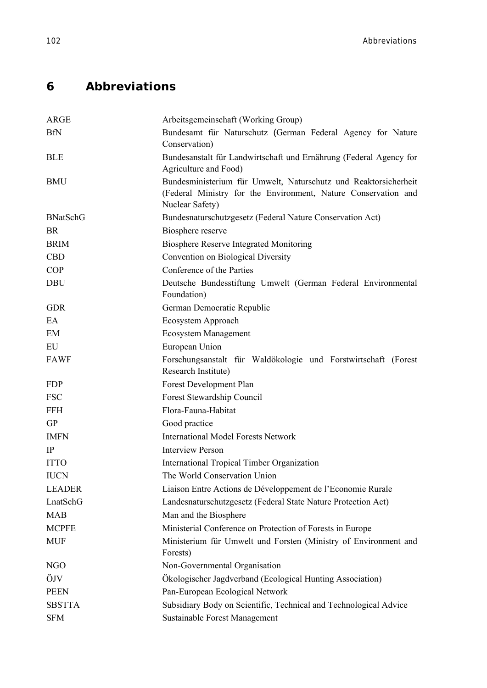## **6 Abbreviations**

| <b>ARGE</b>     | Arbeitsgemeinschaft (Working Group)                                                                                                                  |
|-----------------|------------------------------------------------------------------------------------------------------------------------------------------------------|
| <b>BfN</b>      | Bundesamt für Naturschutz (German Federal Agency for Nature                                                                                          |
|                 | Conservation)                                                                                                                                        |
| <b>BLE</b>      | Bundesanstalt für Landwirtschaft und Ernährung (Federal Agency for<br>Agriculture and Food)                                                          |
| <b>BMU</b>      | Bundesministerium für Umwelt, Naturschutz und Reaktorsicherheit<br>(Federal Ministry for the Environment, Nature Conservation and<br>Nuclear Safety) |
| <b>BNatSchG</b> | Bundesnaturschutzgesetz (Federal Nature Conservation Act)                                                                                            |
| <b>BR</b>       | Biosphere reserve                                                                                                                                    |
| <b>BRIM</b>     | <b>Biosphere Reserve Integrated Monitoring</b>                                                                                                       |
| <b>CBD</b>      | Convention on Biological Diversity                                                                                                                   |
| <b>COP</b>      | Conference of the Parties                                                                                                                            |
| <b>DBU</b>      | Deutsche Bundesstiftung Umwelt (German Federal Environmental<br>Foundation)                                                                          |
| <b>GDR</b>      | German Democratic Republic                                                                                                                           |
| EA              | Ecosystem Approach                                                                                                                                   |
| EM              | <b>Ecosystem Management</b>                                                                                                                          |
| EU              | European Union                                                                                                                                       |
| <b>FAWF</b>     | Forschungsanstalt für Waldökologie und Forstwirtschaft (Forest<br>Research Institute)                                                                |
| <b>FDP</b>      | Forest Development Plan                                                                                                                              |
| <b>FSC</b>      | Forest Stewardship Council                                                                                                                           |
| <b>FFH</b>      | Flora-Fauna-Habitat                                                                                                                                  |
| <b>GP</b>       | Good practice                                                                                                                                        |
| <b>IMFN</b>     | <b>International Model Forests Network</b>                                                                                                           |
| IP              | <b>Interview Person</b>                                                                                                                              |
| <b>ITTO</b>     | <b>International Tropical Timber Organization</b>                                                                                                    |
| <b>IUCN</b>     | The World Conservation Union                                                                                                                         |
| <b>LEADER</b>   | Liaison Entre Actions de Développement de l'Economie Rurale                                                                                          |
| LnatSchG        | Landesnaturschutzgesetz (Federal State Nature Protection Act)                                                                                        |
| <b>MAB</b>      | Man and the Biosphere                                                                                                                                |
| <b>MCPFE</b>    | Ministerial Conference on Protection of Forests in Europe                                                                                            |
| <b>MUF</b>      | Ministerium für Umwelt und Forsten (Ministry of Environment and<br>Forests)                                                                          |
| NGO             | Non-Governmental Organisation                                                                                                                        |
| ÖJV             | Ökologischer Jagdverband (Ecological Hunting Association)                                                                                            |
| <b>PEEN</b>     | Pan-European Ecological Network                                                                                                                      |
| <b>SBSTTA</b>   | Subsidiary Body on Scientific, Technical and Technological Advice                                                                                    |
| <b>SFM</b>      | <b>Sustainable Forest Management</b>                                                                                                                 |